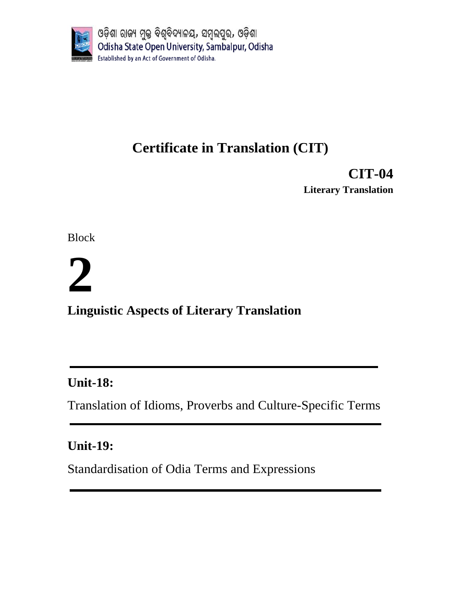

# **Certificate in Translation (CIT)**

**CIT-04 Literary Translation**

Block

# **2**

**Linguistic Aspects of Literary Translation** 

# **Unit-18:**

Translation of Idioms, Proverbs and Culture-Specific Terms

# **Unit-19:**

Standardisation of Odia Terms and Expressions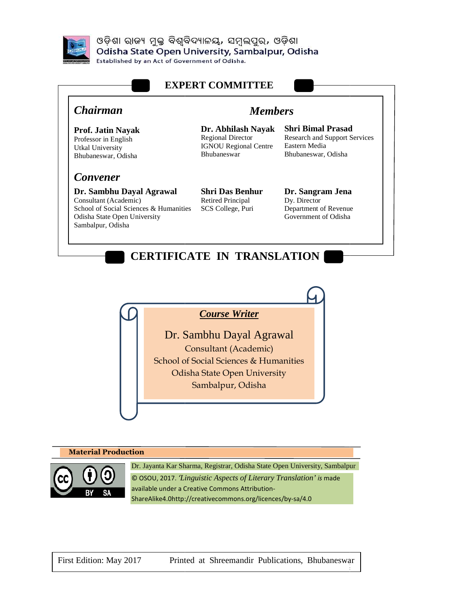

ଓଡ଼ିଶା ରାଜ୍ୟ ମୁକ୍ତ ବିଶ୍ୱବିଦ୍ୟାଳୟ, ସମ୍ବଲପୁର, ଓଡ଼ିଶା Odisha State Open University, Sambalpur, Odisha

**Established by an Act of Government of Odisha.** 



*Course Writer*

Dr. Sambhu Dayal Agrawal Agrawal Consultant (Academic) (Academic) School of Social Sciences & Humanities Odisha State Open University Sambalpur, Odisha

#### **Material Production**



Dr. Jayanta Kar Sharma, Registrar, Odisha State Open University, Sambalpur © OSOU, 2017. *'Linguistic Aspects of Literary Translation Translation' is* made available under a Creative Commons Attribution Attribution-ShareAlike4.0http://creativecommons.org/licences/by ShareAlike4.0http://creativecommons.org/licences/by-sa/4.0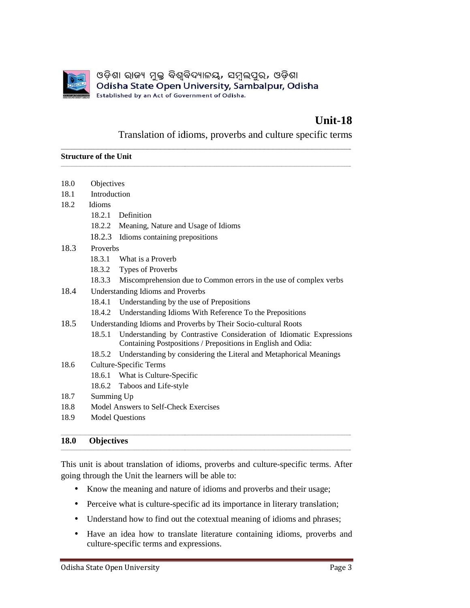

### **Unit-18 8**

#### Translation of idioms, proverbs and culture specific terms

#### **Structure of the Unit**

|             | ଓଡ଼ିଶା ରାଜ୍ୟ ମୁକ୍ତ ବିଶ୍ୱବିଦ୍ୟାଳୟ, ସମ୍ବଲପୁର, ଓଡ଼ିଶା<br>Odisha State Open University, Sambalpur, Odisha<br>Established by an Act of Government of Odisha. |
|-------------|---------------------------------------------------------------------------------------------------------------------------------------------------------|
|             | Unit-18<br>Translation of idioms, proverbs and culture specific terms                                                                                   |
|             | <b>Structure of the Unit</b>                                                                                                                            |
| 18.0        | Objectives                                                                                                                                              |
| 18.1        | Introduction                                                                                                                                            |
| 18.2        | Idioms                                                                                                                                                  |
|             | 18.2.1<br>Definition                                                                                                                                    |
|             | 18.2.2<br>Meaning, Nature and Usage of Idioms                                                                                                           |
|             | 18.2.3<br>Idioms containing prepositions                                                                                                                |
| 18.3        | Proverbs                                                                                                                                                |
|             | 18.3.1<br>What is a Proverb                                                                                                                             |
|             | 18.3.2<br>Types of Proverbs                                                                                                                             |
|             | 18.3.3<br>Miscomprehension due to Common errors in the use of complex verbs                                                                             |
| 18.4        | <b>Understanding Idioms and Proverbs</b>                                                                                                                |
|             | 18.4.1<br>Understanding by the use of Prepositions                                                                                                      |
|             | Understanding Idioms With Reference To the Prepositions<br>18.4.2                                                                                       |
| 18.5        | Understanding Idioms and Proverbs by Their Socio-cultural Roots                                                                                         |
|             | 18.5.1<br>Understanding by Contrastive Consideration of Idiomatic Expressions                                                                           |
|             | Containing Postpositions / Prepositions in English and Odia:                                                                                            |
|             | 18.5.2<br>Understanding by considering the Literal and Metaphorical Meanings                                                                            |
| 18.6        | Culture-Specific Terms                                                                                                                                  |
|             | What is Culture-Specific<br>18.6.1                                                                                                                      |
|             | 18.6.2<br>Taboos and Life-style                                                                                                                         |
| 18.7        | Summing Up                                                                                                                                              |
| 18.8        | Model Answers to Self-Check Exercises                                                                                                                   |
| 18.9        | <b>Model Questions</b>                                                                                                                                  |
| <b>18.0</b> | <b>Objectives</b>                                                                                                                                       |
|             | This unit is about translation of idioms, proverbs and culture-specific terms. After                                                                    |
|             | going through the Unit the learners will be able to:                                                                                                    |
|             | Know the meaning and nature of idioms and proverbs and their usage;                                                                                     |
| $\bullet$   | Perceive what is culture-specific ad its importance in literary translation;                                                                            |
| $\bullet$   | Understand how to find out the cotextual meaning of idioms and phrases;                                                                                 |
|             | Have an idea how to translate literature containing idioms, proverbs and<br>culture-specific terms and expressions.                                     |

#### **18.0 Objectives**

- Perceive what is culture-specific ad its importance in literary translation;
- Understand how to find out the cotextual meaning of idioms and phrases;
- Have an idea how to translate literature containing idioms, proverbs and culture-specific terms and expressions.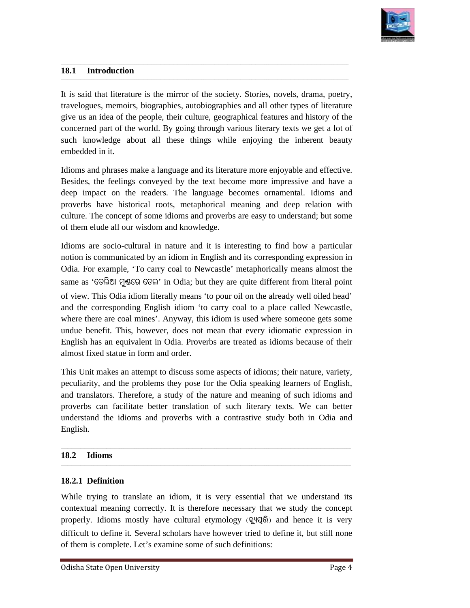

#### **18.1 Introduction**

It is said that literature is the mirror of the society. Stories, novels, drama, poetry, travelogues, memoirs, biographies, autobiographies and all other types of literature give us an idea of the people, their culture, geographical features and history of the concerned part of the world. By going through various literary texts we get a lot of such knowledge about all these things while enjoying the inherent beauty embedded in it. the people, their culture, geographical features and history of the the world. By going through various literary texts we get a lot of about all these things while enjoying the inherent beauty s make a language and its lit travelogues, memoirs, biographies, autobiographies and all other types of literature<br>give us an idea of the people, their culture, geographical features and history of the<br>concerned part of the world. By going through vari

\_\_\_\_\_\_\_\_\_\_\_\_\_\_\_\_\_\_\_\_\_\_\_\_\_\_\_\_\_\_\_\_\_\_\_\_\_\_\_\_\_\_\_\_\_\_\_\_\_\_\_\_\_\_\_\_\_\_\_\_\_\_\_\_\_\_\_\_\_\_\_\_\_\_\_\_\_\_\_\_\_\_\_\_\_\_\_\_\_\_\_\_\_\_\_\_\_\_\_\_\_\_\_\_\_\_\_\_\_\_\_\_\_\_\_\_\_\_\_\_\_\_\_\_\_

\_\_\_\_\_\_\_\_\_\_\_\_\_\_\_\_\_\_\_\_\_\_\_\_\_\_\_\_\_\_\_\_\_\_\_\_\_\_\_\_\_\_\_\_\_\_\_\_\_\_\_\_\_\_\_\_\_\_\_\_\_\_\_\_\_\_\_\_\_\_\_\_\_\_\_\_\_\_\_\_\_\_\_\_\_\_\_\_\_\_\_\_\_\_\_\_\_\_\_\_\_\_\_\_\_\_\_\_\_\_\_\_\_\_\_\_\_\_\_\_\_\_\_\_\_\_\_\_\_\_\_\_\_ \_\_\_\_\_\_\_\_\_\_\_\_\_\_\_\_\_\_\_\_\_\_\_\_\_\_\_\_\_\_\_\_\_\_\_\_\_\_\_\_\_\_\_\_\_\_\_\_\_\_\_\_\_\_\_\_\_\_\_\_\_\_\_\_\_\_\_\_\_\_\_\_\_\_\_\_\_\_\_\_\_\_\_\_\_\_\_\_\_\_\_\_\_\_\_\_\_\_\_\_\_\_\_\_\_\_\_\_\_\_\_\_\_\_\_\_\_\_\_\_\_\_\_\_\_\_\_\_\_\_\_\_\_

\_\_\_\_\_\_\_\_\_\_\_\_\_\_\_\_\_\_\_\_\_\_\_\_\_\_\_\_\_\_\_\_\_\_\_\_\_\_\_\_\_\_\_\_\_\_\_\_\_\_\_\_\_\_\_\_\_\_\_\_\_\_\_\_\_\_\_\_\_\_\_\_\_\_\_\_\_\_\_\_\_\_\_\_\_\_\_\_\_\_\_\_\_\_\_\_\_\_\_\_\_\_\_\_\_\_\_\_\_\_\_\_\_\_\_\_\_\_\_\_\_\_\_\_\_

Idioms and phrases make a language and its literature more enjoyable and effective. Besides, the feelings conveyed by the text become more impressive and have a deep impact on the readers. The language becomes ornamental. Idioms and proverbs have historical roots, metaphorical meaning and deep relation with culture. The concept of some idioms and proverbs are easy to understand; but some of them elude all our wisdom and knowledge. of them elude all our wisdom and knowledge.

Idioms are socio-cultural in nature and it is interesting to find how a particular notion is communicated by an idiom in English and its corresponding expression in Odia. For example, 'To carry coal to Newcastle' metaphorically m same as 'ତେଲିଆ ମୁଣ୍ଡରେ ତେଲ' in Odia; but they are quite different from literal point of view. This Odia idiom literally means 'to pour oil on the already well oiled head' of view. This Odia idiom literally means 'to pour oil on the already well oiled head'<br>and the corresponding English idiom 'to carry coal to a place called Newcastle, where there are coal mines'. Anyway, this idiom is used where someone gets some undue benefit. This, however, does not mean that every idiomatic expression in English has an equivalent in Odia. Proverbs are treated as idioms because of their almost fixed statue in form and order. cultural in nature and it is interesting to find how a particular<br>icated by an idiom in English and its corresponding expression in<br>e, 'To carry coal to Newcastle' metaphorically means almost the mirror of the society. Stories, novels, drama, poetry,<br>this, autohographies and all other types of literature<br>their culture, geographical features and history of the<br>by going through various literary texts we get a lot of<br> proverbs have historical roots, metaphorical meaning and deep relation<br>culture. The concept of some idioms and proverbs are easy to understand; but<br>of them elude all our wisdom and knowledge.<br>Idioms are socio-cultural in n

This Unit makes an attempt to discuss some aspects of idioms; their nature, variety, peculiarity, and the problems they pose for the Odia speaking learners of English, and translators. Therefore, a study of the nature and meaning of such idioms and proverbs can facilitate better translation of such literary texts. understand the idioms and proverbs with a contrastive study both in Odia and English. inceptive there are coal mines'. Anyway, this idiom is used where someone gets some<br>ue benefit. This, however, does not mean that every idiomatic expression in<br>lish has an equivalent in Odia. Proverbs are treated as idioms

\_\_\_\_\_\_\_\_\_\_\_\_\_\_\_\_\_\_\_\_\_\_\_\_\_\_\_\_\_\_\_\_\_\_\_\_\_\_\_\_\_\_\_\_\_\_\_\_\_\_\_\_\_\_\_\_\_\_\_\_\_\_\_\_\_\_\_\_\_\_\_\_\_\_\_\_\_\_\_\_\_\_\_\_\_\_\_\_\_\_\_\_\_\_\_\_\_\_\_\_\_\_\_\_\_\_\_\_\_\_\_\_\_\_\_\_\_\_\_\_\_\_\_\_\_\_\_\_\_\_\_\_\_\_

\_\_\_\_\_\_\_\_\_\_\_\_\_\_\_\_\_\_\_\_\_\_\_\_\_\_\_\_\_\_\_\_\_\_\_\_\_\_\_\_\_\_\_\_\_\_\_\_\_\_\_\_\_\_\_\_\_\_\_\_\_\_\_\_\_\_\_\_\_\_\_\_\_\_\_\_\_\_\_\_\_\_\_\_\_\_\_\_\_\_\_\_\_\_\_\_\_\_\_\_\_\_\_\_\_\_\_\_\_\_\_\_\_\_\_\_\_\_\_\_\_\_\_\_\_

#### **18.2 Idioms**  18.2 Idioms

#### **18.2.1 Definition**

While trying to translate an idiom, it is very essential that we understand its contextual meaning correctly. It is therefore necessary that we study the concept contextual meaning correctly. It is therefore necessary that we study the concept properly. Idioms mostly have cultural etymology (**aêý\_ô©ò**) and hence it is very difficult to define it. Several scholars have however tried to define it, but still none of them is complete. Let's examine some of such definitions:

 $\overline{\phantom{a}}$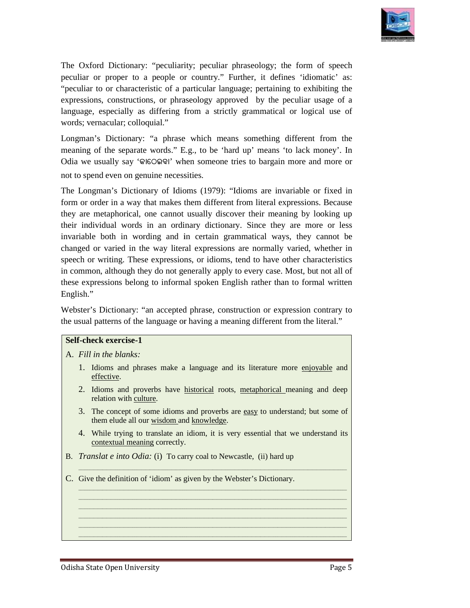

The Oxford Dictionary: "peculiarity; peculiar phraseology; the form of speech peculiar or proper to a people or country." Further, it defines 'idiomatic' as: "peculiar to or characteristic of a particular language; pertaining to exhibiting the expressions, constructions, or phraseology approved by the peculiar usage of a language, especially as differing from a strictly grammatical or logical use of words; vernacular; colloquial." language, especially as differing from a strictly grammatical or logical use of<br>words; vernacular; colloquial."<br>Longman's Dictionary: "a phrase which means something different from the

meaning of the separate words." E.g., to be 'hard up' means 'to lack money'. In Odia we usually say '**KûùVAaû**' when someone tries to bargain more and more or not to spend even on genuine necessities.

not to spend even on genuine necessities.<br>The Longman's Dictionary of Idioms (1979): "Idioms are invariable or fixed in form or order in a way that makes them different from literal expressions. Because they are metaphorical, one cannot usually discover their meaning by looking up they are metaphorical, one cannot usually discover their meaning by looking up their individual words in an ordinary dictionary. Since they are more or less invariable both in wording and in certain grammatical ways, they cannot be changed or varied in the way literal expressions are normally varied, whether in speech or writing. These expressions, or idioms, tend to have other characteristics in common, although they do not generally apply to every case. Most, but not all of English." changed or varied in the way literal expressions are normally varied, whether in speech or writing. These expressions, or idioms, tend to have other characteristics in common, although they do not generally apply to every ford Divtionary: "peculiarity: peculiar phraseology; the form of spectral<br>or proper to a people or country." Parther, it defines 'idionatic' as:<br>or or characteristic of a particular hargonge, pertoining to exhibiting the<br> peculiar or proper to a people or country." Further, it defines 'idiomatic' as:<br>"peculiar to or characteristic of a particular language; pertaining to exhibiting the<br>expressions, constructions, or phraseology approved by t

these expressions belong to informal spoken English rather than to formal written<br>English."<br>Webster's Dictionary: "an accepted phrase, construction or expression contrary to<br>the usual patterns of the language or having a m Webster's Dictionary: "an accepted phrase, construction or expression contrary to the usual patterns of the language or having a meaning different from the literal."

#### **Self-check exercise-1**

#### A. *Fill in the blanks:*

- 1. Idioms and phrases make a language and its literature more enjoyable and effective.
- 2. Idioms and proverbs have historical roots, metaphorical meaning and deep relation with culture.
- 3. The concept of some idioms and proverbs are easy to understand; but some of them elude all our wisdom and knowledge.
- 4. While trying to translate an idiom, it is very essential that we understand its contextual meaning correctly. 4. While trying to translate an idiom, it is very essential that w<br>
<u>contextual meaning</u> correctly.<br>
B. *Translat e into Odia:* (i) To carry coal to Newcastle, (ii) hard up

*\_\_\_\_\_\_\_\_\_\_\_\_\_\_\_\_\_\_\_\_\_\_\_\_\_\_\_\_\_\_\_\_\_\_\_\_\_\_\_\_\_\_\_\_\_\_\_\_\_\_\_\_\_\_\_\_\_\_\_\_\_\_\_\_\_\_\_\_\_\_\_\_\_\_\_\_\_\_\_\_\_\_\_\_\_\_\_\_\_\_\_\_\_\_\_\_\_\_\_\_\_\_\_\_\_\_\_\_\_\_\_\_\_\_\_\_\_\_\_\_\_\_\_\_*

*\_\_\_\_\_\_\_\_\_\_\_\_\_\_\_\_\_\_\_\_\_\_\_\_\_\_\_\_\_\_\_\_\_\_\_\_\_\_\_\_\_\_\_\_\_\_\_\_\_\_\_\_\_\_\_\_\_\_\_\_\_\_\_\_\_\_\_\_\_\_\_\_\_\_\_\_\_\_\_\_\_\_\_\_\_\_\_\_\_\_\_\_\_\_\_\_\_\_\_\_\_\_\_\_\_\_\_\_\_\_\_\_\_\_\_\_\_\_\_\_\_\_\_\_ \_\_\_\_\_\_\_\_\_\_\_\_\_\_\_\_\_\_\_\_\_\_\_\_\_\_\_\_\_\_\_\_\_\_\_\_\_\_\_\_\_\_\_\_\_\_\_\_\_\_\_\_\_\_\_\_\_\_\_\_\_\_\_\_\_\_\_\_\_\_\_\_\_\_\_\_\_\_\_\_\_\_\_\_\_\_\_\_\_\_\_\_\_\_\_\_\_\_\_\_\_\_\_\_\_\_\_\_\_\_\_\_\_\_\_\_\_\_\_\_\_\_\_\_ \_\_\_\_\_\_\_\_\_\_\_\_\_\_\_\_\_\_\_\_\_\_\_\_\_\_\_\_\_\_\_\_\_\_\_\_\_\_\_\_\_\_\_\_\_\_\_\_\_\_\_\_\_\_\_\_\_\_\_\_\_\_\_\_\_\_\_\_\_\_\_\_\_\_\_\_\_\_\_\_\_\_\_\_\_\_\_\_\_\_\_\_\_\_\_\_\_\_\_\_\_\_\_\_\_\_\_\_\_\_\_\_\_\_\_\_\_\_\_\_\_\_\_\_ \_\_\_\_\_\_\_\_\_\_\_\_\_\_\_\_\_\_\_\_\_\_\_\_\_\_\_\_\_\_\_\_\_\_\_\_\_\_\_\_\_\_\_\_\_\_\_\_\_\_\_\_\_\_\_\_\_\_\_\_\_\_\_\_\_\_\_\_\_\_\_\_\_\_\_\_\_\_\_\_\_\_\_\_\_\_\_\_\_\_\_\_\_\_\_\_\_\_\_\_\_\_\_\_\_\_\_\_\_\_\_\_\_\_\_\_\_\_\_\_\_\_\_\_ \_\_\_\_\_\_\_\_\_\_\_\_\_\_\_\_\_\_\_\_\_\_\_\_\_\_\_\_\_\_\_\_\_\_\_\_\_\_\_\_\_\_\_\_\_\_\_\_\_\_\_\_\_\_\_\_\_\_\_\_\_\_\_\_\_\_\_\_\_\_\_\_\_\_\_\_\_\_\_\_\_\_\_\_\_\_\_\_\_\_\_\_\_\_\_\_\_\_\_\_\_\_\_\_\_\_\_\_\_\_\_\_\_\_\_\_\_\_\_\_\_\_\_\_ \_\_\_\_\_\_\_\_\_\_\_\_\_\_\_\_\_\_\_\_\_\_\_\_\_\_\_\_\_\_\_\_\_\_\_\_\_\_\_\_\_\_\_\_\_\_\_\_\_\_\_\_\_\_\_\_\_\_\_\_\_\_\_\_\_\_\_\_\_\_\_\_\_\_\_\_\_\_\_\_\_\_\_\_\_\_\_\_\_\_\_\_\_\_\_\_\_\_\_\_\_\_\_\_\_\_\_\_\_\_\_\_\_\_\_\_\_\_\_\_\_\_\_\_*

- 
- C. Give the definition of 'idiom' as given by the Webster's Dictionary.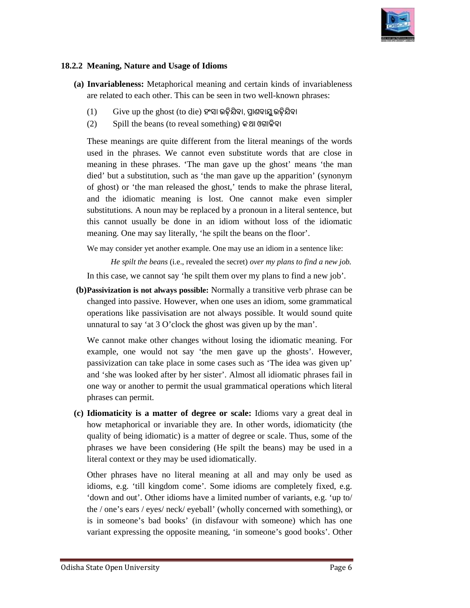

#### 18.2.2 Meaning, Nature and Usage of Idioms

- **(a) Invariableness:** Metaphorical meaning and certain kinds of invariableness Invariableness: Metaphorical meaning and certain kinds of invariable are related to each other. This can be seen in two well-known phrases:
	- $(1)$   $\;\;\;\;$  Give up the ghost (to die) ହଂସା ଉଢ଼ିଯିବା, ପ୍ରାଣବାଯୁ ଉଢ଼ିଯିବା
	- $(2)$  Spill the beans (to reveal something) କଥା ଓଗାଳିବା

These meanings are quite different from the literal meanings of the words used in the phrases. We cannot even substitute words that are close in meaning in these phrases. 'The man gave up the ghost' means 'the man died' but a substitution, such as 'the man gave up the apparition' (synonym of ghost) or 'the man released the ghost,' tends to make the phrase literal, and the idiomatic meaning is lost. One cannot make even simpler substitutions. A noun may be replaced by a pronoun in a literal sentence, but this cannot usually be done in an idiom without loss of the idiomatic this cannot usually be done in an idiom without loss of th<br>meaning. One may say literally, 'he spilt the beans on the floor'. These meanings are quite different from the literal meanings of the words used in the phrases. We cannot even substitute words that are close in meaning in these phrases. 'The man gave up the ghost' means 'the man died' bu **Meaning, Nature and Usige of Idioms**<br> **Invariancheness**: Metaphorical meaning and certain kinds of invariableness<br>
are related to each other. This can be seen in two well known phrases<br>
are related to each other. This ca **Trableness:** Metaphorical meaning and certain kinds of invariableness<br>lated to each other. This can be seen in two well-known phrases:<br><br>Give up the ghost (to die)  $\mathcal{Q} \otimes \mathbb{Q} \otimes \mathbb{Q} \otimes \mathbb{Q} \otimes \mathbb{Q} \otimes \mathbb{Q}$ <br>Spi

We may consider yet another example. One may use an idiom in a sentence like:

*He spilt the beans* (i.e., revealed the secret) *over my plans to find a new job.* 

In this case, we cannot say 'he spilt them over my plans to find a new job'.

**(b) Passivization is not always possible:** Normally a transitive verb phrase can be changed into passive. However, when one uses an idiom, some grammatical operations like passivisation are not always possible. It would sound quite unnatural to say 'at 3 O'clock the ghost was given up by the man'.

We cannot make other changes without losing the idiomatic meaning. For example, one would not say 'the men gave up the ghosts'. However, passivization can take place in some cases such as 'The idea was given up' and 'she was looked after by her sister'. A one way or another to permit the usual grammatical operations which literal phrases can permit. ake other changes without losing the idiomatic meaning. For<br>
"would not say 'the men gave up the ghosts'. However,<br>
can take place in some cases such as 'The idea was given up'<br>
looked after by her sister'. Almost all idio like passivisation are not always possible. It would sound quite<br>to say 'at 3 O'clock the ghost was given up by the man'.<br>t make other changes without losing the idiomatic meaning. For<br>one would not say 'the men gave up th

**(c) Idiomaticity is a matter of degree or scale: scale:** Idioms vary a great deal in how metaphorical or invariable they are. In other words, idiomaticity (the quality of being idiomatic) is a matter of degree or scale. Thus, some of the quality of being idiomatic) is a matter of degree or scale. Thus, some of the phrases we have been considering (He spilt the beans) may be used in a literal context or they may be used idiomatically.

literal context or they may be used idiomatically.<br>Other phrases have no literal meaning at all and may only be used as idioms, e.g. 'till kingdom come'. Some idioms are completely fixed, e.g. 'down and out'. Other idioms have a limited number of variants, e.g. 'up to/ the / one's ears / eyes/ neck/ eyeball' (wholly concerned with something), or is in someone's bad books' ( (in disfavour with someone) which has one variant expressing the opposite meaning, 'in someone's good books'. Other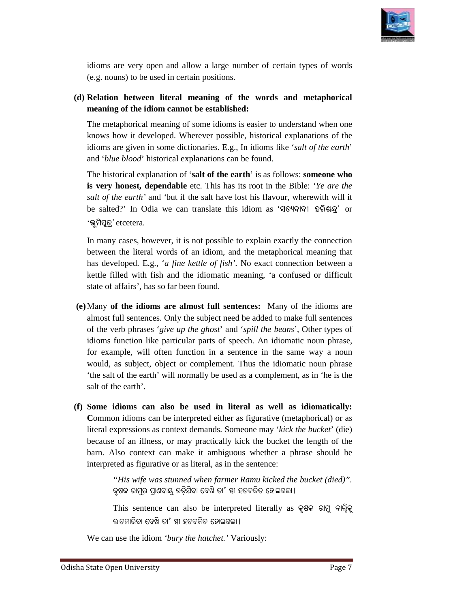

idioms are very open and allow a large number of certain types of words (e.g. nouns) to be used in certain positions.

#### (d) Relation between literal meaning of the words and metaphorical meaning of the idiom cannot be established: **meaning of the idiom cannot be established:**

The metaphorical meaning of some idioms is easier to understand when one The metaphorical meaning of some idioms is easier to understand when one knows how it developed. Wherever possible, historical explanations of the idioms are given in some dictionaries. E.g., In idioms like 'salt of the earth' and '*blue blood*' historical explanations can be found.

The historical explanation of 'salt of the earth' is as follows: someone who **is very honest, dependable** etc. This has its root in the Bible: 'Ye are the *salt of the earth'* and *'*but if the salt have lost his f flavour, wherewith will it be salted?' In Odia we can translate this idiom as ' In **iZýaû\ú jeò½¦â'** or '**bìcò\_êZâ'** etcetera.

In many cases, however, it is not possible to explain exactly the connection In many cases, however, it is not possible to explain exactly the connection between the literal words of an idiom, and the metaphorical meaning that has developed. E.g., '*a fine kettle of fish*'. No exact connection between a kettle filled with fish and the idiomatic meaning, 'a confused or difficult state of affairs', has so far been found.

- **(e)** Many **of the idioms are almost full sentences:**  Many of the idioms are almost full sentences. Only the subject need be added to make full sentences of the verb phrases '*give up the ghost* ' and '*spill the beans*', Other types of idioms function like particular parts of speech. An idiomatic noun phrase, for example, will often function in a sentence in the same way a noun would, as subject, object or complement. Thus the idiomatic noun phrase 'the for example, will often function in a sentence in the same way a noun would, as subject, object or complement. Thus the idiomatic noun phrase 'the salt of the earth' will normally be used as a complement, as in 'he is the salt of the earth'. avour, r possible exactly the connection of an e Many added types function like idiomatic noun complement. 'the will normally complement, bucket context it
- (f) Some idioms can also be used in literal as well as idiomatically: Common idioms can be interpreted either as figurative (metaphorical) or as literal expressions as context demands. Someone may 'kick the bucket' (die) because of an illness, or may practically kick the bucket the length of the barn. Also context can make it ambiguous whether a phrase should be barn. Also context can make it ambiguous whether interpreted as figurative or as literal, as in the sentence:

"His wife was stunned when farmer Ramu kicked the bucket (died)". କୃଷକ ରାମୁର ପ୍ରାଣବାୟୁ ଉଡ଼ିଯିବା ଦେଖି ତା $^{\prime}$  ସ୍ୱୀ ହତଚକିତ ହୋଇଗଲା ।

This sentence can also be interpreted literally as କୃଷକ ରାମୁ ବାଲ୍ବିକୁ ଲାତମାରିବା ଦେଖି ତା $^\prime$  ସ୍ତୀ ହତଚକିତ ହୋଇଗଲା ।

We can use the idiom *'bury the hatchet.'* Variously: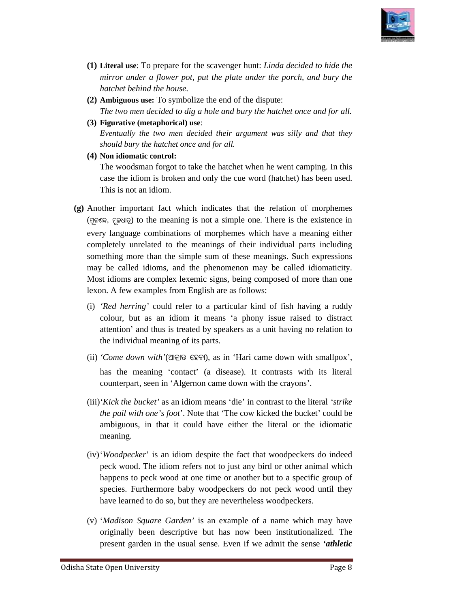

- (1) Literal use: To prepare for the scavenger hunt: *Linda decided to hide the mirror under a flower pot, put the plate under the porch, and bury the hatchet behind the house. house. a flower pot, put the plate under*<br>*d the house.*<br>**e:** To symbolize the end of the disp<br>*lecided to dig a hole and bury the*
- (2) **Ambiguous use:** To symbolize the end of the dispute: The two men decided to dig a hole and bury the hatchet once and for all.
- **(3) Figurative (metaphorical) (metaphorical) use**: Eventually the two men decided their argument was silly and that they *should bury the hatchet once and for all.*
- **(4) Non idiomatic control:**

The woodsman forgot to take the hatchet when he went camping. In this case the idiom is broken and only the cue word (hatchet) has been used. This is not an idiom.

- **(g)** Another important fact which indicates that the relation of morphemes (ମୂଳଶବ, ମୂଳଧାତୁ) to the meaning is not a simple one. There is the existence in every language combinations of morphemes which have a meaning either every language combinations of morphemes which have a meaning either<br>completely unrelated to the meanings of their individual parts including something more than the simple sum of these meanings. Such expressions may be called idiomaticity.<br>Most idioms are complex lexemic signs, being composed of more than one<br>lexon. A few examples from English are as follows: may be called idioms, and the phenomenon may be called idiomaticity. Most idioms are complex lexemic signs, being composed of more than one lexon. A few examples from English case the idiom is broken and only the cue word (hatchet) has been used.<br>This is not an idiom.<br>The coulder important fact which indicates that the relation of morphemes<br>(S[cose, .gov]) to the meaning is not a simple one. T
	- (i) *'Red herring'* could refer to a particular kind of fish having a ruddy colour, but as an idiom it means 'a phony issue raised to distract attention' and thus is treated by speakers as a unit having no relation to the individual meaning of its parts. prace could refer to a particular kind of<br>as an idiom it means 'a phony issued thus is treated by speakers as a unit<br>al meaning of its parts.
	- (ii) 'Come down with'(ଆକ୍ରାନ୍ତ ହେବା), as in 'Hari came down with smallpox', has the meaning 'contact' (a disease). It contrasts with its literal counterpart, seen in 'Algernon came down with the crayons'.
	- counterpart, seen in 'Algernon came down with the crayons'.<br>(iii) 'Kick the bucket' as an idiom means 'die' in contrast to the literal 'strike *the pail with one's foot*'. Note that 'The cow kicked the bucket' could be ambiguous, in that it could have either the literal or the idiomatic meaning. *one's foot'*. Note that 'The cow kicked the bucket' could be in that it could have either the literal or the idiomatic  $r'$  is an idiom despite the fact that woodpeckers do indeed The idiom refers not to just any bird or
	- (iv)'*Woodpecker*' is an idiom despite the fact that woodpeckers do indeed peck wood. The idiom refers not to just any bird or other animal which happens to peck wood at one time or another but to a specific group of species. Furthermore baby woodpeckers do not peck wood until they have learned to do so, but they are nevertheless woodpeckers. happens to peck wood at one time or another but to a<br>species. Furthermore baby woodpeckers do not peck<br>have learned to do so, but they are nevertheless woodpe
	- (v) '*Madison Square Garden Garden'* is an example of a name which may have originally been descriptive but has now been institutionalized. The present garden in the usual sense. Even if we admit the sense 'athletic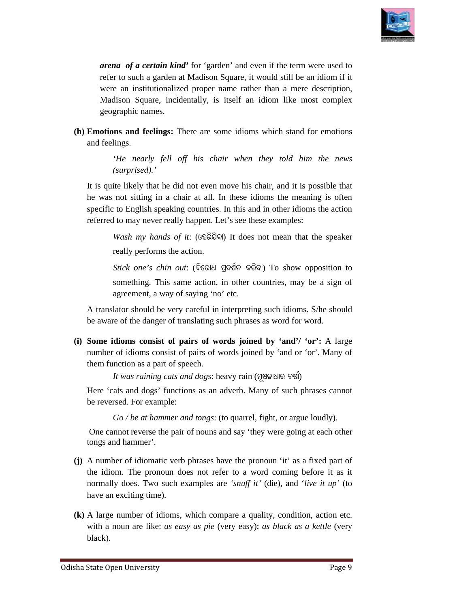

*arena of a certain kind'* for 'garden' and even if the term were used to refer to such a garden at Madison Square, it would still be an idiom if it were an institutionalized proper name rather than a mere description, Madison Square, incidentally, is itself an idiom like most complex geographic names. arena of a certain kind' for 'garden' and even if the term werefer to such a garden at Madison Square, it would still be an i<br>were an institutionalized proper name rather than a mere de<br>Madison Square, incidentally, is its

**(h) Emotions and feelings:** There are some idioms which stand for emotions and feelings.

> *'He nearly fell off his chair when they told him the news (surprised).'*

It is quite likely that he did not even move his chair, and it is possible that he was not sitting in a chair at all. In these idioms the meaning is often specific to English speaking countries. In this and in other idioms the action referred to may never really happen. Let's see these examples: referred to may never really happen. Let's see these examples:

*Wash my hands of it*: (ଓହରିଯିବା) It does not mean that the speaker really performs the action.

 $\it{Stick}$   $\it{one's}$   $\it{chin}$   $\it{out:}$  (ବିରୋଧ ପ୍ରଦର୍ଶନ କରିବା)  $\it{To}$  show opposition to something. This same action, in other countries, may be a sign of agreement, a way of saying 'no' etc. something. This same action, in other countries, may be a sign of agreement, a way of saying 'no' etc.<br>A translator should be very careful in interpreting such idioms. S/he should

be aware of the danger of translating such phrases as word for word.

(i) Some idioms consist of pairs of words joined by 'and'/ 'or': A large number of idioms consist of pairs of words joined by 'and or 'or'. Many of them function as a part of speech.

nction as a part of speech.<br>*It was raining cats and dogs*: heavy rain (ମୂଷଳାଧାର ବର୍ଷା)

Here 'cats and dogs' functions as an adverb. Many of such phrases cannot be reversed. For example:

*Go / be at hammer and tongs*: (to quarrel, fight, or argue loudly).

One cannot reverse the pair of nouns and say 'they were going at each other tongs and hammer'.

- **(j)** A number of idiomatic verb phrases have the pronoun 'it' as a fixed part of the idiom. The pronoun does not refer to a word coming before it as it normally does. Two such examples are 'snuff it' (die), and 'live it up' (to have an exciting time). diomatic verb phrases have the pronoun 'it' as a fixed part of<br>e pronoun does not refer to a word coming before it as it<br>Two such examples are '*snuff it'* (die), and '*live it up'* (to as not sitting in a chair at all. In these idioms the meaning is often<br>fic to Ionglish speaking countries. In this and in other idioms the action<br>ed to may never really happen. Let's see these examples:<br>Wash my hands of i
- **(k)** A large number of idioms, which compare a quality, condition, action etc. large with a noun are like: *as easy as pie* (very easy); *as black as a kettle* (very black).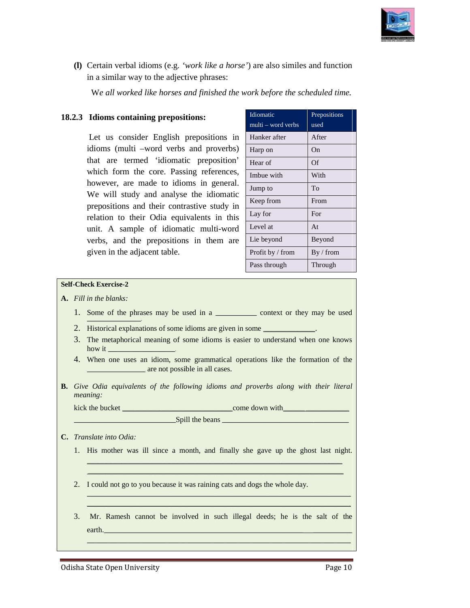

(I) Certain verbal idioms (e.g. 'work like a horse') are also similes and function in a similar way to the adjective phrases:

We all worked like horses and finished the work before the scheduled time.

#### **18.2.3 Idioms containing prepositions:**

Let us consider English prepositions in idioms (multi –word verbs and proverbs) that are termed 'idiomatic preposition' which form the core. Passing references, however, are made to idioms in general. We will study and analyse the idiomatic prepositions and their contrastive study in<br>relation to their Odia equivalents in this relation to their Odia equivalents in this unit. A sample of idiomatic multi-word verbs, and the prepositions in them are , given in the adjacent table. i –word verbs and proverbs)<br>med 'idiomatic preposition'<br>the core. Passing references,<br>made to idioms in general. **18.2.3 Idioms containing prepositions:**<br>
Let us consider English prepositions in Hanker a<br>
idioms (multi –word verbs and proverbs) Harp on<br>
that are termed 'idiomatic preposition' Heart of<br>
whe will study and analyse the

| Idiomatic          | Prepositions |
|--------------------|--------------|
| multi – word verbs | used         |
| Hanker after       | After        |
| Harp on            | On           |
| Hear of            | Of           |
| Imbue with         | With         |
| Jump to            | To           |
| Keep from          | From         |
| Lay for            | For          |
| Level at           | At           |
| Lie beyond         | Beyond       |
| Profit by / from   | By / from    |
| Pass through       | Through      |

#### **Self-Check Exercise-2**

- **A.** *Fill in the blanks:* 
	- 1. Some of the phrases may be used in a \_\_\_\_\_\_\_\_\_\_\_\_\_\_\_ context or they may be used
	- 2. Historical explanations of some idioms are given in some \_\_\_\_\_\_\_\_\_\_\_\_\_.
	- 3. The metaphorical meaning of some idioms is easier to understand when one knows how it 4. When one uses an idiom, some grammatical operations like the formation of the meaning some an
	- **EXECUTE:** are not possible in all cases.

example of the come down with

**B.** Give Odia equivalents of the following idioms and proverbs along with their literal *meaning:*

kick the bucket

 $\blacksquare$   $\blacksquare$   $\blacksquare$   $\blacksquare$   $\blacksquare$  the beans  $\blacksquare$ 

- **C.** *Translate into Odia:* 
	- 1. His mother was ill since a month, and finally she gave up the ghost last night.  $\mathcal{L}_\mathcal{L} = \mathcal{L}_\mathcal{L} = \mathcal{L}_\mathcal{L} = \mathcal{L}_\mathcal{L} = \mathcal{L}_\mathcal{L} = \mathcal{L}_\mathcal{L} = \mathcal{L}_\mathcal{L} = \mathcal{L}_\mathcal{L} = \mathcal{L}_\mathcal{L} = \mathcal{L}_\mathcal{L} = \mathcal{L}_\mathcal{L} = \mathcal{L}_\mathcal{L} = \mathcal{L}_\mathcal{L} = \mathcal{L}_\mathcal{L} = \mathcal{L}_\mathcal{L} = \mathcal{L}_\mathcal{L} = \mathcal{L}_\mathcal{L}$

\_\_\_\_\_\_\_\_\_\_\_\_\_\_\_\_\_\_\_\_\_\_\_\_\_\_\_\_\_\_\_\_\_\_\_\_\_\_\_\_\_\_\_\_\_\_\_\_\_\_\_\_\_\_\_\_\_\_\_\_\_\_\_\_\_\_\_\_\_\_\_\_\_\_\_\_\_\_\_\_\_\_\_\_\_\_\_\_\_\_\_\_\_\_\_\_\_\_\_\_\_\_\_\_\_\_\_\_\_\_\_\_\_\_\_\_\_\_\_\_\_\_\_\_\_\_\_\_\_\_\_\_\_\_\_\_\_\_\_\_\_\_\_\_\_\_\_\_\_\_\_\_\_\_\_\_\_\_\_\_\_\_\_\_\_\_\_\_\_\_\_\_\_\_\_\_\_\_\_\_\_\_\_\_\_\_\_\_\_\_\_\_\_\_\_\_\_\_\_\_\_\_\_\_\_\_\_\_\_

2. I could not go to you because it was raining cats and dogs the whole day.

\_\_\_\_\_\_\_\_\_\_\_\_\_\_\_\_\_\_\_\_\_\_\_\_\_\_\_\_\_\_\_\_\_\_\_\_\_\_\_\_\_\_\_\_\_\_\_\_\_\_\_\_\_\_\_\_\_\_\_\_\_\_\_\_\_\_\_\_\_\_\_\_\_\_\_\_\_\_\_\_\_\_\_\_\_\_\_\_\_\_

\_\_\_\_\_\_\_\_\_\_\_\_\_\_\_\_\_\_\_\_\_\_\_\_\_\_\_\_\_\_\_\_\_\_\_\_\_\_\_\_\_\_\_\_\_\_\_\_\_\_\_\_\_\_\_\_\_\_\_\_\_\_\_\_\_\_\_\_\_\_\_\_\_\_\_\_\_\_\_\_\_

3. Mr. Ramesh cannot be involved in such illegal deeds; he is the salt of the earth. The contract of  $\mathcal{L}$  and  $\mathcal{L}$  and  $\mathcal{L}$  are  $\mathcal{L}$  and  $\mathcal{L}$  and  $\mathcal{L}$  are  $\mathcal{L}$  and  $\mathcal{L}$  and  $\mathcal{L}$  are  $\mathcal{L}$  and  $\mathcal{L}$  and  $\mathcal{L}$  are  $\mathcal{L}$  and  $\mathcal{L}$  and  $\mathcal{L}$  are  $\math$ \_\_\_\_\_\_\_\_\_\_\_\_\_\_\_\_\_\_\_\_\_\_\_\_\_\_\_\_\_\_\_\_\_\_\_\_\_\_\_\_\_\_\_\_\_\_\_\_\_\_\_\_\_\_\_\_\_\_\_\_\_\_\_\_\_\_\_\_ \_\_\_\_\_\_\_\_\_\_\_\_\_\_\_\_\_\_\_\_\_\_\_\_\_\_\_\_\_\_\_\_\_\_\_\_\_\_\_\_\_\_\_\_\_\_\_\_\_\_\_\_\_\_\_\_\_\_\_\_\_\_\_\_\_\_\_\_\_\_\_\_\_\_\_\_\_\_\_\_\_\_\_\_\_\_\_\_\_\_\_\_\_\_\_ \_\_\_\_\_\_\_\_\_\_\_\_\_\_\_\_\_\_\_\_\_\_\_\_\_\_\_\_\_\_\_\_\_\_\_\_\_\_\_\_\_\_\_\_\_\_\_\_\_\_\_\_\_\_\_\_\_\_\_\_\_\_\_\_\_\_\_\_ \_\_\_\_\_\_\_\_\_\_\_\_\_\_\_\_\_\_\_\_\_\_\_\_\_\_\_\_\_\_\_\_\_\_\_\_\_\_\_\_\_

 $\mathcal{L}_\mathcal{L} = \mathcal{L}_\mathcal{L} = \mathcal{L}_\mathcal{L} = \mathcal{L}_\mathcal{L} = \mathcal{L}_\mathcal{L} = \mathcal{L}_\mathcal{L} = \mathcal{L}_\mathcal{L} = \mathcal{L}_\mathcal{L} = \mathcal{L}_\mathcal{L} = \mathcal{L}_\mathcal{L} = \mathcal{L}_\mathcal{L} = \mathcal{L}_\mathcal{L} = \mathcal{L}_\mathcal{L} = \mathcal{L}_\mathcal{L} = \mathcal{L}_\mathcal{L} = \mathcal{L}_\mathcal{L} = \mathcal{L}_\mathcal{L}$  $\_$  , and the set of the set of the set of the set of the set of the set of the set of the set of the set of the set of the set of the set of the set of the set of the set of the set of the set of the set of the set of th

 $\mathcal{L}_\mathcal{L} = \mathcal{L}_\mathcal{L} = \mathcal{L}_\mathcal{L} = \mathcal{L}_\mathcal{L} = \mathcal{L}_\mathcal{L} = \mathcal{L}_\mathcal{L} = \mathcal{L}_\mathcal{L} = \mathcal{L}_\mathcal{L} = \mathcal{L}_\mathcal{L} = \mathcal{L}_\mathcal{L} = \mathcal{L}_\mathcal{L} = \mathcal{L}_\mathcal{L} = \mathcal{L}_\mathcal{L} = \mathcal{L}_\mathcal{L} = \mathcal{L}_\mathcal{L} = \mathcal{L}_\mathcal{L} = \mathcal{L}_\mathcal{L}$ 

 $\mathcal{L}_\mathcal{L} = \mathcal{L}_\mathcal{L} = \mathcal{L}_\mathcal{L} = \mathcal{L}_\mathcal{L} = \mathcal{L}_\mathcal{L} = \mathcal{L}_\mathcal{L} = \mathcal{L}_\mathcal{L} = \mathcal{L}_\mathcal{L} = \mathcal{L}_\mathcal{L} = \mathcal{L}_\mathcal{L} = \mathcal{L}_\mathcal{L} = \mathcal{L}_\mathcal{L} = \mathcal{L}_\mathcal{L} = \mathcal{L}_\mathcal{L} = \mathcal{L}_\mathcal{L} = \mathcal{L}_\mathcal{L} = \mathcal{L}_\mathcal{L}$ 

Odisha State Open University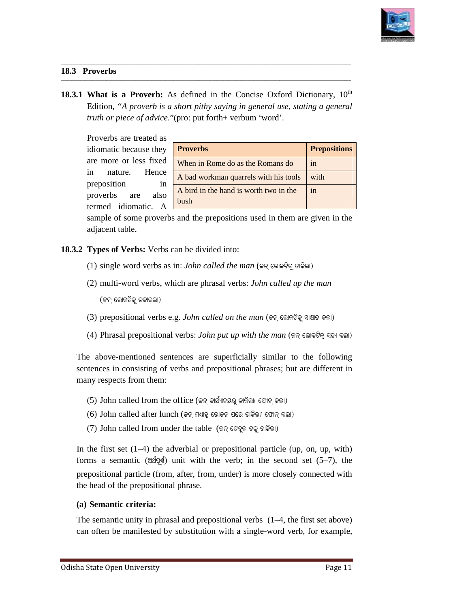

**\_\_\_\_\_\_\_\_\_**

#### **18.3 Proverbs**

18.3.1 What is a Proverb: As defined in the Concise Oxford Dictionary, 10<sup>th</sup> Edition, "A proverb is a short pithy saying in general use, stating a general *truth or piece of advice*."(pro: put forth+ verbum 'word'.

**\_\_\_\_\_\_\_\_\_\_\_\_\_\_\_\_\_\_\_\_\_\_\_\_\_\_\_\_\_\_\_\_\_\_\_\_\_\_\_\_\_\_\_\_\_\_\_\_\_\_\_\_\_\_\_\_\_\_\_\_\_\_\_\_\_\_\_\_\_\_\_\_\_\_\_\_\_\_\_\_\_\_\_\_\_\_\_\_\_\_\_\_\_\_\_\_\_\_\_\_\_\_\_\_\_\_\_\_\_\_\_\_\_\_\_\_\_\_\_\_\_\_\_\_\_\_\_\_\_\_\_\_\_\_**

**\_\_\_\_\_\_\_\_\_\_\_\_\_\_\_\_\_\_\_\_\_\_\_\_\_\_\_\_\_\_\_\_\_\_\_\_\_\_\_\_\_\_\_\_\_\_\_\_\_\_\_\_\_\_\_\_\_\_\_\_\_\_\_\_\_\_\_\_\_\_\_\_\_\_\_\_\_\_\_\_\_\_\_\_\_\_\_\_\_\_\_\_\_\_\_\_\_\_\_\_\_\_\_\_\_\_\_\_\_\_\_\_\_\_\_\_\_\_\_\_\_\_\_\_\_\_\_\_\_\_\_\_\_\_**

**\_\_\_\_\_\_\_\_\_\_\_\_\_\_\_\_\_\_\_\_\_\_\_\_\_\_\_\_\_\_\_\_\_\_\_\_\_\_\_\_\_\_\_\_\_\_\_\_\_\_\_\_\_\_\_\_\_\_\_\_\_\_\_\_\_\_\_\_\_\_\_\_\_\_\_\_\_\_\_\_\_\_\_\_\_\_\_\_\_\_\_\_\_\_\_\_\_\_\_\_\_\_\_\_\_\_\_\_\_\_\_\_\_\_\_\_\_\_\_\_\_\_\_\_\_**

| Proverbs are treated as                                                                                                                                                                                                                                |                                                                       |                     |  |  |  |
|--------------------------------------------------------------------------------------------------------------------------------------------------------------------------------------------------------------------------------------------------------|-----------------------------------------------------------------------|---------------------|--|--|--|
| idiomatic because they                                                                                                                                                                                                                                 | <b>Proverbs</b>                                                       | <b>Prepositions</b> |  |  |  |
| are more or less fixed                                                                                                                                                                                                                                 | When in Rome do as the Romans do                                      | in                  |  |  |  |
| nature.<br>Hence<br>in                                                                                                                                                                                                                                 | A bad workman quarrels with his tools                                 | with                |  |  |  |
| preposition<br>in<br>proverbs<br>also<br>are<br>termed idiomatic.<br>$\mathsf{A}$                                                                                                                                                                      | A bird in the hand is worth two in the<br>bush                        | in                  |  |  |  |
| sample of some proverbs and the prepositions used in them are given in the<br>adjacent table.<br><b>Types of Verbs:</b> Verbs can be divided into:                                                                                                     |                                                                       |                     |  |  |  |
|                                                                                                                                                                                                                                                        | (1) single word verbs as in: John called the man (ଜନ୍ ଲୋକଟିକୁ ଡାକିଲା) |                     |  |  |  |
|                                                                                                                                                                                                                                                        |                                                                       |                     |  |  |  |
| (2) multi-word verbs, which are phrasal verbs: <i>John called up the man</i>                                                                                                                                                                           |                                                                       |                     |  |  |  |
| (ଜନ୍ ଲୋକଟିକୁ ଡକାଇଲା)                                                                                                                                                                                                                                   |                                                                       |                     |  |  |  |
| (3) prepositional verbs e.g. John called on the man (କନ୍ ଲୋକଟିକୁ ସାକ୍ଷାତ କଲା)                                                                                                                                                                          |                                                                       |                     |  |  |  |
| (4) Phrasal prepositional verbs: John put up with the man (କନ୍ ଲୋକଟିକୁ ସହ୍ୟ କଲା)                                                                                                                                                                       |                                                                       |                     |  |  |  |
| e above-mentioned sentences are superficially similar to the following<br>ntences in consisting of verbs and prepositional phrases; but are different in<br>iny respects from them:                                                                    |                                                                       |                     |  |  |  |
| (5) John called from the office (ଜନ୍ କାର୍ଯ୍ୟାଳୟରୁ ଡାକିଲା/ ଫୋନ୍ କଲା)                                                                                                                                                                                    |                                                                       |                     |  |  |  |
| (6) John called after lunch (କନ୍ ମଧ୍ୟାହୁ ଭୋକନ ପରେ ଡାକିଲା/ ଫୋନ୍ କଲା)                                                                                                                                                                                    |                                                                       |                     |  |  |  |
| (7) John called from under the table (ଜନ୍ ଟେବୁଲ ତଳୁ ଡାକିଲା)                                                                                                                                                                                            |                                                                       |                     |  |  |  |
| the first set $(1-4)$ the adverbial or prepositional particle (up, on, up, with)<br>rms a semantic (ଅର୍ଥପୂର୍ଣ୍ଣ) unit with the verb; in the second set $(5-7)$ , the<br>epositional particle (from, after, from, under) is more closely connected with |                                                                       |                     |  |  |  |

**\_\_\_\_\_\_\_\_\_\_\_\_\_\_\_\_\_\_\_\_\_\_\_\_\_\_\_\_\_\_\_\_\_\_\_\_\_\_\_\_\_\_\_\_\_\_\_\_\_\_\_\_\_\_\_\_\_\_\_\_\_\_\_\_\_\_\_\_\_\_\_\_\_\_\_\_\_\_\_\_\_\_\_\_\_\_\_\_\_\_\_\_\_**

#### 18.3.2 Types of Verbs: Verbs can be divided into:

- (1) single word verbs as in: *John called the man* (କନ୍ ଲୋକଟିକୁ ଡାକିଲା)
- (2) multi-word verbs, which are phrasal verbs: *John called up the man* (ଜନ୍ ଲୋକଟିକୁ ଡକାଇଲା)
- $(3)$  prepositional verbs e.g. *John called on the man* (ଜନ୍ ଲୋକଟିକୁ ସାକ୍ଷାତ କଲା)
- $(4)$  Phrasal prepositional verbs: *John put up with the man* (ଜନ୍ ଲୋକଟିକୁ ସହ୍ୟ କଲା)

- (5) John called from the office (ଜନ୍ କାର୍ଯ୍ୟାଳୟରୁ ଡାକିଲା/ ଫୋନ୍ କଲା)
- $(6)$  John called after lunch (ଜନ୍ ମଧ୍ୟାହୁ ଭୋଜନ ପରେ ଡାକିଲା/ ଫୋନ୍ କଲା)
- (7) John called from under the table (କନ୍ ଟେବୁଲ ଡଳୁ ଡାକିଲା)

In the first set  $(1-4)$  the adverbial or prepositional particle (up, on, up, with) forms a semantic ( $\varnothing$  $\varnothing$  $\varnothing$ ) unit with the verb; in the second set (5–7), the prepositional particle (from, after, from, under) is more closely connected with the head of the prepositional phrase.

#### **(a) Semantic criteria:**

the head of the prepositional phrase.<br>
(a) Semantic criteria:<br>
The semantic unity in phrasal and prepositional verbs (1–4, the first set above) can often be manifested by substitution with a single-word verb, for example,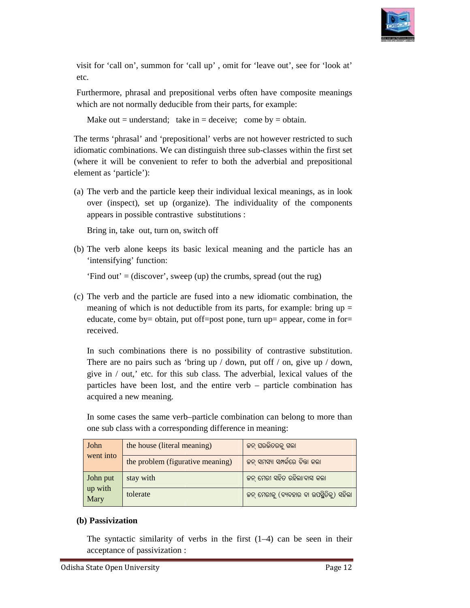

| c.                                                                                                                                                                                                                                                                         | isit for 'call on', summon for 'call up', omit for 'leave out', see for 'look at'                                                                                                                                                                                                                                                               |                                          |  |
|----------------------------------------------------------------------------------------------------------------------------------------------------------------------------------------------------------------------------------------------------------------------------|-------------------------------------------------------------------------------------------------------------------------------------------------------------------------------------------------------------------------------------------------------------------------------------------------------------------------------------------------|------------------------------------------|--|
| urthermore, phrasal and prepositional verbs often have composite meanings<br>hich are not normally deducible from their parts, for example:                                                                                                                                |                                                                                                                                                                                                                                                                                                                                                 |                                          |  |
| Make out = understand; take in = deceive; come by = obtain.                                                                                                                                                                                                                |                                                                                                                                                                                                                                                                                                                                                 |                                          |  |
| e terms 'phrasal' and 'prepositional' verbs are not however restricted to such<br>iomatic combinations. We can distinguish three sub-classes within the first set<br>there it will be convenient to refer to both the adverbial and prepositional<br>ement as 'particle'): |                                                                                                                                                                                                                                                                                                                                                 |                                          |  |
|                                                                                                                                                                                                                                                                            | The verb and the particle keep their individual lexical meanings, as in look<br>over (inspect), set up (organize). The individuality of the components<br>appears in possible contrastive substitutions :                                                                                                                                       |                                          |  |
|                                                                                                                                                                                                                                                                            | Bring in, take out, turn on, switch off                                                                                                                                                                                                                                                                                                         |                                          |  |
|                                                                                                                                                                                                                                                                            | ) The verb alone keeps its basic lexical meaning and the particle has an<br>'intensifying' function:                                                                                                                                                                                                                                            |                                          |  |
|                                                                                                                                                                                                                                                                            | 'Find out' = (discover', sweep (up) the crumbs, spread (out the rug)                                                                                                                                                                                                                                                                            |                                          |  |
| The verb and the particle are fused into a new idiomatic combination, the<br>meaning of which is not deductible from its parts, for example: bring $up =$<br>educate, come by= obtain, put off=post pone, turn up= appear, come in for=<br>received.                       |                                                                                                                                                                                                                                                                                                                                                 |                                          |  |
|                                                                                                                                                                                                                                                                            | In such combinations there is no possibility of contrastive substitution.<br>There are no pairs such as 'bring up / down, put off / on, give up / down,<br>give in / out,' etc. for this sub class. The adverbial, lexical values of the<br>particles have been lost, and the entire verb – particle combination has<br>acquired a new meaning. |                                          |  |
| In some cases the same verb-particle combination can belong to more than<br>one sub class with a corresponding difference in meaning:                                                                                                                                      |                                                                                                                                                                                                                                                                                                                                                 |                                          |  |
| John                                                                                                                                                                                                                                                                       | the house (literal meaning)                                                                                                                                                                                                                                                                                                                     | କନ୍ ଘରଭିତରକୁ ଗଲା                         |  |
| went into                                                                                                                                                                                                                                                                  | the problem (figurative meaning)                                                                                                                                                                                                                                                                                                                | ଜନ୍ ସମସ୍ୟା ସମ୍ପର୍କରେ ଚିନ୍ତା କଲା          |  |
| John put                                                                                                                                                                                                                                                                   | stay with                                                                                                                                                                                                                                                                                                                                       | କନ୍ ମେରୀ ସହିତ ରହିଲା/ବାସ କଲା              |  |
| up with<br>Mary                                                                                                                                                                                                                                                            | tolerate                                                                                                                                                                                                                                                                                                                                        | କନ୍ ମେରୀକୁ (ବ୍ୟବହାର ବା ଉପସ୍ଥିତିକୁ) ସହିଲା |  |
| b) Passivization                                                                                                                                                                                                                                                           |                                                                                                                                                                                                                                                                                                                                                 |                                          |  |
|                                                                                                                                                                                                                                                                            | The syntactic similarity of verbs in the first $(1-4)$ can be seen in their<br>acceptance of passivization :                                                                                                                                                                                                                                    |                                          |  |

#### **(b) Passivization**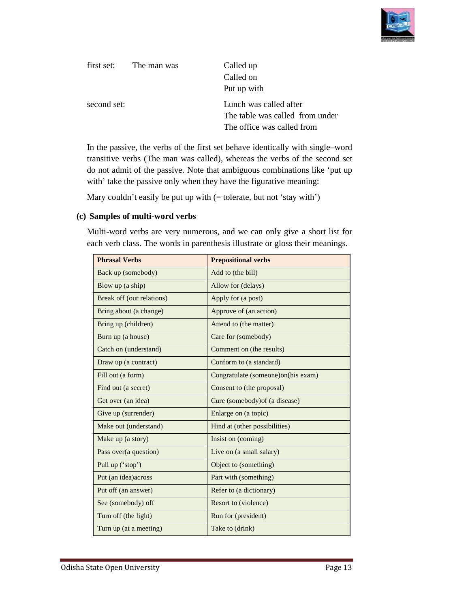

| first set:  | The man was | Called up                       |
|-------------|-------------|---------------------------------|
|             |             | Called on                       |
|             |             | Put up with                     |
| second set: |             | Lunch was called after          |
|             |             | The table was called from under |
|             |             | The office was called from      |

In the passive, the verbs of the first set behave identically with single–word transitive verbs (The man was called), whereas the verbs of the second set transitive verbs (The man was called), whereas the verbs of the second set<br>do not admit of the passive. Note that ambiguous combinations like 'put up with' take the passive only when they have the figurative meaning: be so f the first set behave identically with single–word<br>man was called), whereas the verbs of the second set<br>assive. Note that ambiguous combinations like 'put up

Mary couldn't easily be put up with  $($  = tolerate, but not 'stay with' $)$ 

#### **(c) Samples of multi-word verbs word**

Multi-word verbs are very numerous, and we can only give a short list for each verb class. The words in parenthesis illustrate or gloss their meanings.

| <b>Phrasal Verbs</b>      | <b>Prepositional verbs</b>         |
|---------------------------|------------------------------------|
| Back up (somebody)        | Add to (the bill)                  |
| Blow up (a ship)          | Allow for (delays)                 |
| Break off (our relations) | Apply for (a post)                 |
| Bring about (a change)    | Approve of (an action)             |
| Bring up (children)       | Attend to (the matter)             |
| Burn up (a house)         | Care for (somebody)                |
| Catch on (understand)     | Comment on (the results)           |
| Draw up (a contract)      | Conform to (a standard)            |
| Fill out (a form)         | Congratulate (someone)on(his exam) |
| Find out (a secret)       | Consent to (the proposal)          |
| Get over (an idea)        | Cure (somebody) of (a disease)     |
| Give up (surrender)       | Enlarge on (a topic)               |
| Make out (understand)     | Hind at (other possibilities)      |
| Make up (a story)         | Insist on (coming)                 |
| Pass over(a question)     | Live on (a small salary)           |
| Pull up ('stop')          | Object to (something)              |
| Put (an idea) across      | Part with (something)              |
| Put off (an answer)       | Refer to (a dictionary)            |
| See (somebody) off        | Resort to (violence)               |
| Turn off (the light)      | Run for (president)                |
| Turn up (at a meeting)    | Take to (drink)                    |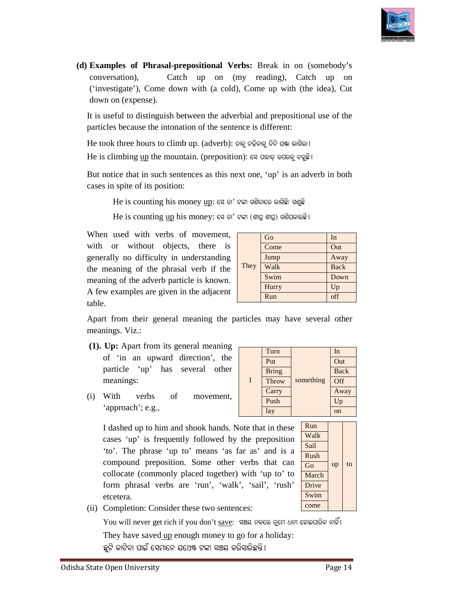

**(d) Examples of Phrasal-prepositional Verbs prepositional Verbs:** Break in on (somebody's conversation), Catch up on (my reading), Catch up on ('investigate'), Come down with (a cold), Come up with (the idea), Cut down on (expense).

It is useful to distinguish between the adverbial and prepositional use of the particles because the intonation of the sentence is different: It is useful to distinguish between the adverbial and preposition:<br>particles because the intonation of the sentence is different:<br>He took three hours to climb up. (adverb): ଡାକୁ ଚଢ଼ିବାକୁ ତିନି ଘଷା ଲାଗିଲା।

 $\operatorname{He}$  is climbing  $\operatorname{up}$  the mountain. (preposition): ସେ ପାହାଡ଼ ଉପରକୁ ଚତୁଛି ।

But notice that in such sentences as this next one, 'up' is an adverb in both cases in spite of its position:

 $\rm He~ is~counting~ his~money~up$ : ସେ ତା' ଟଙ୍କା ଗଣିବାରେ ଲାଗିଛି/ ଗଶୁଛି

 $\rm He~ is~ counting~up~his~money$ : ସେ ତା' ଟଙ୍କା (ଶାଘ୍ର ଶାଘ୍ର) ଗଣିପକାଉଛି ।

When used with verbs of movement, with or without objects, there is generally no difficulty in understanding the meaning of the phrasal verb if the meaning of the adverb particle is known. A few examples are given in the adjacent table. the or without objects, there is<br>
nerally no difficulty in understanding<br>  $\frac{1}{2}$  meaning of the adverb particle is known.<br>
few examples are given in the adjacent<br>  $\frac{1}{2}$  meanings. Viz.:<br>  $\frac{1}{2}$   $\frac{1}{2}$   $\frac{1}{2}$ is useful to distinguish between the adverbial and preporticles because the intonation of the sentence is different<br>
e took three hours to climb up. (adverb):  $\Theta_{\mathbb{R}} \otimes \widehat{\Theta} \otimes \widehat{\Theta}$  as is climbing up the mountain.

|      | Go    | In          |
|------|-------|-------------|
|      | Come  | Out         |
|      | Jump  | Away        |
| They | Walk  | <b>Back</b> |
|      | Swim  | Down        |
|      | Hurry | Up          |
|      | Run   | off         |

Put | Out Bring Back

Apart from their general meaning the particles may have several other meanings. Viz.:

- **(1). Up:** Apart from its general meaning of 'in an upward direction', the particle 'up' has several other meanings:
- $(i)$  With verbs of 'approach'; e.g.,

| meaning of the phrasal verb if the<br>ning of the adverb particle is known.<br>w examples are given in the adjacent                                                                                                                                                                                                                                                                                                                                              |   | Walk         |       | Bacl      |     |
|------------------------------------------------------------------------------------------------------------------------------------------------------------------------------------------------------------------------------------------------------------------------------------------------------------------------------------------------------------------------------------------------------------------------------------------------------------------|---|--------------|-------|-----------|-----|
|                                                                                                                                                                                                                                                                                                                                                                                                                                                                  |   | Swim         |       | Dow       |     |
|                                                                                                                                                                                                                                                                                                                                                                                                                                                                  |   | Hurry        |       |           | Up  |
| è.                                                                                                                                                                                                                                                                                                                                                                                                                                                               |   | Run          |       |           | off |
| rt from their general meaning the particles may have several otl<br>nings. Viz.:<br>Up: Apart from its general meaning                                                                                                                                                                                                                                                                                                                                           |   |              |       |           |     |
|                                                                                                                                                                                                                                                                                                                                                                                                                                                                  |   | Turn         |       |           | In  |
| of 'in an upward direction', the                                                                                                                                                                                                                                                                                                                                                                                                                                 |   | Put          |       |           | Ou  |
| particle 'up' has several other                                                                                                                                                                                                                                                                                                                                                                                                                                  |   | <b>Bring</b> |       |           | Ba  |
| meanings:                                                                                                                                                                                                                                                                                                                                                                                                                                                        | I | Throw        |       | something | Off |
| With<br>verbs of<br>movement,                                                                                                                                                                                                                                                                                                                                                                                                                                    |   | Carry        |       |           | Aw  |
|                                                                                                                                                                                                                                                                                                                                                                                                                                                                  |   | Push         |       |           | Up  |
| 'approach'; e.g.,                                                                                                                                                                                                                                                                                                                                                                                                                                                |   | lay          |       |           | on  |
| Run<br>I dashed up to him and shook hands. Note that in these<br>Walk<br>cases 'up' is frequently followed by the preposition<br>Sail<br>'to'. The phrase 'up to' means 'as far as' and is a<br>Rush<br>compound preposition. Some other verbs that can<br>Go<br>collocate (commonly placed together) with 'up to' to<br>form phrasal verbs are 'run', 'walk', 'sail', 'rush'<br>Drive<br>Swim<br>etcetera.<br>come<br>Completion: Consider these two sentences: |   |              | March | up        |     |
| You will never get rich if you don't save: ଏଞ୍ଜୟ ନକଲେ ତୁମେ ଧନୀ ହୋଇପାରିବ ନାହିଁ।<br>They have saved up enough money to go for a holiday:<br>ଛୁଟି କାଟିବା ପାଇଁ ସେମାନେ ଯଥେଷ୍ଟ ଟଙ୍କା ସଞ୍ଚୟ କରିସାରିଛନ୍ତି।                                                                                                                                                                                                                                                               |   |              |       |           |     |
|                                                                                                                                                                                                                                                                                                                                                                                                                                                                  |   |              |       |           |     |

| Run         |    |    |
|-------------|----|----|
| Walk        |    |    |
| <b>Sail</b> |    |    |
| Rush        |    |    |
| Go          | up | tο |
| March       |    |    |
| Drive       |    |    |
| Swim        |    |    |
|             |    |    |

Away Up

(ii) Completion: Consider these two sentences: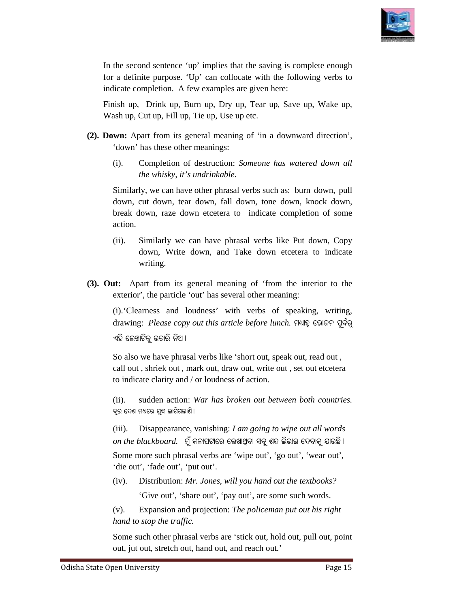

In the second sentence 'up' implies that the saving is complete enough for a definite purpose. 'Up' can collocate with the following verbs to indicate completion. A few examples are given here: for a definite purpose. 'Up' can collocate with the following verbs to<br>indicate completion. A few examples are given here:<br>Finish up, Drink up, Burn up, Dry up, Tear up, Save up, Wake up In the second sentence 'up' implies that the saving is complete enough<br>for a definite purpose. 'Up' can collocate with the following verbs to<br>indicate completion. A few examples are given here:<br>Finish up, Drink up, Burn up

Wash up, Cut up, Fill up, Tie up, Use up etc.

- **(2). Down:** Apart from its general meaning of 'in a downward direction', 'down' has these other meanings: wn: Apart from its general meaning of 'in a downward direction', 'down' has these other meanings:<br>(i). Completion of destruction: *Someone has watered down all* 
	- *the whisky, it's undrinkable.*

Similarly, we can have other phrasal verbs such as: burn down, pull down, cut down, tear down, fall down, tone down, knock down, break down, raze down etcetera to indicate completion of some action. n as: burn down, pull<br>down, knock down,<br>completion of some<br>like Put down, Copy<br>etcetera to indicate<br>m the interior to the<br>aaning:<br>f speaking, writing,

- (ii). Similarly we can have phrasal verbs like Put down, Copy down, Write down, and Take down etcetera to indicate writing.
- **(3). Out:** Apart from its general meaning of 'from the interior to the **it:** Apart from its general meaning of 'from the sexterior', the particle 'out' has several other meaning:

 (i).'Clearness and loudness' 'Clearness with verbs of speaking, writing,  $\emph{drawing: Please copy out this article before lunch.$  ମଧ୍ୟାହ୍ନ ଭୋଜନ ପୂର୍ବରୁ ଏହି ଲେଖାଟିକୁ ଉତାରି ନିଅ।

So also we have phrasal verbs like 'short out, speak out, read out, call out , shriek out , mark mark out, draw out, write out , set out etcetera to indicate clarity and / or loudness of action.

(ii). sudden action: War has broken out between both countries. ଦୁଇ ଦେଶ ମଧ୍ୟରେ ଯୁଦ୍ଧ ଲାଗିଗଲାଣି<mark>।</mark>

(iii). Disappearance, vanishing: *I am going to wipe out all words*   $on$   $the$   $blackboard$ . ମୁଁ କଳାପଟାରେ ଲେଖାଥିବା ସବୁ ଶବ୍ଦ ଲିଭାଇ ଦେବାକୁ ଯାଉଛି ।

Some more such phrasal verbs are 'wipe out', 'go out', 'wear out', 'die out', 'fade out', 'put out'. 'die out', 'fade out', 'put out

(iv). Distribution: *Mr. Jones, will you hand out the textbooks?* 'Give out', 'share out', 'pay out', are some such words.

(v). Expansion and projection: *The policeman put out his right hand to stop the traffic. hand* 

Some such other phrasal verbs are 'stick out, hold out, pull out, point out, jut out, stretch out, hand out, and reach out.'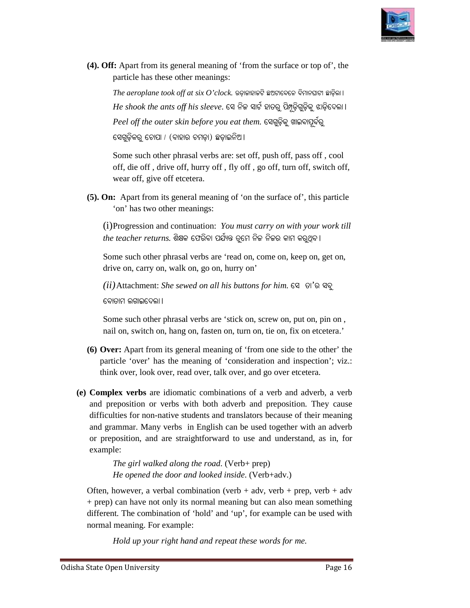

(4). Off: Apart from its general meaning of 'from the surface or top of', the particle has these other meanings:

 $The \: aeroplane \: took \: off \: at \: six \: O'clock.$  ଉଡ଼ାକାହାକଟି ଛଅଟାବେଳେ ବିମାନଘାଟୀ ଛାଡ଼ିଲା ।  $He$  *shook the ants off his sleeve*. ସେ ନିଜ ସାର୍ଟ ହାତରୁ ପି<u>ଅୃ</u>ଡ଼ିଗୁଡ଼ିକୁ ଝାଡ଼ିଦେଲା l  $\emph{Peel}$  *off the outer skin before you eat them*. ସେଗୁଡ଼ିକୁ ଖାଇବାପୂର୍ବରୁ ସେଗୁଡ଼ିକରୁ ଚୋପା / (ବାହାର ଚମଡ଼ା) <mark>ଛଡ଼ାଇନିଅ</mark> ।

Some such other phrasal verbs are: set off, push off, pass off, cool off, die off, drive off, hurry off, fly off, go off, turn off, switch off, wear off, give off etcetera.

**(5). On:** Apart from its general meaning of 'on the surface of', this particle 'on' has two other meanings:

(i) Progression and continuation: You must carry on with your work till *the teacher returns*. ଶିକ୍ଷକ ଫେରିବା ପର୍ଯ୍ୟନ୍ତ ତୁମେ ନିଜ ନିଜର କାମ କରୁଥିବ ।

Some such other phrasal verbs are 'read on, come on, keep on, get on, drive on, carry on, walk on, go on, hurry on'

*(ii)* Attachment: *She sewed on all his buttons for him.* ସେ ତା'ର ସବୁ ରୋତାମ ଲଗାଇଦେଲା ।

Some such other phrasal verbs are 'stick on, screw on, put on, pin on, nail on, switch on, hang on, fasten on, turn on, tie on, fix on etcetera.'

- **(6) Over:** Apart from its general meaning of 'from one side to the other' the Over: Apart from its general meaning of 'from one side to the other' the particle 'over' has the meaning of 'consideration and inspection'; viz.: think over, look over, read over, talk over, and go over etcetera.
- **(e) Complex verbs** are idiomatic combinations of a verb and adverb, a verb and preposition or verbs with both adverb and preposition. They cause difficulties for non-native students and translators because of their meaning difficulties for non-native students and translators because of their meaning and grammar. Many verbs in English can be used together with an adverb or preposition, and are straightforward to use and understand, as in, for example: position, and are straightforward to use and<br>le:<br>*The girl walked along the road*. (Verb+ prep) **Off:** Apart from its general meaning of "from the surface or top of", the particle has these other meanings:<br>
The acroplane took off at six O'clock. sopenees grasseces energes graphs the shook the ants off his sleeve. Se

*He opened the door and looked inside* . (Verb+adv.)

Often, however, a verbal combination (verb  $+$  adv, verb  $+$  prep, verb  $+$  adv + prep) can have not only its normal meaning but can also mean something different. The combination of 'hold' and 'up', for example can be used with normal meaning. For example:

Hold up your right hand and repeat these words for me.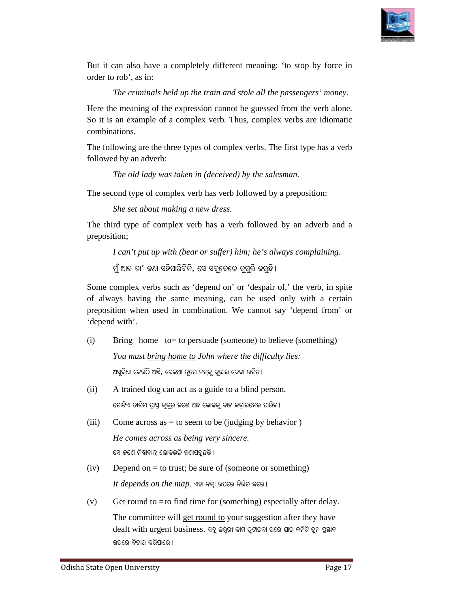

But it can also have a completely different meaning: 'to stop by force in order to rob', as in:

The criminals held up the train and stole all the passengers' money.

Here the meaning of the expression cannot be guessed from the verb alone. So it is an example of a complex verb. Thus, complex verbs are idiomatic combinations. So it is an example of a complex verb. Thus, complex verbs are idiomatic<br>combinations.<br>The following are the three types of complex verbs. The first type has a verb

followed by an adverb:

*The old lady was taken in ( (deceived) by the salesman.* 

The second type of complex verb has verb followed by a preposition:

*She set about making a new dress.* 

The third type of complex verb has a verb followed by an adverb and a preposition;

*I can't put up with (bear or suffer) him; he's always complaining.* 

ମୁଁ ଆଉ ତା' କଥା ସହିପାରିବିନି, ସେ ସବୁବେଳେ ଚୁଗୁଲି କରୁଛି।

Some complex verbs such as 'depend on' or 'despair of,' the verb, in spite of always having the same meaning, can be used only with a certain preposition when used in combination. We cannot say 'depend from' or 'depend with'. So it is an example of a complex verb. Thus, complex<br>combinations.<br>The following are the three types of complex verbs. The<br>followed by an adverb:<br>The old lady was taken in (deceived) by the sales<br>The second type of comple

- (i) Bring home to = to persuade (someone) to believe (something) *You must bring home to to John where the difficulty lies:*  ଅସୁବିଧା କେଉଁଠି ଅଛି, ସେକଥା ତୁମେ କନ୍କୁ ବୁଝାଇ ଦେବା ଉଚିତ।
	- (ii) A trained dog can <u>act as</u> a guide to a blind person. ଗୋଟିଏ ତାଲିମ ପ୍ରାପ୍ତ କୁକୁର ଜଣେ ଅନ୍ଧ ଲୋକକୁ ବାଟ କଢ଼ାଇନେଇ ପାରିବ।
- (iii) Come across as  $=$  to seem to be (judging by behavior) *He comes across as being very sincere.* ସେ ଜଣେ ନିଷାବାନ୍ ଲୋକଭଳି ଜଣାପଡୁଛନ୍ତି।
- $(iv)$  Depend on = to trust; be sure of (someone or something)  $It\, depends\, on\, the\, map$ . ଏହା ନକ୍ୱା ଉପରେ ନିର୍ଭର କରେ ।
	- $(v)$  Get round to = to find time for (something) especially after delay.

The committee will get round to your suggestion after they have dealt with urgent business. ସବୁ କରୁରୀ କାମ ତୁଟାଇବା ପରେ ଯାଇ କମିଟି ତୁମ ପ୍ରଷାବ ଉପରେ ବିଚାର କରିପାରେ ।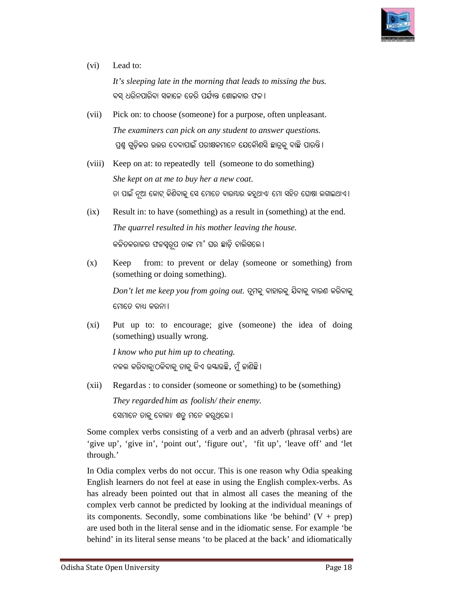

# (vi) Lead to:

*It's sleeping late in the morning that leads to missing the bus.* ବସ୍ ଧରିନପାରିବା ସକାଳେ ଡେରି ପର୍ଯ୍ୟନ୍ତ ଶୋଇବାର ଫଳ।

- (vii) Pick on: to choose (someone) for a purpose, often unpleasant. *The examiners can pick on any student to answer questions.* ପ୍ରଶ୍ନ ଗୁଡ଼ିକର ଉତ୍ତର ଦେବାପାଇଁ ପରୀକ୍ଷକମାନେ ଯେକୌଣସି ଛାତ୍ରକୁ ବାଛି ପାରନ୍ତି।
	- (viii) Keep on at: to repeatedly tell (someone to do something) *She kept on at me to buy her a new coat*. ତା ପାଇଁ ନୂଆ କୋଟ୍ କିଣିବାକୁ ସେ ମୋତେ ବାରୟାର କହୁଥାଏ/ ମୋ ସହିତ ଘୋଷା ଲଗାଇଥାଏ।
- $(ix)$  Result in: to have (something) as a result in (something) at the end. *The quarrel resulted in his mother leaving the house.* କଳିତକରାଳର ଫଳସ୍ୱରୂପ ତାଙ୍କ ମା' ଘର ଛାଡ଼ି ଚାଲିଗଲେ।
	- (x) Keep from: to prevent or delay (someone or something) from (something or doing something).

 $Don't let me keep you from going out. ତୁମକୁ ବାହାରକୁ ଯିବାକୁ ବାରଣ କରିବାକୁ$ ମୋତେ ବାଧ୍ୟ କରନା ।

(xi) Put up to: to encourage; give (someone) the idea of doing (something) usually wrong. (something)

*I know who put him up to cheating.* ନକଲ କରିବାକୁ/ଠକିବାକୁ ତାକୁ କିଏ ଉୟାଉଛି, ମୁଁ ଜାଣିଛି।

(xii) Regard as : to consider ( (someone or something) to be (something) *They regarded him as foolish/ their enemy.* ସେମାନେ ତାକୁ ବୋକା/ ଶତ୍ରୁ ମନେ କରୁଥିଲେ <mark>।</mark>

Some complex verbs consisting of a verb and an adverb (phrasal verbs) are 'give up', 'give in', 'point out', 'figure out', 'fit up', 'leave off' and 'let through.'<br>In Odia complex verbs do not occur. This is one reason why Odia speaking through.'

In Odia complex verbs do not occur. This is one reason why Odia speaking English learners do not feel at ease in using the English complex-verbs. As has already been pointed out that in almost all cases the meaning of the complex verb cannot be predicted by looking at the individual meanings of its components. Secondly, some combinations like 'be behind'  $(V + prep)$ are used both in the literal sense and in the idiomatic sense. For example 'be behind' in its literal sense means 'to be placed at the back' and idiomatically pplex verb cannot be predicted by looking at the individual meanings of components. Secondly, some combinations like 'be behind'  $(V + prep)$  used both in the literal sense and in the idiomatic sense. For example 'be ind' in it in the total contrage; give (someone) the idea of domething) usually wrong.<br>
know who put him up to cheating.<br>  $\Theta$   $\widehat{\Theta}$   $\widehat{\Theta}$   $\widehat{\Theta}$   $\widehat{\Theta}$   $\widehat{\Theta}$   $\widehat{\Theta}$   $\widehat{\Theta}$   $\widehat{\Theta}$   $\widehat{\Theta}$   $\widehat{\Theta}$   $\widehat{\Theta}$   $\widehat{\Theta}$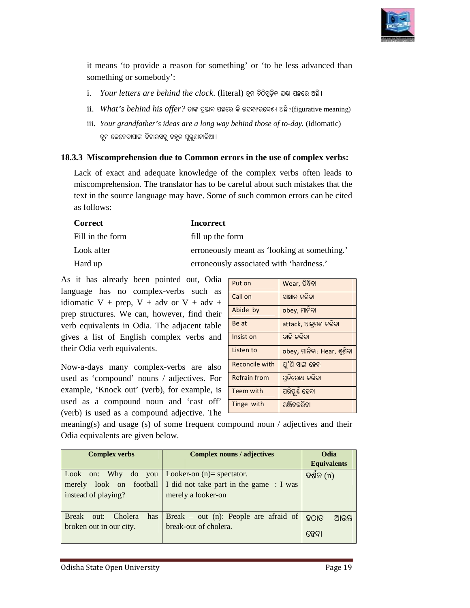

it means 'to provide a reason for something' or 'to be less advanced than something or somebody': it means 'to provide a reason for something' or 'to be less advan<br>something or somebody':<br>i. *Your letters are behind the clock*. (literal) ତୁମ ଚିଠିଗୁଡ଼ିକ ଘଷା ପଛରେ ଅଛି।

- 
- ii. *What's behind his offer?* ତାଙ୍କ ପ୍ରସ୍ତାବ ପଛରେ କି ରହସ୍ୟାଉଦ୍ଦେଶ୍ୟ ଅଛି ?(figurative meaning)
- iii. *Your grandfather's ideas are a long way behind those of to to-day.* (idiomatic) ତୁମ ଜେଜେବାପାଙ୍କ ବିଚାରସବୁ ବହୁତ ପୁରୁଣାକାଳିଆ।

#### **18.3.3 Miscomprehension due to Common errors in the use of complex verbs:**

Lack of exact and adequate knowledge of the complex verbs often leads to miscomprehension. The translator has to be careful about such mistakes that the text in the source language may have. Some of such common errors can be cited text in the source language may have. as follows:

| <b>Correct</b>   | <b>Incorrect</b>                             |
|------------------|----------------------------------------------|
| Fill in the form | fill up the form                             |
| Look after       | erroneously meant as 'looking at something.' |
| Hard up          | erroneously associated with 'hardness.'      |

As it has already been pointed out, Odia language has no complex-verbs such as idiomatic V + prep, V + adv or V + adv + prep structures. We can, however, find their verb equivalents in Odia. The adjacent table gives a list of English complex verbs and their Odia verb equivalents. language has no complex-verbs such as<br>idiomatic V + prep, V + adv or V + adv +<br>prep structures. We can, however, find their<br>verb equivalents in Odia. The adjacent table<br>gives a list of English complex verbs and<br>their Odia

Now-a-days many complex-verbs are also used as 'compound' nouns / adjectives. For example, 'Knock out' (verb), for example, is used as a compound noun and 'cast off' (verb) is used as a compound adjective. The used as a compound noun and 'cast off' **Tinge with** a subsequent (verb) is used as a compound adjective. The meaning(s) and usage (s) of some frequent compound noun / adjectives and their

| $\overline{rs}$ are behind the clock. (literal) ତୁମ ଚିଠିଗୁଡ଼ିକ ଘଷା ପଛରେ ଅଛି।<br>$ehind\ his\ offer?$ ତାଙ୍କ ପ୍ରଷ୍ଠାବ ପଛରେ କି ରହସ୍ୟାଉଦ୍ଦେଶ୍ୟ ଅଛି $?$ (figurative meaning)<br>dfather's ideas are a long way behind those of to-day. (idiomatic) |  |  |  |  |  |
|-----------------------------------------------------------------------------------------------------------------------------------------------------------------------------------------------------------------------------------------------|--|--|--|--|--|
|                                                                                                                                                                                                                                               |  |  |  |  |  |
|                                                                                                                                                                                                                                               |  |  |  |  |  |
|                                                                                                                                                                                                                                               |  |  |  |  |  |
| <mark>ପାଙ୍କ ବିଚାରସବୁ ବହୁତ ପୁରୁଣାକାଳିଆ ।</mark>                                                                                                                                                                                                |  |  |  |  |  |
| ension due to Common errors in the use of complex verbs:                                                                                                                                                                                      |  |  |  |  |  |
| nd adequate knowledge of the complex verbs often leads to<br>on. The translator has to be careful about such mistakes that the<br>language may have. Some of such common errors can be cited                                                  |  |  |  |  |  |
| <b>Incorrect</b>                                                                                                                                                                                                                              |  |  |  |  |  |
| fill up the form                                                                                                                                                                                                                              |  |  |  |  |  |
| erroneously meant as 'looking at something.'                                                                                                                                                                                                  |  |  |  |  |  |
| erroneously associated with 'hardness.'                                                                                                                                                                                                       |  |  |  |  |  |
|                                                                                                                                                                                                                                               |  |  |  |  |  |
| been pointed out, Odia<br>Put on<br>Wear, ପିନ୍ଧିବା                                                                                                                                                                                            |  |  |  |  |  |
| complex-verbs such as<br>Call on<br>ସାକ୍ଷାତ କରିବା                                                                                                                                                                                             |  |  |  |  |  |
| $V + adv$ or $V + adv +$<br>Abide by<br>obey, ମାନିବା<br>can, however, find their                                                                                                                                                              |  |  |  |  |  |
| Be at<br>attack, ଆକ୍ରମଣ କରିବା                                                                                                                                                                                                                 |  |  |  |  |  |
| ଦାବି କରିବା<br>Insist on                                                                                                                                                                                                                       |  |  |  |  |  |
| Listen to<br>obey, ମାନିବା; Hear, ଶୁଣିବା                                                                                                                                                                                                       |  |  |  |  |  |
| <b>Reconcile with</b><br>ପୁ'ଣି ସାଙ୍ଗ ହେବା                                                                                                                                                                                                     |  |  |  |  |  |
| Odia. The adjacent table<br>lish complex verbs and<br>alents.<br>complex-verbs are also<br>ପ୍ରତିରୋଧ କରିବା<br><b>Refrain from</b><br>nouns / adjectives. For                                                                                   |  |  |  |  |  |
| t' (verb), for example, is<br>Teem with<br>ପରିପୂର୍ଣ୍ଣ ହେବା                                                                                                                                                                                    |  |  |  |  |  |
| nd noun and 'cast off'<br>Tinge with<br>ରଞ୍ଜିତକରିବା<br>compound adjective. The                                                                                                                                                                |  |  |  |  |  |

Odia equivalents are given below.

| <b>Complex verbs</b>                                                                                    | <b>Complex nouns / adjectives</b>                                 | Odia<br><b>Equivalents</b> |
|---------------------------------------------------------------------------------------------------------|-------------------------------------------------------------------|----------------------------|
| Look on: Why do you   Looker-on $(n)$ = spectator.<br>look on football<br>merely<br>instead of playing? | I did not take part in the game : I was<br>merely a looker-on     | ଦଶନ (n)                    |
| <b>Break</b><br>Cholera<br>has<br>out:<br>broken out in our city.                                       | Break – out $(n)$ : People are afraid of<br>break-out of cholera. | ହଠାତ<br>ଆରୟ<br>ହେବା        |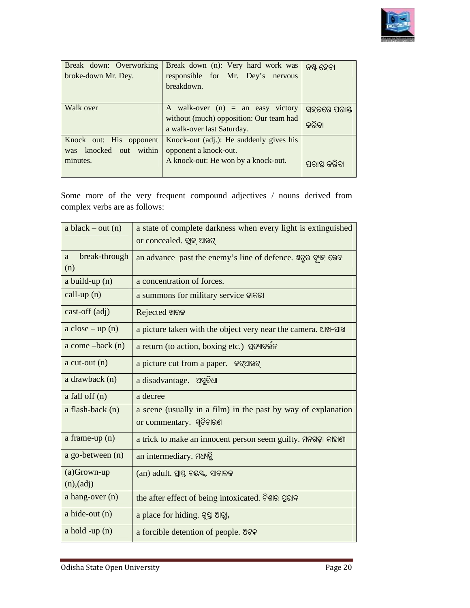

| Break down: Overworking<br>broke-down Mr. Dey. | Break down (n): Very hard work was<br>responsible for Mr. Dey's nervous<br>breakdown. | ନଷ୍ଟ ହେବା    |
|------------------------------------------------|---------------------------------------------------------------------------------------|--------------|
| Walk over                                      | A walk-over $(n)$ = an easy victory                                                   | ସହଜରେ ପରାସ୍ତ |
|                                                | without (much) opposition: Our team had<br>a walk-over last Saturday.                 | କରିବା        |
| Knock out: His opponent                        | Knock-out (adj.): He suddenly gives his                                               |              |
| knocked out within<br>was                      | opponent a knock-out.                                                                 |              |
| minutes.                                       | A knock-out: He won by a knock-out.                                                   | ମରାସ କରିଚା   |

|                                  | Some more of the very frequent compound adjectives / nouns derived from                   |
|----------------------------------|-------------------------------------------------------------------------------------------|
| complex verbs are as follows:    |                                                                                           |
|                                  |                                                                                           |
| a black $-$ out (n)              | a state of complete darkness when every light is extinguished                             |
|                                  | or concealed. ବ୍ଲାକ୍ ଆଉଟ୍                                                                 |
| break-through<br>a<br>(n)        | an advance past the enemy's line of defence. ଶତୁର ବ୍ୟୁହ ଭେଦ                               |
| $a$ build-up $(n)$               | a concentration of forces.                                                                |
| call-up $(n)$                    | a summons for military service ଡାକରା                                                      |
| $cast-off (adj)$                 | Rejected ଖାରକ                                                                             |
| $a \text{ close} - \text{up}(n)$ | a picture taken with the object very near the camera. ଆଖ-ପାଖ                              |
| $a$ come $-back(n)$              | a return (to action, boxing etc.) ପ୍ରତ୍ୟାବର୍ତ୍ତନ                                          |
| $a$ cut-out $(n)$                | a picture cut from a paper. କଟ୍ଆଭଟ୍                                                       |
| a drawback (n)                   | a disadvantage. ଅସୁବିଧା                                                                   |
| $a$ fall off $(n)$               | a decree                                                                                  |
| a flash-back (n)                 | a scene (usually in a film) in the past by way of explanation<br>or commentary. ସ୍ୱତିଚାରଣ |
| a frame-up $(n)$                 | a trick to make an innocent person seem guilty. ମନଗଢ଼ା କାହାଣୀ                             |
| a go-between (n)                 | an intermediary. SNHg                                                                     |
| $(a)$ Grown-up                   | (an) adult. ପ୍ରାପ୍ତ ବୟୟ, ସାବାଳକ                                                           |
| (n),(adj)                        |                                                                                           |
| a hang-over $(n)$                | the after effect of being intoxicated. ନିଶାର ପ୍ରଭାବ                                       |
| $a$ hide-out $(n)$               | a place for hiding. Sig ଆଡ଼ା,                                                             |
| $a$ hold -up $(n)$               | a forcible detention of people. ଅଟକ                                                       |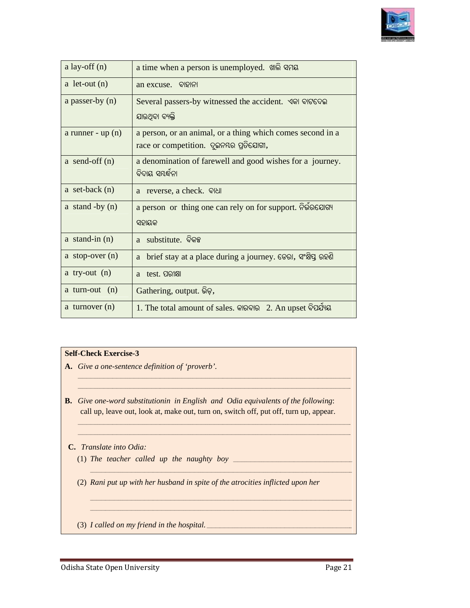

| a lay-off $(n)$    | a time when a person is unemployed. the same                                                         |
|--------------------|------------------------------------------------------------------------------------------------------|
| a let-out $(n)$    | an excuse. ବାହାନା                                                                                    |
| a passer-by (n)    | Several passers-by witnessed the accident. ଏକା ବାଟଦେଇ                                                |
|                    | ଯାଉଥିବା ବ୍ୟକ୍ତି                                                                                      |
| a runner - $up(n)$ | a person, or an animal, or a thing which comes second in a<br>race or competition. ଦୁଇନୟର ପ୍ରତିଯୋଗୀ, |
| a send-off $(n)$   | a denomination of farewell and good wishes for a journey.<br>ବିଦାୟ ସୟର୍ଦ୍ଧନା                         |
| a set-back $(n)$   | a reverse, a check. QINI                                                                             |
| a stand -by $(n)$  | a person or thing one can rely on for support. Relational                                            |
|                    | ସହାୟକ                                                                                                |
| a stand-in $(n)$   | substitute. ବିକଳ୍ପ<br>a.                                                                             |
| a stop-over $(n)$  | brief stay at a place during a journey. ତେରା, ସଂକ୍ଷିପ୍ତ ରହଣି<br>a                                    |
| a try-out $(n)$    | test. ପରୀକ୍ଷା<br>a                                                                                   |
| a turn-out $(n)$   | Gathering, output. Qo,                                                                               |
| a turnover $(n)$   | 1. The total amount of sales. କାରବାର 2. An upset ବିପର୍ଯ୍ୟୟ                                           |

#### **Self-Check Exercise-3**

- A. Give a one-sentence definition of 'proverb'.
- **B.** Give one-word substitutionin in English and Odia equivalents of the following: call up, leave out, look at, make out, turn on, switch off, put off, turn up, appear. *dia equivalents of the following:*<br>itch off, put off, turn up, appear.

*\_\_\_\_\_\_\_\_\_\_\_\_\_\_\_\_\_\_\_\_\_\_\_\_\_\_\_\_\_\_\_\_\_\_\_\_\_\_\_\_\_\_\_\_\_\_\_\_\_\_\_\_\_\_\_\_\_\_\_\_\_\_\_\_\_\_\_\_\_\_\_\_\_\_\_\_\_\_\_\_\_\_\_\_\_\_\_\_\_\_\_\_\_\_\_\_\_\_\_\_\_\_\_\_\_\_\_\_\_\_\_\_\_\_\_\_\_\_\_\_\_\_\_\_\_ \_\_\_\_\_\_\_\_\_\_\_\_\_\_\_\_\_\_\_\_\_\_\_\_\_\_\_\_\_\_\_\_\_\_\_\_\_\_\_\_\_\_\_\_\_\_\_\_\_\_\_\_\_\_\_\_\_\_\_\_\_\_\_\_\_\_\_\_\_\_\_\_\_\_\_\_\_\_\_\_\_\_\_\_\_\_\_\_\_\_\_\_\_\_\_\_\_\_\_\_\_\_\_\_\_\_\_\_\_\_\_\_\_\_\_\_\_\_\_\_\_\_\_\_\_*

*\_\_\_\_\_\_\_\_\_\_\_\_\_\_\_\_\_\_\_\_\_\_\_\_\_\_\_\_\_\_\_\_\_\_\_\_\_\_\_\_\_\_\_\_\_\_\_\_\_\_\_\_\_\_\_\_\_\_\_\_\_\_\_\_\_\_\_\_\_\_\_\_\_\_\_\_\_\_\_\_\_\_\_\_\_\_\_\_\_\_\_\_\_\_\_\_\_\_\_\_\_\_\_\_\_\_\_\_\_\_\_\_\_\_\_\_\_\_\_\_\_\_\_\_\_\_ \_\_\_\_\_\_\_\_\_\_\_\_\_\_\_\_\_\_\_\_\_\_\_\_\_\_\_\_\_\_\_\_\_\_\_\_\_\_\_\_\_\_\_\_\_\_\_\_\_\_\_\_\_\_\_\_\_\_\_\_\_\_\_\_\_\_\_\_\_\_\_\_\_\_\_\_\_\_\_\_\_\_\_\_\_\_\_\_\_\_\_\_\_\_\_\_\_\_\_\_\_\_\_\_\_\_\_\_\_\_\_\_\_\_\_\_\_\_\_\_\_\_\_\_\_\_*

*\_\_\_\_\_\_\_\_\_\_\_\_\_\_\_\_\_\_\_\_\_\_\_\_\_\_\_\_\_\_\_\_\_\_\_\_\_\_\_\_\_\_\_\_\_\_\_\_\_\_\_\_\_\_\_\_\_\_\_\_\_\_\_\_\_\_\_\_\_\_\_\_\_\_\_\_\_\_\_\_\_\_\_\_\_\_\_\_\_\_\_\_\_\_\_\_\_\_\_\_\_\_\_\_\_\_\_\_\_\_\_\_\_\_\_\_\_\_\_\_\_\_\_\_\_ \_\_\_\_\_\_\_\_\_\_\_\_\_\_\_\_\_\_\_\_\_\_\_\_\_\_\_\_\_\_\_\_\_\_\_\_\_\_\_\_\_\_\_\_\_\_\_\_\_\_\_\_\_\_\_\_\_\_\_\_\_\_\_\_\_\_\_\_\_\_\_\_\_\_\_\_\_\_\_\_\_\_\_\_\_\_\_\_\_\_\_\_\_\_\_\_\_\_\_\_\_\_\_\_\_\_\_\_\_\_\_\_\_\_\_\_\_\_\_\_\_\_\_\_\_*

*\_\_\_\_\_\_\_\_\_\_\_\_\_\_\_\_\_\_\_\_\_\_\_\_\_\_\_\_\_\_\_\_\_\_\_\_\_\_\_\_\_\_\_\_\_\_\_\_\_\_\_\_\_\_\_\_\_\_\_\_\_\_\_\_\_\_\_\_\_\_\_\_\_\_\_\_\_\_\_\_\_\_\_\_\_\_\_\_\_\_\_\_\_\_\_\_\_\_\_\_\_\_\_\_\_\_\_\_\_\_\_\_\_\_\_\_\_\_\_\_\_\_\_\_\_\_ \_\_\_\_\_\_\_\_\_\_\_\_\_\_\_\_\_\_\_\_\_\_\_\_\_\_\_\_\_\_\_\_\_\_\_\_\_\_\_\_\_\_\_\_\_\_\_\_\_\_\_\_\_\_\_\_\_\_\_\_\_\_\_\_\_\_\_\_\_\_\_\_\_\_\_\_\_\_\_\_\_\_\_\_\_\_\_\_\_\_\_\_\_\_\_\_\_\_\_\_\_\_\_\_\_\_\_\_\_\_\_\_\_\_\_\_\_\_\_\_\_\_\_\_\_\_*

#### **C.** *Translate into Odia:*

(1) The teacher called up the naughty boy  $\frac{1}{\sqrt{2\pi}}$ 

(2) *Rani put up with her husband in spite of the atrocities inflicte inflicted upon her Rani put up with her husband in spite of the atrocities inflicted upon her*<br><br><br>I called on my friend in the hospital.

*\_\_\_\_\_\_\_\_\_\_\_\_\_\_\_\_\_\_\_\_\_\_\_\_\_\_\_\_\_\_\_\_\_\_\_\_\_\_\_\_\_\_\_\_\_\_\_\_\_\_\_\_\_\_\_\_\_\_\_\_\_\_\_\_\_\_\_\_\_\_\_\_\_\_\_\_\_\_\_\_\_*

*\_\_\_\_\_\_\_\_\_\_\_\_\_\_\_\_\_\_\_\_\_\_\_\_\_\_\_\_\_\_\_\_\_\_\_\_\_\_\_\_\_\_\_\_\_\_\_\_\_\_\_\_\_\_\_\_\_\_\_\_\_\_\_\_\_\_\_\_\_\_\_\_\_\_\_\_\_\_\_\_\_\_\_\_\_\_\_\_\_\_\_\_\_\_\_\_\_\_\_\_\_\_\_\_\_\_\_\_*

*\_\_\_\_\_\_\_\_\_\_\_\_\_\_\_\_\_\_\_\_\_\_\_\_\_\_\_\_\_\_\_\_\_\_\_\_\_\_\_\_\_\_\_\_\_\_\_\_\_\_\_\_\_\_\_\_\_\_\_\_\_\_\_\_\_\_\_\_\_\_\_\_\_\_\_\_\_\_\_\_\_\_\_\_\_\_\_\_\_\_\_\_\_\_\_\_\_\_\_\_\_\_\_\_\_\_\_\_\_\_\_\_\_\_\_\_\_\_\_\_\_*

*\_\_\_\_\_\_\_\_\_\_\_\_\_\_\_\_\_\_\_\_\_\_\_\_\_\_\_\_\_\_\_\_\_\_\_\_\_\_\_\_\_\_\_\_\_\_\_\_\_\_\_\_\_\_\_\_\_\_\_\_\_\_\_\_\_\_\_\_\_\_\_\_\_\_\_\_\_\_\_\_\_\_\_\_\_\_\_\_\_\_\_\_\_\_\_\_\_\_\_\_\_\_\_\_\_\_\_\_\_\_\_\_\_\_\_\_\_\_\_\_\_*

*\_\_\_\_\_\_\_\_\_\_\_\_\_\_\_\_\_\_\_\_\_\_\_\_\_\_\_\_\_\_\_\_\_\_\_\_\_\_\_\_\_\_\_\_\_\_\_\_\_\_\_\_\_\_\_\_\_\_\_\_\_\_\_\_\_\_\_\_\_\_\_\_\_\_\_\_\_\_\_\_\_\_\_\_\_\_\_\_\_\_\_\_\_\_\_\_\_\_\_\_\_\_\_\_\_\_\_\_\_\_\_\_\_\_\_\_\_\_\_\_\_*

(3) *I called on my friend in the hospital hospital. \_\_\_\_\_\_\_\_\_\_\_\_\_\_\_\_\_\_\_\_\_\_\_\_\_\_\_\_\_\_\_\_\_\_\_\_\_\_\_\_\_\_\_\_\_\_\_\_\_\_\_\_\_\_\_\_\_\_\_\_\_\_\_\_\_\_\_*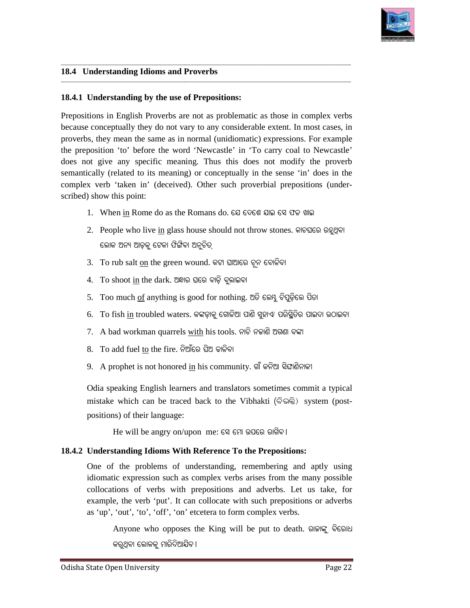

#### **18.4 Understanding Idioms and Proverbs**

#### 18.4.1 Understanding by the use of Prepositions:

**\_\_\_\_\_\_\_\_\_\_\_\_\_\_\_\_\_\_\_\_\_\_\_\_\_\_\_\_\_\_\_\_\_\_\_\_\_\_\_\_\_\_\_\_\_\_\_\_\_\_\_\_\_\_\_\_\_\_\_\_\_\_\_\_\_\_\_\_\_\_\_\_\_\_\_\_\_\_\_\_\_\_\_\_\_\_\_**

Prepositions in English Proverbs are not as problematic as those in complex verbs because conceptually they do not vary to any considerable extent. In most cases, in proverbs, they mean the same as in normal (unidiomatic) expressions. For example the preposition 'to' before the word 'Newcastle' in 'To carry coal to Newcastle' does not give any specific meaning. Thus this does not modify the proverb proverbs, they mean the same as in normal (unidiomatic) expressions. For example the preposition 'to' before the word 'Newcastle' in 'To carry coal to Newcastle' does not give any specific meaning. Thus this does not modif complex verb 'taken in' (deceived). Other such proverbial prepositions (underscribed) show this point: se conceptually they do not vary to any considerable extent. In most cases, in<br>the the same as in normal (unidiomatic) expressions. For example<br>eposition 'to' before the word 'Newcastle' in 'To carry coal to Newcastle'<br>not

**\_\_\_\_\_\_\_\_\_\_\_\_\_\_\_\_\_\_\_\_\_\_\_\_\_\_\_\_\_\_\_\_\_\_\_\_\_\_\_\_\_\_\_\_\_\_\_\_\_\_\_\_\_\_\_\_\_\_\_\_\_\_\_\_\_\_\_\_\_\_\_\_\_\_\_\_\_\_\_\_\_\_\_\_\_\_\_\_\_\_\_\_\_\_\_\_\_\_\_\_\_\_\_\_\_\_\_\_\_\_\_\_\_\_\_\_\_\_\_\_\_\_\_\_\_**

**\_\_\_\_\_\_\_\_\_\_\_\_\_\_\_\_\_\_\_\_\_\_\_\_\_\_\_\_\_\_\_\_\_\_\_\_\_\_\_\_\_\_\_\_\_\_\_\_\_\_\_\_\_\_\_\_\_\_\_\_\_\_\_\_\_\_\_\_\_\_\_\_\_\_\_\_\_\_\_\_\_\_\_\_\_\_\_\_\_\_\_\_\_\_\_\_\_\_\_\_\_\_\_\_\_\_\_\_\_\_\_\_\_\_\_\_\_\_\_\_\_\_\_\_\_\_\_\_\_\_\_\_\_\_**

**\_\_\_\_\_\_\_\_\_\_\_\_\_\_\_\_\_\_\_\_\_\_\_\_\_\_\_\_\_\_\_\_\_\_\_\_\_\_\_\_\_\_\_\_\_\_\_\_\_\_\_\_\_\_\_\_**

**\_\_\_\_\_\_\_\_\_\_\_\_\_\_\_\_\_\_\_\_\_\_\_\_\_\_\_\_\_\_\_\_\_\_\_\_\_\_\_\_\_\_\_\_\_\_\_\_\_\_\_\_\_\_\_\_\_\_\_\_\_\_\_\_\_\_\_\_\_\_\_\_\_\_\_\_\_\_\_\_\_\_\_\_\_\_\_\_\_\_\_\_\_\_\_\_\_\_\_\_\_\_\_\_\_\_\_\_\_\_\_\_\_\_\_\_\_\_\_\_\_\_\_\_\_\_\_\_\_\_\_\_\_\_**

- 1. When in Rome do as the Romans do. ଯେ ଦେଶେ ଯାଇ ସେ ଫଳ ଖାଇ
- 2. People who live in glass house should not throw stones. କାଚଘରେ ରହୁଥିବା ଲୋକ ଅନ୍ୟ ଆଡ଼କୁ ଟେକା ଫିଙ୍ଗିବା ଅନୁଚିତ୍
- 3. To rub salt <u>on</u> the green wound. କଟା ଘାଆରେ ଚୂନ ବୋଳିବା
- 4. To shoot in the dark. ଅହାର ଘରେ ବାଡି ବ୍ଲାଇବା
- 5. Too much <u>of</u> anything is good for nothing. ଅତି ଲେମ୍ଭୁ ଚିପୁଡ଼ିଲେ ପିତା
- 6. To fish <u>in</u> troubled waters. କଙ୍କଡ଼ାକୁ ଗୋଳିଆ ପାଣି ସୁହାଏ/ ପରିପ୍ଥିତିର ପାଇବା ଉଠାଇବା
- 7. A bad workman quarrels <u>with</u> his tools. ନାଚି ନକାଶି ଅଗଣା ବଙ୍କା
- 8. To add fuel to the fire. ନିଆଁରେ ଘିଅ ଢାଳିବା
- 9. A prophet is not honored <u>in</u> his community. ଗାଁ କନିଆ ସିଙ୍ଘାଶିନାକୀ

Odia speaking English learners and translators sometimes commit a typical mistake which can be traced back to the Vibhakti (ବିଭକ୍ତି) system (postpositions) of their language:

 $He$  will be angry on/upon me: ସେ ମୋ ଉପରେ ରାଗିବ ।

#### 18.4.2 Understanding Idioms With Reference To the Prepositions:

One of the problems of understanding, remembering and aptly using idiomatic expression such as complex verbs arises from the many possible collocations of verbs with prepositions and adverbs. Let us take, for example, the verb 'put'. It can collocate with such prepositions or adverbs as 'up', 'out', 'to', 'off', 'on' etcetera to form complex verbs. ners and translators sometimes commit a typical<br>ed back to the Vibhakti (ବିଭକ୍ତି) system (post-<br>'upon me: ସେ ମୋ ଉପରେ ରାଗିବ ।<br>th Reference To the Prepositions:<br>understanding, remembering and aptly using<br>as complex verbs ar

Anyone who opposes the King will be put to death. ରାଜାଙ୍କୁ ବିରୋଧ କରୁଥିବା ଲୋକକୁ ମାରିଦିଆଯିବ।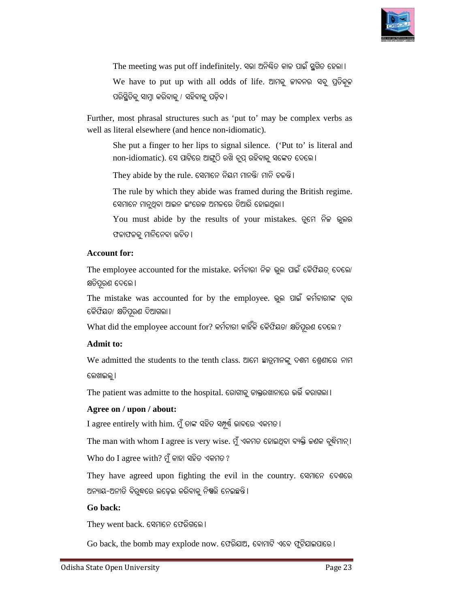

The meeting was put off indefinitely. ସଭା ଅନିଷିତ କାଳ ପାଇଁ ସ୍ଥଗିତ ହେଲା। We have to put up with all odds of life. ଆମକୁ ଜୀବନର ସବୁ ପ୍ରତିକୂଳ ପରିସ୍ଥିତିକୁ ସାମ୍ନା କରିବାକୁ / ସହିବାକୁ ପଡ଼ିବ l

Further, most phrasal structures such as 'put to' may be complex verbs as well as literal elsewhere (and hence non-idiomatic).

She put a finger to her lips to signal silence. ('Put to' is literal and non-idiomatic). ସେ ପାଟିରେ ଆଙ୍ଗୁଠି ରଖି ଚୁପ୍ ରହିବାକୁ ସଙ୍କେତ ଦେଲେ।

They abide by the rule. ସେମାନେ ନିୟମ ମାନନ୍ତି/ ମାନି ଚଳନ୍ତି।

The rule by which they abide was framed during the British regime. ସେମାନେ ମାନୁଥିବା ଆଇନ ଇଂରେକ ଅମଳରେ ତିଆରି ହୋଇଥିଲା ।

You must abide by the results of your mistakes. ତୁମେ ନିଜ ଭୁଲର ଫଳାଫଳକୁ ମାନିନେବା ଉଚିତ।

#### **Account for:**

The employee accounted for the mistake. କର୍ମଚାରୀ ନିଜ ଭୁଲ ପାଇଁ କୈଫିୟତ୍ ଦେଲୋ କ୍ଷତିପୂରଣ ଦେଲେ ।

The mistake was accounted for by the employee. ଭୁଲ ପାଇଁ କର୍ମଚାରୀଙ୍କ ଦ୍ୱାର ଜିେଫିୟତା କ୍ଷତିପୂରଣ ଦିଆଗଲା ।

 $\operatorname{What}$  did the employee account for? କର୍ମଚାରୀ କାହିଁକି କୈଫିୟତ/ କ୍ଷତିପୂରଣ ଦେଲେ ?

#### **Admit to:**

We admitted the students to the tenth class. ଆମେ ଛାତ୍ରମାନଙ୍କୁ ଦଶମ ଶ୍ରେଶୀରେ ନାମ ଲେଖାଇଲୁ । ନଲେ/<br>-<br>ମାନ୍ ।<br>ଶରେ

The patient was admitte to the hospital. ରୋଗୀକୁ ଡାକ୍ତରଖାନାରେ ଭର୍ତ୍ତି କରାଗଲା।

#### **Agree on / upon / about:**

I agree entirely with him. ମୁଁ ତାଙ୍କ ସହିତ ସମ୍ପୂର୍ଷ ଭାବରେ ଏକମତ।

The man with whom I agree is very wise. ମୁଁ ଏକମତ ହୋଇଥିବା ବ୍ୟକ୍ତି ଜଣକ ବୁଦ୍ଧିମାନ୍।

 $W$ ho do I agree with? ମୁଁ କାହା ସହିତ ଏକମତ?

They have agreed upon fighting the evil in the country. ସେମାନେ ଦେଶରେ ଅନ୍ୟାୟ-ଅନୀତି ବିରୁଦ୍ଧରେ ଲଢ଼େଇ କରିବାକୁ ନି<mark>ଷ</mark>ତ୍ତି ନେଇଛନ୍ତି।

#### **Go back:**

 $\operatorname{They}$  went  $\operatorname{back.}$  ସେମାନେ ଫେରିଗଲେ ।

 $\rm{Go~back,~the~bomb~may~explode~now.}$  ଫେରିଯାଅ, ବୋମାଟି ଏବେ ଫୁଟିଯାଇପାରେ ।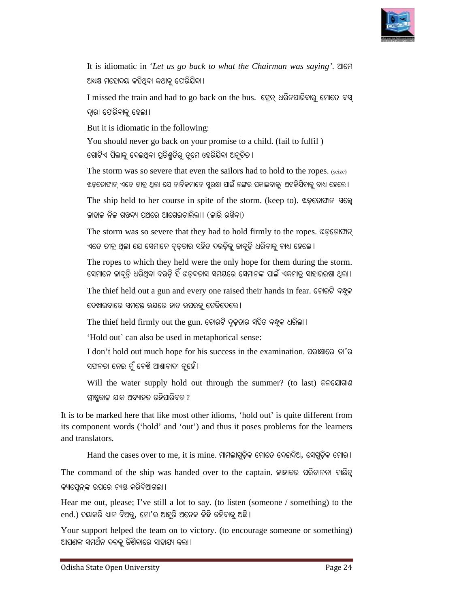

It is idiomatic in '*Let us go back to what the Chairman was saying'*. ଆମେ ଅଧ୍ୟକ୍ଷ ମହୋଦୟ କହିଥିବା କଥାକୁ ଫେରିଯିବା।

 $\mathrm I$  missed the train and had to go back on the bus. ତ୍ରେନ୍ ଧରିନପାରିବାରୁ ମୋଡେ ବସ୍ ଦ୍ୱାରା ଫେରିବାକୁ ହେଲା ।

But it is idiomatic in the following:

You should never go back on your promise to a child. ( (fail to fulfil ) ଗୋଟିଏ ପିଲାକୁ ଦେଇଥିବା ପ୍ରତିଶ୍ରୁଡିରୁ ଡୁମେ ଓହରିଯିବା ଅନୁଚିତ।

The storm was so severe that even the sailors had to hold to the ropes. (seize) ଝଡ଼ଡୋଫାନ୍ ଏତେ ତୀବ୍ର ଥିଲା ଯେ ନାବିକମାନେ ସୁରକ୍ଷା ପାଇଁ ଲଙ୍ଗର ପକାଇବାକୁ/ ଅଟକିଯିବାକୁ ବାଧ୍ୟ ହେଲେ ।

The ship held to her course in spite of the storm. (keep to). ଝଡ଼ଚୋଫାନ ସତ୍ତ୍ୱେ ଜାହାଜ ନିଜ ଗନ୍ତବ୍ୟ ପଥରେ ଆଗେଇଚାଲିଲା। (ଜାରି ରଖିବା)

The storm was so severe that they had to hold firmly to the ropes. ଝଡ଼ଚୋଫାନ୍ ଏଡେ ତୀବ୍ର ଥିଲା ଯେ ସେମାନେ ଦୃଢ଼ତାର ସହିତ ଦଉଡ଼ିକୁ ଜାବୁଡ଼ି ଧରିବାକୁ ବାଧ ହେଲେ ।

The ropes to which they held were the only hope for them during the storm. ସେମାନେ ଜାବୁଡ଼ି ଧରିଥିବା ଦଉଡ଼ି ହିଁ ଝଡ଼ବତାସ ସମୟରେ ସେମାନଙ୍କ ପାଇଁ ଏକମାତ୍ର ସାହାଭରଷା ଥିଲା ।

The thief held out a gun and every one raised their hands in fear. ଚୋରଟି ବନ୍ଧୁକ ଦେଖାଇବାରେ ସମ<mark>ସେ ଭୟରେ ହାତ ଉପରକୁ ଟେକିଦେଲେ l</mark>

The thief held firmly out the gun. ଚୋରଟି ଦୃଢ଼ତାର ସହିତ ବନ୍ଧୁକ ଧରିଲା ।

'Hold out` can also be used in metaphorical sense:

'Hold out` can also be used in metaphorical sense:<br>I don't hold out much hope for his success in the examination. ପରୀକ୍ଷାରେ ତା'ର ସଫଳତା ନେଇ ମୁଁ ବେଶି ଆଶାବାଦୀ ନୁହେଁ।

Will the water supply hold out through the summer? (to last) କଳଯୋଗାଣ ଗୀଷୁକାଳ ଯାକ ଅବ୍ୟାହତ ରହିପାରିବତ ?

It is to be marked here that like most other idioms, 'hold out' is quite different from its component words ('hold' and 'out') and thus it poses problems for the learners and translators. It is to be marked here that like most other idioms, 'hold out' is quite different from<br>its component words ('hold' and 'out') and thus it poses problems for the learners<br>and translators.<br>Hand the cases over to me, it is omatic in "Let as go back to what the Chairman was saying". 2067<br>
stress signs earlig codified the train and halo to go back on the bas. 699; ελδισσίδιοις collets of the first mand halo to go back on the bas. 699; ελδισσί

Hand the cases over to me, it is mine. ମାମଲାଗୁଡ଼ିକ ମୋତେ ଦେଇଦିଅ, ସେଗୁଡ଼ିକ ମୋର ।<br>mmand of the ship was handed over to the captain. କାହାକର ପରିଚାଳନା ଦାୟିତ୍ୱ The command of the ship was handed over to the captain. କାହାକର ପରିଚାଳନା ଦାୟିତ୍ୱ କ୍ୟାପ୍ତେନ୍କଙ୍କ ଉପରେ ନ୍ୟତ୍ତ କରିଦିଆଗଲା ।

Hear me out, please; I've still a lot to say. (to listen (someone / something) to the end.) ଦୟାକରି ଧ୍ୟାନ ଦିଅନ୍ତୁ, ମୋ'ର ଆହୁରି ଅନେକ କିଛି କହିବାକୁ ଅଛି। Hear me out, please; I've still a lot to say. (to listen (someone / something) to the<br>end.) ଦୟାକରି ଧ୍ୟାନ ଦିଅନ୍ତୁ, ମୋ'ର ଆହୁରି ଅନେକ କିଛି କହିବାକୁ ଅଛି।<br>Your support helped the team on to victory. (to encourage someone or som

ଆପଣଙ୍କ ସମର୍ଥନ ଦଳକୁ ଜିଶିବାରେ ସାହାଯ୍ୟ କଲା ।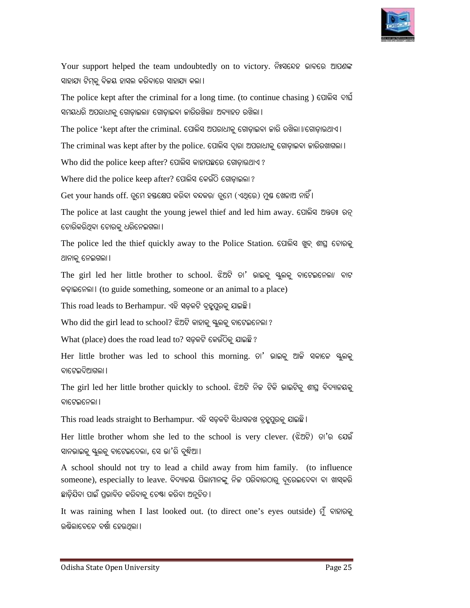

Your support helped the team undoubtedly on to victory. ନିଃସନ୍ଦେହ ଭାବରେ ଆପଶଙ୍କ ସାହାଯ୍ୟ ଟିମ୍କୁ ବିଜୟ ହାସଲ କରିବାରେ ସାହାଯ୍ୟ କଲା ।

The police kept after the criminal for a long time. (to continue chasing) ପୋଲିସ ଦାର୍ଘ ସମୟଧରି ଅପରାଧୀକୁ ଗୋଡ଼ାଇଲା/ ଗୋଡ଼ାଇବା ଜାରିରଖିଲା/ ଅବ୍ୟାହତ ରଖିଲା ।

The police 'kept after the criminal. ପୋଲିସ ଅପରାଧୀକୁ ଗୋଡ଼ାଇବା ଜାରି ରଖିଲା।/ଗୋଡ଼ାଉଥାଏ ।

The criminal was kept after by the police. ପୋଲିସ ଦ୍ୱାରା ଅପରାଧୀକୁ ଗୋଡ଼ାଇବା ଜାରିରଖାଗଲା।

Who did the police keep after? ପୋଲିସ କାହାପଛରେ ଗୋଡ଼ାଉଥାଏ ?

Where did the police keep after? ପୋଲିସ କେଉଁଠି ଗୋଡ଼ାଇଲା ?

Get your hands off. ତ୍ରମେ ହୟକ୍ଷେପ କରିବା ବନ୍ଦକରା ତ୍ରମେ (ଏଥିରେ) ମୁଷ ଖେଳାଅ ନାହିଁ।

The police at last caught the young jewel thief and led him away. ପୋଲିସ ଅନ୍ତତଃ ରତ୍ ଚୋରିକରିଥିବା ଚୋରକ୍ ଧରିନେଇଗଲା ।

The police led the thief quickly away to the Police Station. ପୋଲିସ ଖୁବ୍ ଶାଘ୍ର ଚୋରକୁ ଥାନାକୁ ନେଇଗଲା ।

The girl led her little brother to school. ଝିଅଟି ତା' ଭାଇକୁ ସ୍କୁଲକୁ ବାଟେଇନେଲା/ ବାଟ କଢ଼ାଇନେଲା। (to guide something, someone or an animal to a place)

This road leads to Berhampur. ଏହି ସଡ଼କଟି ବ୍ରହ୍ମପୁରକୁ ଯାଇଛି।

Who did the girl lead to school? ଝିଅଟି କାହାକୁ ସ୍କୁଲକୁ ବାଟେଇନେଲା ?

What (place) does the road lead to? ସଡ଼କଟି କେଉଁଠିକୁ ଯାଇଛି ?

Her little brother was led to school this morning. ତା' ଭାଇକୁ ଆଜି ସକାଳେ ସ୍କୁଲକୁ ବାଟେଇଦିଆଗଲା ।

The girl led her little brother quickly to school. ଝିଅଟି ନିଜ ଟିକି ଭାଇଟିକୁ ଶୀଘ୍ର ବିଦ୍ୟାଳୟକୁ ତାଟେଲନେଲା I ) victory. ନିଃସନ୍ଦେହ ଭାବରେ ଆପଶଙ୍କ<br>(to continue chasing ) ପୋଲିସ ଦାର୍ଘ<br>) ରଖିଲା ।<br>ଗୋଡ଼ାଇବା କାରି ରଖିଲା ।/ଗୋଡ଼ାଉଥାଏ ।<br>ରା ଅପରାଧାକୁ ଗୋଡ଼ାଇବା କାରିରଖାଲା ।<br>ଡ଼ାଉଥାଏ ?<br>କ୍ଲା ?<br>ଏଥ୍ରେ) ମୁଣ୍ଡ ଖେଳାଅ ନାହିଁ ।<br>d led him away. ପୋଲିସ ଅନ୍ତତଃ ର

This road leads straight to Berhampur. ଏହି ସଡ଼କଟି ସିଧାସଳଖ ବ୍ରହ୍କପୁରକୁ ଯାଇଛି।

Her little brother whom she led to the school is very clever. (ଝିଅଟି) ତା'ର ଯେଉଁ ସାନଭାଇକୁ ସ୍କୁଲକୁ ବାଟେଇଦେଲା, ସେ ଭା'ରି ବୃଦ୍ଧିଆ।

A school should not try to lead a child away from him family. (to influence someone), especially to leave. ବିଦ୍ୟାଳୟ ପିଲାମାନଙ୍କୁ ନିଜ ପରିବାରଠାରୁ ଦୂରେଇଦେବା ବା ଖାସ୍କରି ଛାଡ଼ିଯିବା ପାଇଁ ପ୍ରଭାବିତ କରିବାକୁ ଚେଷ୍ଟା କରିବା ଅନୁଚିତ।

It was raining when I last looked out. (to direct one's eyes outside) ମୁଁ ବାହାରକୁ ଉତ୍ତିଲାବେଳେ ବର୍ଷା ହେଉଥିଲା ।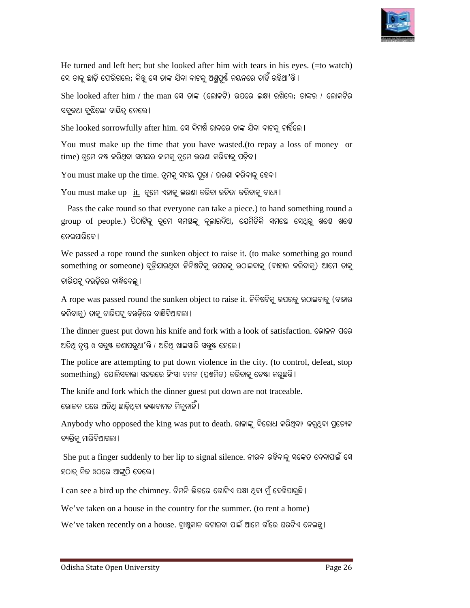

He turned and left her; but she looked after him with tears in his eyes. (=to watch) ସେ ତାକୁ ଛାଡ଼ି ଫେରିଗଲେ; କିନ୍ତୁ ସେ ତାଙ୍କ ଯିବା ବାଟକୁ ଅଶ୍ରୁପୂର୍ଷ ନୟନରେ ଚାହିଁ ରହିଥା'ନ୍ତି ।

 $S$ he  $\rm{looked}$  after  $\rm{him}$  / the  $\rm{man}$  ସେ ତାଙ୍କ (ଲୋକଟି) ଉପରେ ଲକ୍ଷ୍ୟ ରଖିଲେ; ତାଙ୍କର / ଲୋକଟିର ସବ୍କକଥା ବୃଝିଲେ/ ଦାୟିତ୍ୱ ନେଲେ । He turned and left her; but she looked after him with tears in his eyes.<br>ସେ ତାକୁ ଛାଡ଼ି ଫେରିଗଲେ; କିନ୍ତୁ ସେ ତାଙ୍କ ଯିବା ବାଟକୁ ଅଶ୍ରୁପୂର୍ଷ ନୟନରେ ଚାହିଁ ରହିଥା'ନ୍ତି ।<br>She looked after him / the man ସେ ତାଙ୍କ (ଲୋକଟି) ଉପରେ ଲକ୍ଷ୍ୟ ର

 $S$ he looked sorrowfully after him. ସେ ବିମର୍ଷ ଭାବରେ ତାଙ୍କ ଯିବା ବାଟକ ଚାହିଁଲେ ।

You must make up the time that you have wasted.(to repay a loss of money or  $time$ ) ତ୍ରମେ ନଷ୍ଟ କରିଥିବା ସମୟର କାମକ୍ ତ୍ରମେ ଭରଣା କରିବାକ୍ ପଡିବ l

 ${\rm You}$  must make up the time. ତୁମକୁ ସମୟ ପୂରା / ଭରଣା କରିବାକୁ ହେବ l

 $Y$ ou must make up it. ତୃମେ ଏହାକୁ ଭରଣା କରିବା ଉଚିତ/ କରିବାକୁ ବାଧ୍ୟ ।

Pass the cake round so that everyone can take a piece.) to hand something round a group of people.) ପିଠାଟିକୁ ତୁମେ ସମୟଙ୍କୁ ବୁଲାଇଦିଅ, ଯେମିତିକି ସମସ୍ତେ ସେଥିରୁ ଖଣ୍<u>ଷେ</u> ଖଣ୍<u>ଷେ</u> ନେଇପାରିବେ ।

We passed a rope round the sunken object to raise it. (to make something go round  $\,$ something or someone) ବୁଡ଼ିଯାଇଥିବା ଜିନିଷଟିକୁ ଉପରକୁ ଉଠାଇବାକୁ (ବାହାର କରିବାକୁ) ଆମେ ତାକୁ ଚାରିପଟ୍ର ଦଉଡିରେ ବାନ୍ଧିଦେଲ୍ l ମେ ସମସ୍ତଙ୍କୁ ବୁଲାଇଦିଅ, ଯେମିତିକି ସମସ୍ତେ ସେଥିରୁ ଖଣ୍ଡେ ଖଣ୍ଡେ<br>sunken object to raise it. (to make something go round<br>ଇଥିବା ଜିନିଷଟିକୁ ଉପରକୁ ଉଠାଇବାକୁ (ବାହାର କରିବାକୁ) ଆମେ ଚାକୁ<br>sunken object to raise it. ଜିନିଷଟିକୁ ଉପରକୁ ଉଠାଇବାକୁ

A rope was passed round the sunken object to raise it. କିନିଷଟିକୁ ଉପରକୁ ଉଠାଇବାକୁ (ବାହାର କରିବାକୁ) ତାକୁ ଚାରିପଟୁ ଦଉଡ଼ିରେ ବାନ୍ଧିଦିଆଗଲା <mark>।</mark>

The dinner guest put down his knife and fork with a look of satisfaction. ଭୋଜନ ପରେ ଅତିଥ୍ ତୃସ୍ତ ଓ ସବୁଷ କଣାପଡୁଥା'ନ୍ତି / ଅତିଥ୍ ଖାଇସାରି ସବୁଷ ହେଲେ ।

The police are attempting to put down violence in the city. (to control, defeat, stop  $\rm{something)}$  ପୋଲିସବାଲା ସହରରେ ହିଂସା ଦମନ (ପ୍ରଶମିତ) କରିବାକୁ ଚେଷା କରୁଛନ୍ତି।

The knife and fork which the dinner guest put down are not traceable. ଭୋଜନ ପରେ ଅତିଥି ଛାଡ଼ିଥିବା କଣ୍ଟାଚାମଚ ମିଳୁନାହିଁ।

Anybody who opposed the king was put to death. ରାଜାଙ୍କୁ ବିରୋଧ କରିଥିବା/ କରୁଥିବା ପ୍ରତ୍ୟେକ ବ୍ୟକ୍ତିକ୍ ମାରିଦିଆଗଲା ।

She put a finger suddenly to her lip to signal silence. ନୀରବ ରହିବାକୁ ସଙ୍କେତ ଦେବାପାଇଁ ସେ ହଠାତ୍ ନିଜ ଓଠରେ ଆଙ୍ଗ୍ରି ଦେଲେ ।

 $\mathrm I$  can see a bird up the chimney. ଚିମନି ଭିତରେ ଗୋଟିଏ ପକ୍ଷୀ ଥିବା ମୁଁ ଦେଖିପାରୁଛି ।

We've taken on a house in the country for the summer. (to rent a home)

 $\rm{We}$ 've taken recently on a house. ଗ୍ରୀଷ୍ଣକାଳ କଟାଇବା ପାଇଁ ଆମେ ଗାଁରେ ଘରଟିଏ ନେଇଛୁ।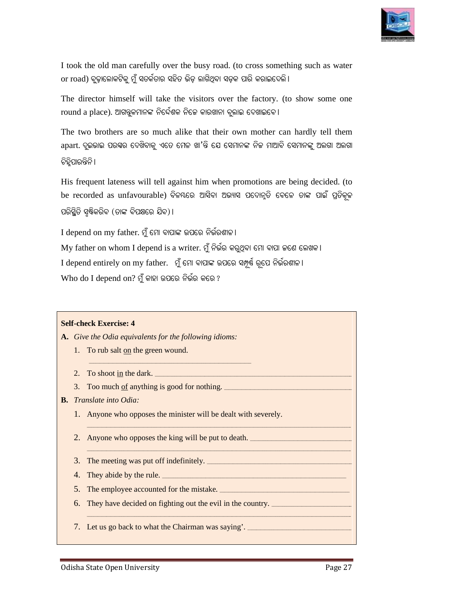

I took the old man carefully over the busy road. (to cross something such as water or road) ବୁଢ଼ାଲୋକଟିକୁ ମୁଁ ସତର୍କତାର ସହିତ ଭିଡ଼ ଲାଗିଥିବା ସଡ଼କ ପାରି କରାଇଦେଲି l

The director himself will take the visitors over the factory. (to show some one  ${\rm round}$  a p ${\rm lacc}$ ). ଆଗକ୍ତୁକମାନଙ୍କ ନିର୍ଦ୍ଦେଶକ ନିଜେ କାରଖାନା ବୁଲାଇ ଦେଖାଇବେ।

The two brothers are so much alike that their own mother can hardly tell them  $a$ part. ଦୁଇଭାଇ ପରସ୍ୱର ଦେଖିବାକୁ ଏତେ ମେଳ ଖା $^{\prime}$ ନ୍ତି ଯେ ସେମାନଙ୍କ ନିଜ ମାଆବି ସେମାନଙ୍କୁ ଅଲଗା ଅଲଗା ଚିହିପାରନ୍ତିନି । will take the visitors over the factory. (to show some one<br>।ନଙ୍କ ନିର୍ଦ୍ଦେଶକ ନିଜେ କାରଖାନା ବୁଲାଇ ଦେଖାଇବେ।<br>so much alike that their own mother can hardly tell them<br>ଖିବାକୁ ଏତେ ମେଳ ଖା'ନ୍ତି ଯେ ସେମାନଙ୍କ ନିଜ ମାଆବି ସେମାନଙ୍କୁ ଅଲଗା

His frequent lateness will tell against him when promotions are being decided. (to be recorded as unfavourable) ବିଳୟରେ ଆସିବା ଅଭ୍ୟାସ ପଦୋନ୍ନତି ବେଳେ ତାଙ୍କ ପାଇଁ ପ୍ରତିକୂଳ ପରିସ୍ଥିତି ସୃଷ୍ଟିକରିବ (ଡାଙ୍କ ବିପକ୍ଷରେ ଯିବ)।

I depend on my father. ମୁଁ ମୋ ବାପାଙ୍କ ଉପରେ ନିର୍ଭରଶାଳ।  $\rm My$  father on whom I depend is a writer. ମୁଁ ନିର୍ଭର କରୁଥିବା ମୋ ବାପା ଜଣେ ଲେଖକ। I depend entirely on my father. ମୁଁ ମୋ ବାପାଙ୍କ ଉପରେ ସମ୍ପୂର୍ଣ ରୂପେ ନିର୍ଭିରଶୀଳ ।  $\rm{Who}$  do  $\rm{I}$  depend on $?$  ମୁଁ କାହା ଉପରେ ନିର୍ଭର କରେ ?

#### **Self-check Exercise: 4**

**A.** *Give the Odia equivalents for the following idiom idioms:* 

1. To rub salt on the green wound.

\_\_\_\_\_\_\_\_\_\_\_\_\_\_\_\_\_\_\_\_\_\_\_\_\_\_\_\_\_\_\_\_\_\_\_\_\_\_\_\_\_\_\_\_\_

- 2. To shoot <u>in</u> the dark.
- 3. Too much of anything is good for nothing.
- **B.** *Translate into Odia:*
- 1. Anyone who opposes the minister will be dealt with severely. \_\_\_\_\_\_\_\_\_\_\_\_\_\_\_\_\_\_\_\_\_\_\_\_\_\_\_\_\_\_\_\_\_\_\_\_\_\_\_\_\_\_\_\_\_\_\_\_\_\_\_\_\_\_\_\_\_\_\_\_\_\_\_\_\_\_\_\_\_\_\_\_\_\_\_\_\_\_\_\_\_\_\_\_\_\_\_\_\_\_\_\_\_\_\_\_\_\_

\_\_\_\_\_\_\_\_\_\_\_\_\_\_\_\_\_\_\_\_\_\_\_\_\_\_\_\_\_\_\_\_\_\_\_\_\_\_\_\_\_\_\_\_\_\_\_\_\_\_\_\_\_\_\_\_\_\_\_\_\_\_\_\_\_\_\_\_\_\_\_\_\_\_\_\_\_\_\_\_\_\_\_\_\_\_\_\_\_\_\_\_\_\_\_\_\_\_\_\_\_\_\_\_\_\_\_\_\_\_\_\_\_\_\_\_\_\_\_\_\_\_

 $\mathcal{L}_\text{max}$  , and the contribution of the contribution of the contribution of the contribution of the contribution of the contribution of the contribution of the contribution of the contribution of the contribution of t

\_\_\_\_\_\_\_\_\_\_\_\_\_\_\_\_\_\_\_\_\_\_\_\_\_\_\_\_\_\_\_\_\_\_\_\_\_\_\_\_\_\_\_\_\_\_\_\_\_\_\_\_\_\_\_\_\_\_\_\_\_\_\_\_\_\_\_\_\_\_\_\_\_\_\_\_\_

\_\_\_\_\_\_\_\_\_\_\_\_\_\_\_\_\_\_\_\_\_\_\_\_\_\_\_\_\_\_\_\_\_\_\_\_\_\_

\_\_\_\_\_\_\_\_\_\_\_\_\_\_\_\_\_\_\_\_\_\_\_\_\_\_\_\_\_\_\_\_\_\_\_\_\_\_\_\_\_\_\_\_\_\_\_\_\_\_\_\_\_\_\_\_\_\_\_\_\_\_\_\_\_\_\_\_\_\_\_\_\_\_\_\_\_\_\_\_\_\_\_\_\_\_\_\_\_\_\_\_\_\_\_\_\_\_\_\_\_\_\_\_\_\_\_\_\_\_\_\_\_\_\_\_\_\_\_\_\_\_

- 2. Anyone who opposes the king will be put to death.
- 3. The meeting was put off indefinitely. \_\_\_\_\_\_\_\_\_\_\_\_\_\_\_\_\_\_\_\_\_\_\_\_\_\_\_\_\_\_\_\_\_\_\_\_\_\_\_\_\_\_\_\_\_\_\_\_\_\_\_\_\_\_\_\_\_\_\_\_\_\_\_\_\_\_\_

\_\_\_\_\_\_\_\_\_\_\_\_\_\_\_\_\_\_\_\_\_\_\_\_\_\_\_\_\_\_\_\_\_\_\_\_\_\_\_\_\_\_\_\_\_\_\_\_\_\_\_\_\_\_

- 4. They abide by the rule. \_\_\_\_\_\_\_\_\_\_\_\_\_\_\_\_\_\_\_\_\_\_\_\_\_\_\_\_\_\_\_\_\_\_\_\_\_\_\_\_\_\_\_\_\_\_\_\_\_\_\_\_\_\_\_\_\_\_\_\_\_\_\_\_\_\_\_\_\_\_\_\_\_\_\_\_\_\_\_\_\_\_\_\_\_ \_\_\_\_\_\_\_\_\_\_\_\_\_\_\_\_\_\_\_\_\_\_\_\_\_\_\_\_\_\_\_\_\_\_\_\_\_\_\_\_\_\_\_\_\_\_\_\_\_\_\_\_\_\_\_\_\_\_\_\_\_\_\_\_\_\_\_\_\_\_\_\_\_\_\_\_\_\_\_\_\_\_\_\_
- 5. The employee accounted for the mistake. mistake. \_\_\_\_\_\_\_\_\_\_\_\_\_\_\_\_\_\_\_\_\_\_\_\_\_\_\_\_\_\_\_\_\_\_\_\_\_\_\_\_\_\_\_\_\_\_\_\_\_\_\_\_\_\_\_\_\_\_\_\_
- 6. They have decided on fighting out the evil in the country. \_\_\_\_\_\_\_\_\_\_\_\_\_\_\_\_\_\_\_
- 7. Let us go back to what the Chairman was saying'. \_\_\_\_\_\_\_\_\_\_\_\_\_\_\_\_\_\_\_\_\_\_\_\_\_\_\_\_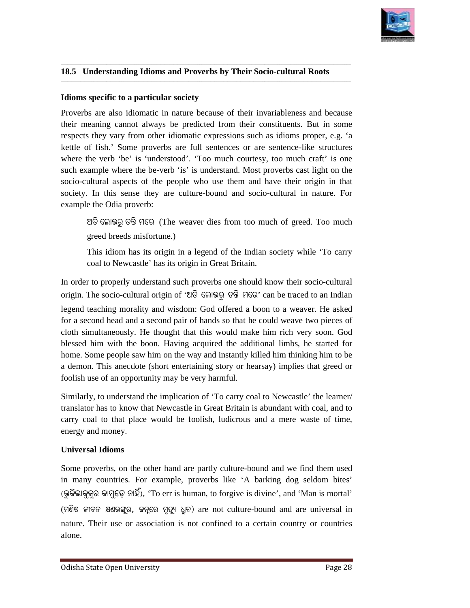

**\_\_\_\_\_\_\_\_\_**

#### **\_\_\_\_\_\_\_\_\_\_\_\_\_\_\_\_\_\_\_\_\_\_\_\_\_\_\_\_\_\_\_\_\_\_\_\_\_\_\_\_\_\_\_\_\_\_\_\_\_\_\_\_\_\_\_\_\_\_\_\_\_\_\_\_\_\_\_\_\_\_\_\_\_\_\_\_\_\_\_\_\_\_\_\_\_\_\_\_\_\_\_\_\_\_\_\_\_\_\_\_\_\_\_\_\_\_\_\_\_\_\_\_\_\_\_\_\_\_\_\_\_\_\_\_\_** 18.5 Understanding Idioms and Proverbs by Their Socio-cultural Roots

**\_\_\_\_\_\_\_\_\_\_\_\_\_\_\_\_\_\_\_\_\_\_\_\_\_\_\_\_\_\_\_\_\_\_\_\_\_\_\_\_\_\_\_\_\_\_\_\_\_\_\_\_\_\_\_\_\_\_\_\_\_\_\_\_\_\_\_\_\_\_\_\_\_\_\_\_\_\_\_\_\_\_\_\_\_\_\_\_\_\_\_\_\_\_\_\_\_\_\_\_\_\_\_\_\_\_\_\_\_\_\_\_\_\_\_\_\_\_\_\_\_\_\_\_\_\_\_\_\_\_\_\_\_\_**

**\_\_\_\_\_\_\_\_\_\_\_\_\_\_\_\_\_\_\_\_\_\_\_\_\_\_\_\_\_\_\_\_\_\_\_\_\_\_\_\_\_\_\_\_\_\_\_\_\_\_\_\_\_\_\_\_\_\_\_\_\_\_\_\_\_\_\_\_\_\_\_\_\_\_\_\_\_**

**\_\_\_\_\_\_\_\_\_\_\_\_\_\_\_\_\_\_\_\_\_\_\_\_\_\_\_\_\_\_\_\_\_\_\_\_\_\_\_\_\_\_\_\_\_\_\_\_\_\_\_\_\_\_\_\_\_\_\_\_\_\_\_\_\_\_\_\_\_\_\_\_\_\_\_\_\_\_\_\_\_\_\_\_\_\_\_\_\_\_\_\_\_\_\_\_\_\_\_\_\_\_\_\_\_\_\_\_\_\_\_\_\_\_\_\_\_\_\_\_\_\_\_\_\_\_\_\_\_\_\_\_\_\_**

#### **Idioms specific to a particular society Idioms**

Proverbs are also idiomatic in nature because of their invariableness and because Proverbs are also idiomatic in nature because of their invariableness and because their meaning cannot always be predicted from their constituents. But in some respects they vary from other idiomatic expressions such as idioms proper, e.g. 'a kettle of fish.' Some proverbs are full sentences or are sentence-like structures kettle of fish.' Some proverbs are full sentences or are sentence where the verb 'be' is 'understood'. 'Too much courtesy, too much craft' is one such example where the be-verb 'is' is understand. Most proverbs cast light on the socio-cultural aspects of the people who use them and have their origin in that society. In this sense they are culture-bound and socio-cultural in nature. For example the Odia proverb: **18.5 Cancertainaling Intoins and Proverbs by Their Socio-cultural Roots**<br> **Eldioms specific to a particular society**<br>
Proverbs are also indicates and because<br>
Proverbs are also indicates in nature because of their inva Proverbs are also idiomatic in nature because of their invariableness and because<br>their meaning cannot always be predicted from their constituents. But in some<br>respects they vary from other idiomatic expressions such as i

ଅତି ଲୋଭରୁ ତନ୍ତି ମରେ (The weaver dies from too much of greed. Too much greed breeds misfortune.)

This idiom has its origin in a legend of the Indian society while 'To carry coal to Newcastle' has its origin in Great Britain.

In order to properly understand such proverbs one should know their socio-cultural origin. The socio-cultural origin of 'ଅତି ଲୋଭରୁ ତନ୍ତି ମରେ' can be traced to an Indian

legend teaching morality and wisdom: God offered a boon to a weaver. He asked for a second head and a second pair of hands so that he could weave two pieces of cloth simultaneously. He thought that this would make him rich very soon. God blessed him with the boon. Having acquired the additional limbs, he started for home. Some people saw him on the way and instantly killed him thinking him to be a demon. This anecdote (short entertaining story or hearsay) implies that greed or foolish use of an opportunity may be very harmful.

foolish use of an opportunity may be very harmful.<br>Similarly, to understand the implication of 'To carry coal to Newcastle' the learner translator has to know that Newcastle in Great Britain is abundant with coal, and to carry coal to that place would be foolish, ludicrous and a mere waste of time, energy and money. carry coal to that place would be foolish, ludicrous and a mere waste of time,<br>energy and money.<br>Universal Idioms<br>Some proverbs, on the other hand are partly culture-bound and we find them used

#### **Universal Idioms**

in many countries. For example, proverbs like 'A barking dog seldom bites' (ଭୁକିଲାକୁକୁର କାମୁଡ଼େ ନାହିଁ), 'To err is human, to forgive is divine', and 'Man is mortal' (ମଣିଷ କୀବନ କ୍ଷଣଭଙ୍ଗୁର, କନ୍କରେ ମୃତ୍ୟୁ ଧ୍ରୁବ) are not culture-bound and are universal in nature. Their use or association is not confined to a certain country or countries alone. that place would be foolish, ludicrous and a mere waste of time,<br>ney.<br>**oms**<br>s, on the other hand are partly culture-bound and we find them used<br>tries. For example, proverbs like 'A barking dog seldom bites'<br>Jeo or  $\mathbb{R}$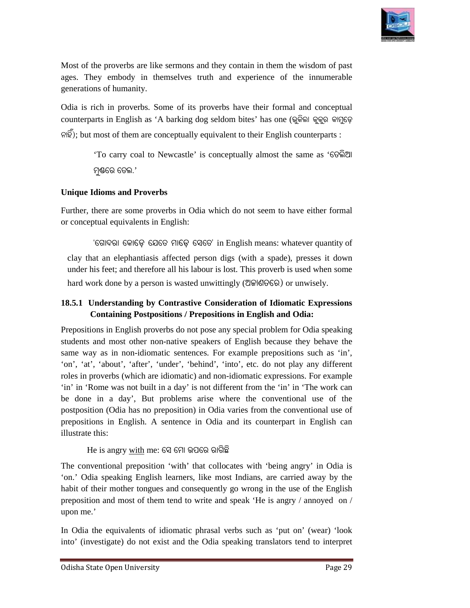

Most of the proverbs are like sermons and they contain in them the wisdom of past ages. They embody in themselves truth and experience of the innumerable ages. They embody in themselves truth and experience of the innumerable generations of humanity.

Odia is rich in proverbs. Some of its proverbs have their formal and conceptual Odia is rich in proverbs. Some of its proverbs have their formal and conceptual<br>counterparts in English as 'A barking dog seldom bites' has one (ଭୁକିଲା କୁକୁର କାମୁଡ଼େ ନାହିଁ); but most of them are conceptually equivalent to their English counterparts :<br>
'To carry coal to Newcastle' is conceptually almost the same as 'ଚେଲିଆ Most of the proverbs are like sermons and they contain in them the wisdom of<br>ages. They embody in themselves truth and experience of the innumer<br>generations of humanity.<br>Odia is rich in proverbs. Some of its proverbs have

'To carry coal to Newcastle' ମ୍ଭଣେ ତେଲ.'

#### **Unique Idioms and Proverbs**

Further, there are some proverbs in Odia which do not seem to have either formal or conceptual equivalents in English:

'ଗୋଦରା କୋଡ଼େ ଯେତେ ମାଡ଼େ ସେତେ' in English means: whatever quantity of clay that an elephantiasis affected person digs (with a spade), presses it down under his feet; and therefore all his labour is lost. This proverb is used when some hard work done by a person is wasted unwittingly (UQISGG) or unwisely.

#### 18.5.1 Understanding by Contrastive Consideration of Idiomatic Expressions **Containing Postpositions / Prepositions in English and Odia:**

Prepositions in English proverbs do not pose any special problem for Odia speaking students and most other non-native speakers of English because they behave the same way as in non-idiomatic sentences. For example prepositions such as 'in', 'on', 'at', 'about', 'after', 'under', 'behind', 'into', etc. do not play any different students and most other non-native speakers of English because they behave the same way as in non-idiomatic sentences. For example prepositions such as 'in', 'on', 'at', 'about', 'after', 'under', 'behind', 'into', etc. do 'in' in 'Rome was not built in a day' is not different from the 'in' in 'The work can be done in a day', But problems arise where the conventional use of the postposition (Odia has no preposition) in Odia varies from the c be done in a day', But problems arise where the conventional use of the postposition (Odia has no preposition) in prepositions in English. A sentence in Odia and its counterpart in English can illustrate this: its and most other non-native speakers of English because they behave the way as in non-idiomatic sentences. For example prepositions such as 'in', 'at', 'about', 'after', 'under', 'behind', 'into', etc. do not play any di

He is angry <u>with</u> me: ସେ ମୋ ଉପରେ ରାଗିଛି

The conventional preposition 'with' that collocates with 'being angry' in Odia is 'on.' Odia speaking English learners, like most Indians, are carried away by the habit of their mother tongues and consequently go wrong in the use of the English preposition and most of them tend to write and speak 'He is angry / annoyed on / preposition and most of them tend to write and speak 'He is angry  $/$  annoyed on  $/$ upon me.'

In Odia the equivalents of idiomatic phrasal verbs such as 'put on' (wear) 'look into' (investigate) do not exist and the Odia speaking translators tend to interpret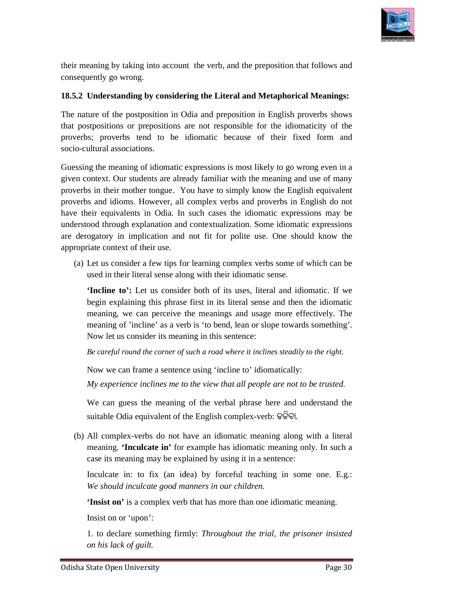

their meaning by taking into account the verb, and the preposition that follows and consequently go wrong.

#### **18.5.2 Understanding by considering the Literal and Metaphorical Meanings:**

The nature of the postposition in Odia and preposition in English proverbs shows that postpositions or prepositions are not responsible for the idiomaticity of the proverbs; proverbs tend to be idiomatic because of their fixed form and socio-cultural associations.

Guessing the meaning of idiomatic expressions is most likely to go wrong even in a given context. Our students are already familiar with the meaning and use of many proverbs in their mother tongue. You have to simply know the English equivalent proverbs and idioms. However, all complex verbs and proverbs in English do not have their equivalents in Odia. In such cases the idiomatic expressions may be understood through explanation and contextualization. Some idiomatic expressions are derogatory in implication and not fit for polite use. One should know the appropriate context of their use. proverbs; proverbs tend to be idiomatic because of their fixed form and socio-cultural associations.<br>Guessing the meaning of idiomatic expressions is most likely to go wrong even in a given context. Our students are alread understood through explanation and contextualization. Some idiomatic expressions<br>are derogatory in implication and not fit for polite use. One should know the<br>appropriate context of their use.<br>(a) Let us consider a few tip their meaning by taking into account the verb, and the preposition that follows and<br>
208.2 Understanding by considering the Literal and Metaphorical Meanings:<br> **176.2 Understanding by considering the Literal and Metaphoric** 

(a) Let us consider a few tips for learning complex verbs some of which can be used in their literal sense along with their idiomatic sense.

**'Incline to':** Let us consider both of its uses, literal and idiomatic. If we begin explaining this phrase first in its literal sense and then the idiomatic meaning, we can perceive the meanings and usage more effectively. The meaning of 'incline' as a verb is 'to bend, lean or slope towards something'. Now let us consider its meaning in this sentence:

Be careful round the corner of such a road where it inclines steadily to the right.

Now we can frame a sentence using 'incline to' idiomatically:

My experience inclines me to the view that all people are not to be trusted.

We can guess the meaning of the verbal phrase here and understand the suitable Odia equivalent of the English complex-verb: ଢଳିବା.

(b) All complex-verbs do not have an idiomatic meaning along with a literal meaning. **'Inculcate in'** for example has idiomatic meaning only. In such a case its meaning may be explained by using it in a sentence: verbs do not have an idiomatic meaning alon<br>culcate in' for example has idiomatic meaning<br>ing may be explained by using it in a sentence:

Inculcate in: to fix (an idea) by forceful teaching in some one. E.g.: We should inculcate good manners in our children.

**'Insist on'** is a complex verb that has more than one idiomatic meaning.

Insist on or 'upon':

Insist on' is a complex verb that has more than one idiomatic meaning.<br>Insist on or 'upon':<br>1. to declare something firmly: *Throughout the trial, the prisoner insisted on his lack of guilt.*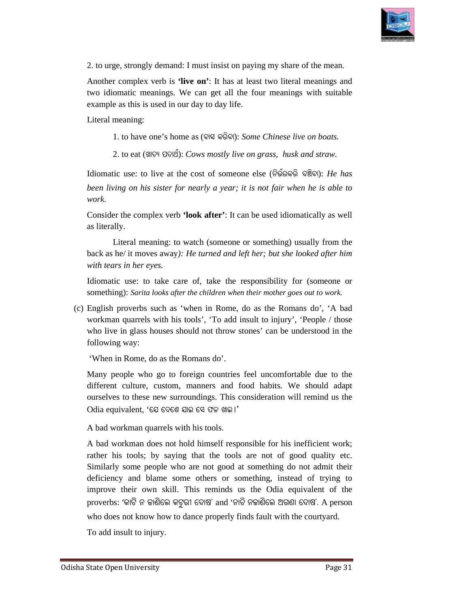

2. to urge, strongly demand: . I must insist on paying my share of the mean.

Another complex verb is 'live on': It has at least two literal meanings and two idiomatic meanings. We can get all the four meanings with suitable example as this is used in our day to day life.

Literal meaning:

1. to have one's home as (ବାସ କରିବା): *Some Chinese live on boats*.

2. to eat (Lû\ý \_\û[ð): *Cows mostly live on grass, husk and straw.* 

Idiomatic use: to live at the cost of someone else (ନିର୍ଭରକରି ବଞ୍ଚିବା): *He has been living on his sister for nearly a year; it is not fair when he is able to been living on his sister for nearly a year; it is not fair when he is able to work.* 

Consider the complex verb **'look after'** : It can be used idiomatically as well as literally.

 Literal meaning: to watch (someone or something) usually from the back as he/ it moves away*): He turned and left her; but she looked after him with tears in her eyes.*  Literal meaning: to watch (someone or something) usually from the back as he/ it moves away): *He turned and left her; but she looked after him with tears in her eyes.*<br>Idiomatic use: to take care of, take the responsibili

something): *Sarita looks after the children when their mother goes out to work.*

(c) English proverbs such as 'when in Rome, do as the Romans do', 'A bad workman quarrels with his tools', 'To add insult to injury', 'People / those who live in glass houses should not throw stones' can be understood in the following way:

'When in Rome, do as the Romans do'.

Many people who go to foreign countries feel uncomfortable due to the different culture, custom, manners and food habits. We should adapt different culture, custom, manners and food habits. We should adapt ourselves to these new surroundings. This consideration will remind us the Odia equivalent, 'ସେ ଦେଶେ ଯାଇ ସେ ଫଳ ଖାଇ ।'

A bad workman quarrels with his tools.

A bad workman does not hold himself responsible for his inefficient work; rather his tools; by saying that the tools are not of good quality etc.<br>Similarly some people who are not good at something do not admit their<br>deficiency and blame some others or something, instead of trying to<br>improve the Similarly some people who are not good at something do not admit their deficiency and blame some others or something, instead of trying to improve their own skill. This reminds us the Odia equivalent of the proverbs: 'କାଟି ନ ଜାଶିଲେ କଟୁରୀ ଦୋଷ' and 'ନାଚି ନଜାଶିଲେ ଅଗଣା ଦୋଷ'. A person who does not know how to dance properly finds fault with the courtyard. Consider the complex verb **'look after'**: It can be used idiomatically as well<br>as literally.<br>Literal meaning: to watch (someone or something) usually from the<br>back as hc/ it moves away): *He turned and left her; but she l* 

To add insult to injury.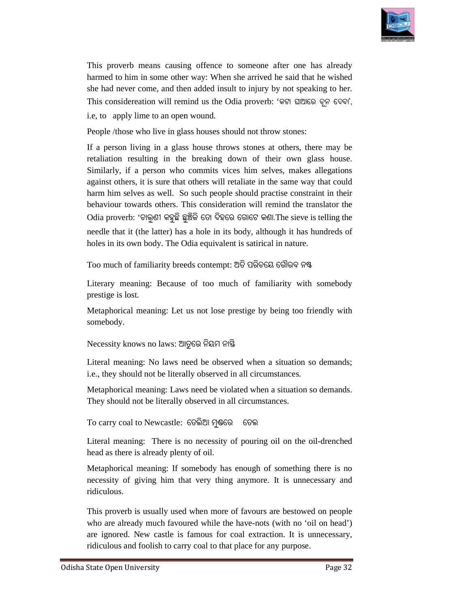

This proverb means causing offence to someone after one has already harmed to him in some other way: When she arrived he said that he wished she had never come, and then added insult to injury by not speaking to her. This considereation will remind us the Odia proverb: 'କଟା ଘାଆରେ ଚୂନ ଦେବା', proverb means causing offence to someone after one has already d to him in some other way: When she arrived he said that he wished d never come, and then added insult to injury by not speaking to her. onsidereation will r

i.e, to apply lime to an open wound.

People /those who live in glass houses should not throw stones:

If a person living in a glass house throws stones at others, there may be retaliation resulting in the breaking down of their own glass house. Similarly, if a person who commits vices him selves, makes allegations against others, it is sure that others will retaliate in the same way that could harm him selves as well. So such people should practise constraint in their<br>behaviour towards others. This consideration will remind the translator the behaviour towards others. This consideration will remind the translator Odia proverb: 'ଚାଲୁଣୀ କହୁଛି ଛୁଞ୍ଚିକି ତୋ ଦିହରେ ଗୋଟେ କଣା.The sieve is telling the needle that it (the latter) has a hole in its body, although it has hundreds of holes in its own body. The Odia equivalent is satirical in nature.<br>Too much of familiarity breeds contempt: ଅତି ପରିଚୟେ ଗୌରବ ନଷ୍ଟ holes in its own body. The Odia equivalent is satirical in nature. a person living in a glass house throws stones at others, there may be aliation resulting in the breaking down of their own glass house.<br>nilarly, if a person who commits vices him selves, makes allegations means causing offence to someone after one has already<br>m in some other way: When she arrived he said that he wished<br>came, and them added insult to injury by not speaking to her.<br>eation will remind us the Odia provech: " $6$ be the mission of the mission of the state of the state wished that he wished that we have the state that we have the state that we hadded insult to injury by ond speaking to her. This considereation will remind us the Odi

Too much of familiarity breeds

Literary meaning: Because of too much of familiarity with somebody prestige is lost. Literary meaning: Because of too much of familiarity with somebody<br>prestige is lost.<br>Metaphorical meaning: Let us not lose prestige by being too friendly with

somebody.

Necessity knows no laws: ଆତୁରେ ନିୟମ ନାସ୍ତି

Literal meaning: No laws need be observed when a situation so demands; i.e., they should not be literally observed in all circumstances.

Metaphorical meaning: Laws need be violated when a situation so demands. They should not be literally observed in all circumstances.<br>To carry coal to Newcastle: ତେଲିଆ ମୁକ୍ତରେ ତେଲ

To carry coal to Newcastle:

Literal meaning: There is no necessity of pouring oil on the oil-drenched head as there is already plenty of oil.

Metaphorical meaning: If somebody has enough of something there is no necessity of giving him that very thing anymore. It is unnecessary and necessity of giving him that very thing anymore. It is unnecessary and ridiculous.

This proverb is usually used when more of favours are bestowed on people This proverb is usually used when more of favours are bestowed on people who are already much favoured while the have-nots (with no 'oil on head') are ignored. New castle is famous for coal extraction. It is unnecessary, ridiculous and foolish to carry coal to that place for any purpose.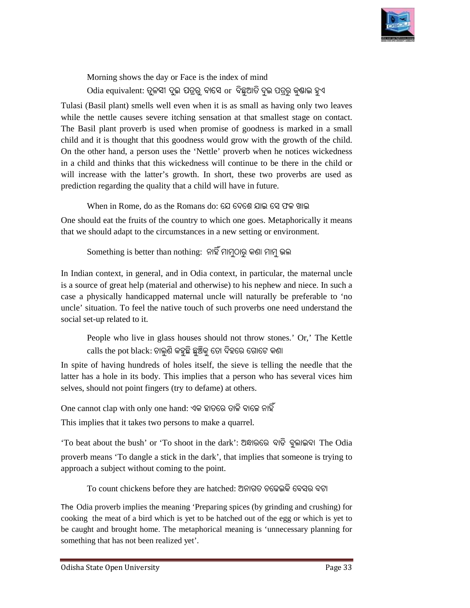

Morning shows the day or Face is the index of mind  ${\rm O}$ dia equivalent: ତୁଳସୀ ଦୁଇ ପତ୍ରରୁ ବାସେ  ${\rm or}\,$  ବିଛୁଆତି ଦୁଇ ପତ୍ରରୁ କୁଷାଇ ହୁଏ

Tulasi (Basil plant) smells well even when it is as small as having only two leaves while the nettle causes severe itching sensation at that smallest stage on contact. The Basil plant proverb is used when promise of goodness is marked in a small child and it is thought that this goodness would grow with the growth of the child. On the other hand, a person uses the 'Nettle' proverb when he notices wickedness in a child and thinks that this wickedness will continue to be there in the child or will increase with the latter's growth. In short, these two proverbs are used as will increase with the latter's growth. In short, these two p prediction regarding the quality that a child will have in future. is that goodiness when promise of goodness is marked in a small ideal it is thought that his goodness would grow with the growth of the child and this that this wickcedness will continue to be there in the child of line c

When in Rome, do as the Romans do: ଯେ ଦେଶେ ଯାଇ ସେ ଫଳ ଖାଇ

One should eat the fruits of the country to which one goes. Metaphorically it means that we should adapt to the circumstances in a new setting or environment.

Something is better than nothing: ନାହି ମାମୁଠାରୁ କଣା ମାମୁ ଭଲ

In Indian context, in general, and in Odia context, in particular, the maternal uncle is a source of great help (material and otherwise) to his nephew and niece. In such a case a physically handicapped maternal uncle will naturally be preferable to 'no case a physically handicapped maternal uncle will uncle' situation. To feel the native touch of such proverbs one need understand the social set-up related to it.<br>
People who live in glass houses should not throw stones.' Or,' The Kettle social set-up related to it.

People who live in glass houses should not throw stones.' Or,' The Kettle calls the pot black: ଚାଲୁଣି କହୁଛି ଛୁଞ୍ଚିକୁ ତୋ ଦିହରେ ଗୋଟେ କଣା

In spite of having hundreds of holes itself, the sieve is telling the needle that the latter has a hole in its body. This implies that a person who has several vices him selves, should not point fingers (try to defame) at others.

One cannot clap with only one hand: ଏକ ହାତରେ ତାଳି ବାଜେ ନାହି

This implies that it takes two persons to make a quarrel.

'To beat about the bush' or 'To shoot in the dark': ଅନ୍ଧାରରେ ବାଡି ବୁଲାଇବା The Odia proverb means 'To dangle a stick in the dark', that implies that someone is trying to approach a subject without coming to the point.

To count chickens before they are hatched: ଅନାଗତ ଚଢେଇକି ବେସର ବଟା

The Odia proverb implies the meaning 'Preparing spices (by grinding and crushing) for cooking the meat of a bird which is yet to be hatched out of the egg or which is yet to be caught and brought home. The metaphorical meaning is 'unnecessary planning for something that has not been realized yet'. Preparing spices (by grinding and crushing) f<br>to be hatched out of the egg or which is yet<br>phorical meaning is 'unnecessary planning f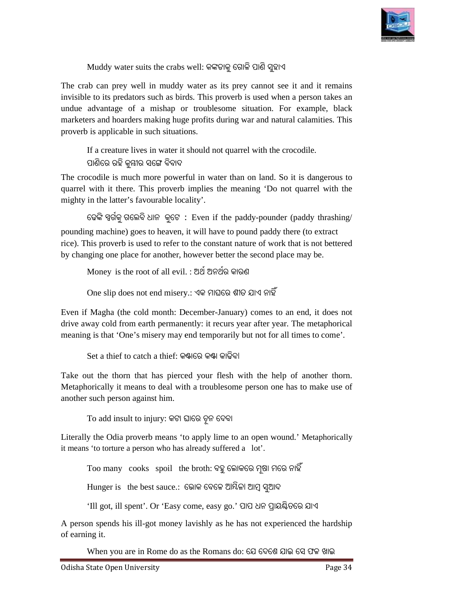

Muddy water suits the crabs well: କଙ୍କଡାକୁ ଗୋଳି ପାଶି ସୁହାଏ

The crab can prey well in muddy water as its prey cannot see it and it remains invisible to its predators such as birds. This proverb is used when a person takes an undue advantage of a mishap or troublesome situation. For example, black marketers and hoarders making huge profits during war and natural calamities. This proverb is applicable in such situations. n muddy water as its prey cannot see it and it remains<br>uch as birds. This proverb is used when a person takes an<br>mishap or troublesome situation. For example, black<br>aking huge profits during war and natural calamities. Th

proverb is applicable in such situations.<br>If a creature lives in water it should not quarrel with the crocodile. ପାଣିରେ ରହି କନ୍ଷୀର ସଙ୍ଗେ ବିବାଦ

The crocodile is much more powerful in water than on land. So it is dangerous to quarrel with it there. This proverb implies the meaning ' 'Do not quarrel with the mighty in the latter's favourable locality'.

େଢ9ି :ଗକୁ ଗେଲବି ଧାନ କୁେଟ **:**  Even if the paddy-pounder (paddy thrashing/ pounding machine) goes to heaven, it will have to pound paddy there (to extract rice). This proverb is used to refer to the constant nature of work that is not bettered by changing one place for another, however better the second place may be.

Money is the root of all evil. : ଅଥ ଅନଥର କାରଣ

 $\rm{One~slip~does~not~end~misery.}$ : ଏକ ମାଘରେ ଶୀତ ଯାଏ ନାହିଁ

Even if Magha (the cold month: December-January) comes to an end, it does not drive away cold from earth permanently: it recurs year after year. The metaphorical meaning is that 'One's misery may end temporarily but not for all times to come'.

Set a thief to catch a thief: କଣ୍ଟାରେ କଣ୍ଟା କାଢିବା

Take out the thorn that has pierced your flesh with the help of another thorn. Metaphorically it means to deal with a troublesome person one has to make use of another such person against him.

To add insult to injury: କଟା ଘାରେ ଚୂନ ଦେବା

Literally the Odia proverb means 'to apply lime to an open wound.' Metaphorically it means 'to torture a person who has already suffered a lot'.

Too many  $\;$  cooks  $\;$  spoil  $\;$  the broth: ବହୁ ଲୋକରେ ମୂଷା ମରେ ନାହି

Hunger is the best sauce.: ଭୋକ ବେଳେ ଆୟିଳା ଆମ୍ବ ସୁଆଦ

'Ill got, ill spent'. Or 'Easy come, easy go.' Or 'Easy ପାପ ଧନ AାୟBିତେର ଯାଏ

A person spends his ill-got money lavishly as he has not experienced the hardship of earning it.

When you are in Rome do as the Romans do: ଯେ ଦେଶେ ଯାଇ ସେ ଫଳ ଖାଇ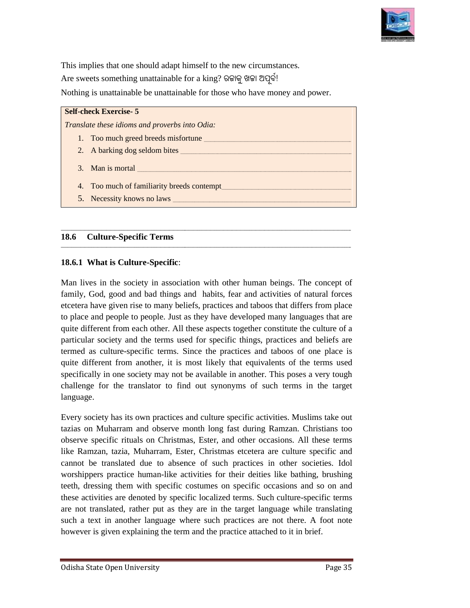

This implies that one should adapt himself to the new circumstances. This implies that one should adapt himself to the new circumst<br>Are sweets something unattainable for a king? ରଜାକୁ ଖଜା ଅପୂର୍ବ! Nothing is unattainable be unattainable for those who have money and power.

| <b>Self-check Exercise-5</b>                   |
|------------------------------------------------|
| Translate these idioms and proverbs into Odia: |
| 1. Too much greed breeds misfortune            |
| 2. A barking dog seldom bites                  |
| 3. Man is mortal                               |
| 4. Too much of familiarity breeds contempt     |
| 5. Necessity knows no laws                     |

**\_\_\_\_\_\_\_\_\_\_\_\_\_\_\_\_\_\_\_\_\_\_\_\_\_\_\_\_\_\_\_\_\_\_\_\_\_\_\_\_\_\_\_\_\_\_\_\_\_\_\_\_\_\_\_\_\_\_\_\_\_\_\_\_\_\_\_\_\_\_\_\_\_\_\_\_\_\_\_\_\_\_\_\_\_\_\_\_\_\_\_\_\_\_\_\_\_\_\_\_\_\_\_\_\_\_\_\_\_\_\_\_\_\_\_\_\_\_\_\_\_\_\_\_\_**

**\_\_\_\_\_\_\_\_\_\_\_\_\_\_\_\_\_\_\_\_\_\_\_\_\_\_\_\_\_\_\_\_\_\_\_\_\_\_\_\_\_\_\_\_\_\_\_\_\_\_\_\_\_\_\_\_\_\_\_\_\_\_\_\_\_\_\_\_\_\_\_\_\_\_\_\_\_\_\_\_\_\_\_\_\_\_\_\_\_\_\_\_\_\_\_\_\_\_\_\_\_\_\_\_\_\_\_\_\_\_\_\_\_\_\_\_\_\_\_\_\_\_\_\_\_\_\_\_\_\_\_\_\_\_**

**\_\_\_\_\_\_\_\_\_\_\_\_\_\_\_\_\_\_\_\_\_\_\_\_\_\_\_\_\_\_\_\_\_\_\_\_\_\_\_\_\_\_\_\_\_\_\_\_\_\_\_\_\_\_\_\_\_\_\_\_\_\_\_\_\_\_\_\_\_\_\_\_\_\_\_\_\_\_\_\_\_\_\_\_\_\_\_\_\_\_\_\_\_\_\_\_\_\_\_\_\_\_\_\_\_\_\_\_\_\_\_\_\_\_\_\_\_\_\_\_\_\_\_\_\_\_\_\_\_\_\_\_\_\_**

**\_\_\_\_\_\_\_\_\_\_\_\_\_\_\_\_\_\_\_\_\_\_\_\_\_\_\_\_\_\_\_\_\_\_\_\_\_\_\_\_\_\_\_\_\_\_\_\_\_\_\_\_\_\_\_\_\_\_\_\_\_\_\_\_\_\_\_\_\_\_\_\_\_\_\_\_\_\_\_\_\_\_\_\_\_\_\_\_\_\_\_\_\_\_\_\_\_\_\_\_\_\_\_\_\_\_\_\_\_\_\_\_\_\_\_\_\_\_\_\_\_\_\_\_\_**

#### **18.6 Culture-Specific Terms**

#### **18.6.1 What is Culture-Specific**:

Man lives in the society in association with other human beings. The concept of family, God, good and bad things and habits, fear and activities of natural forces etcetera have given rise to many beliefs, practices and taboos that differs from place to place and people to people. Just as as they have developed many languages that are quite different from each other. All these aspects together constitute the culture of a particular society and the terms used for specific things, practices and beliefs are termed as culture-specific terms. Since the practices and taboos of one place is quite different from another, it is most likely that equivalents of the terms used specifically in one society may not be available in another. This poses a very tough challenge for the translator to find out synonyms of such terms in the target language. This implies that one should adapt himself to the new circumstances,<br>Are sweets something unaturinable for a king? 660fg 967 20g<sup>20</sup>.<br>Nothing is matrianable he matrainable for those who have money and power,<br>**Such and the** 

Every society has its own practices and culture specific activities. Muslims take out tazias on Muharram and observe month long fast during Ramzan. Christians too observe specific rituals on Christmas, Ester, and other occasions. All these terms like Ramzan, tazia, Muharram, Ester, Christmas etcetera are culture specific and cannot be translated due to absence of such practices in other societies. Idol worshippers practice human-like activities for their deities like bathing, brushing teeth, dressing them with specific costumes on specific occasions and so on and teeth, dressing them with specific costumes on specific occasions and so on and these activities are denoted by specific localized terms. Such culture-specific terms are not translated, rather put as they are in the target language while translating such a text in another language where such practices are not there. A foot note however is given explaining the term and the practice attached to it in brief. Every society has its own practices and culture specific activities. Muslims take out tazias on Muharram and observe month long fast during Ramzan. Christians too observe specific rituals on Christmas, Ester, and other occ very society has its own practices and culture specific activities. Muslims take zias on Muharram and observe month long fast during Ramzan. Christians serve specific rituals on Christmas, Ester, and other occasions. All t

**\_\_\_\_\_\_\_\_\_\_\_\_\_\_\_\_\_\_**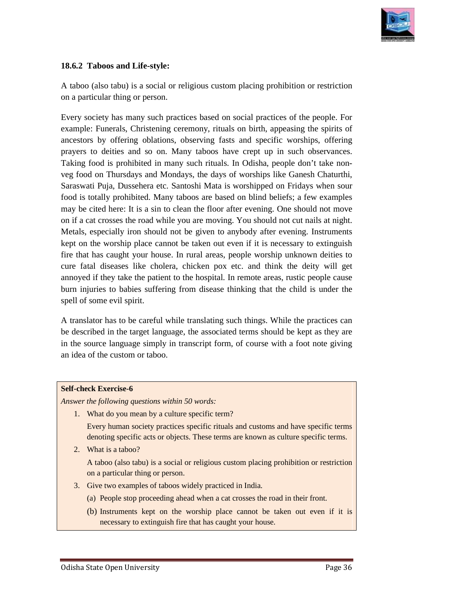

#### **18.6.2 Taboos and Life-style:**

A taboo (also tabu) is a social or religious custom placing prohibition or restriction on a particular thing or person.

Every society has many such practices based on social practices of the people. For A taboo (also tabu) is a social or religious custom placing prohibition or restriction<br>on a particular thing or person.<br>Every society has many such practices based on social practices of the people. For<br>example: Funerals, ancestors by offering oblations, observing fasts and specific worships, offering prayers to deities and so on. Many taboos have crept up in such observances. Taking food is prohibited in many such rituals. In Odisha, people don't take non veg food on Thursdays and Mondays, the days of worships like Ganesh Chaturthi, Saraswati Puja, Dussehera etc. Santoshi Mata is worshipped on Fridays when sour food is totally prohibited. Many taboos are based on blind beliefs; a few examples may be cited here: It is a sin to clean the floor after eve food is totally prohibited. Many taboos are based on blind beliefs; a few examples may be cited here: It is a sin to clean the floor after evening. One should not move on if a cat crosses the road while you are moving. You should not cut nails at night. Metals, especially iron should not be given to anybody after evening. Instruments kept on the worship place cannot be taken out even if it is necessary to extinguish fire that has caught your house. In rural areas, people worship unknown deities to fire that has caught your house. In rural areas, people worship unknown deities to cure fatal diseases like cholera, chicken pox etc. and think the deity will get annoyed if they take the patient to the hospital. In remote areas, rustic people cause burn injuries to babies suffering from disease thinking that the child is under the spell of some evil spirit. ancestors by offering oblations, observing fasts and specific worships, offering<br>prayers to deities and so on. Many taboos have crept up in such observances.<br>Taking food is prohibited in many such rituals. In Odisha, peopl r chigtous custom placing prohibition or restriction<br>retices based on social practices of the people. For<br>ecremony, rituals on birth, appeasing the spirits of<br> $\alpha$ , observing fasts and specific worships, offering<br>dany tab (also tabu) is a social or religious custom placing prohibition or restriction<br>icular thing or person.<br>ociety has many such practices based on social practices of the people. For<br>: Funerals, Christening ceremony, rituals o Saraswati Puja, Dussehera etc. Santoshi Mata is worshipped on Fridays when s<br>food is totally prohibited. Many taboos are based on blind beliefs; a few examp<br>may be cited here: It is a sin to clean the floor after evening.

A translator has to be careful while translating such things. While the practices can be described in the target language, the associated terms should be kept as they are in the source language simply in transcript form, of course with a foot note giving an idea of the custom or taboo. burn injuries to babies suffering from disease<br>spell of some evil spirit.<br>A translator has to be careful while translating<br>be described in the target language, the associa

#### **Self-check Exercise-6**

*Answer the following questions within 50 words:*

1. What do you mean by a culture specific term?

Every human society practices specific rituals and customs and have specific terms denoting specific acts or objects. These terms are known as culture specific terms.

2. What is a taboo?

A taboo (also tabu) is a social or religious custom placing prohibition or restriction Every human society practices sp<br>denoting specific acts or objects.<br>What is a taboo?<br>A taboo (also tabu) is a social or<br>on a particular thing or person.

- 3. Give two examples of taboos widely practiced in India.
	- (a) People stop proceeding ahead when a cat crosses the road in their front.
	- (b) Instruments kept on the worship place cannot be taken out even if it is necessary to extinguish fire that has caught your house.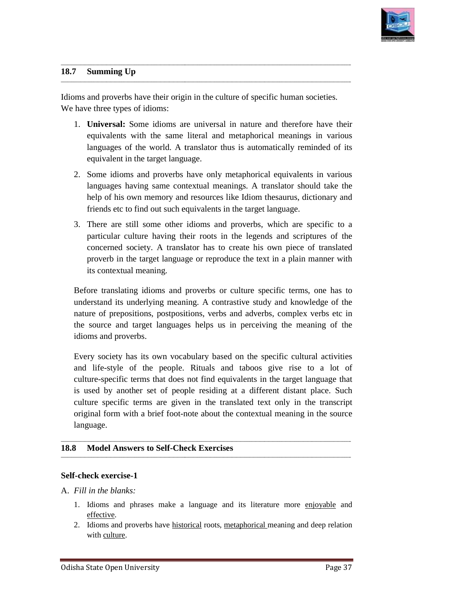

**\_\_\_\_\_\_\_\_\_\_\_\_\_\_\_\_\_\_**

#### **18.7 Summing Up**

Idioms and proverbs have their origin in the culture of specific human societies. We have three types of idioms:

**\_\_\_\_\_\_\_\_\_\_\_\_\_\_\_\_\_\_\_\_\_\_\_\_\_\_\_\_\_\_\_\_\_\_\_\_\_\_\_\_\_\_\_\_\_\_\_\_\_\_\_\_\_\_\_\_\_\_\_\_\_\_\_\_\_\_\_\_\_\_\_\_\_\_\_\_\_\_\_\_\_\_\_\_\_\_\_\_\_\_\_\_\_\_\_\_\_\_\_\_\_\_\_\_\_\_\_\_\_\_\_\_\_\_\_\_\_\_\_\_\_\_\_\_\_**

**\_\_\_\_\_\_\_\_\_\_\_\_\_\_\_\_\_\_\_\_\_\_\_\_\_\_\_\_\_\_\_\_\_\_\_\_\_\_\_\_\_\_\_\_\_\_\_\_\_\_\_\_\_\_\_\_\_\_\_\_\_\_\_\_\_\_\_\_\_\_\_\_\_\_\_\_\_\_\_\_\_\_\_\_\_\_\_\_\_\_\_\_\_\_\_\_\_\_\_\_\_\_\_\_\_\_\_\_\_\_\_\_\_\_\_\_\_\_\_\_\_\_\_\_\_\_\_\_\_\_\_\_\_\_**

**\_\_\_\_\_\_\_\_\_\_\_\_\_\_\_\_\_\_\_\_\_\_\_\_\_\_\_\_\_\_\_\_\_\_\_\_\_\_\_\_\_\_\_\_\_\_\_\_\_\_\_\_\_\_\_\_\_\_\_\_\_\_\_\_\_\_\_\_\_\_\_\_\_\_\_\_\_\_\_\_\_\_\_\_\_\_\_\_\_\_\_\_\_\_\_\_\_\_\_\_\_\_\_\_\_\_\_\_\_\_\_\_\_\_\_\_\_\_\_\_\_\_\_\_\_\_\_\_\_\_\_\_\_\_**

**\_\_\_\_\_\_\_\_\_\_\_\_\_\_\_\_\_\_\_\_\_\_\_\_\_\_\_\_\_\_\_\_\_\_\_\_\_\_\_\_\_\_\_\_\_\_\_\_\_\_\_\_\_\_\_\_\_\_\_\_\_\_\_\_\_\_\_\_\_\_\_\_\_\_\_\_\_\_\_\_\_\_\_\_\_\_\_\_\_\_\_\_\_\_\_\_\_\_\_\_\_\_\_\_\_\_\_\_\_\_\_\_\_\_\_\_\_\_\_\_\_\_\_\_\_**

- 1. **Universal:** Some idioms are universal in nature and therefore have their equivalents with the same literal and metaphorical meanings in various languages of the world. A translator thus is automatically reminded of its equivalent in the target language. Idioms and proverbs have their origin in the culture of specific human societies.<br>We have three types of idioms:<br>1. **Universal:** Some idioms are universal in nature and therefore have their<br>equivalents with the same litera
	- 2. Some idioms and proverbs have only metaphorical equivalents in various languages having same contextual meanings. A translator should take the help of his own memory and resources like Idiom thesaurus, dictionary and friends etc to find out such equivalents in the target language. friends etc to find out such equivalents in the target language.
	- 3. There are still some other idioms and proverbs, which are specific to a particular culture having their roots in the legends and scriptures of the concerned society. A translator has to create his own piece of translated proverb in the target language or reproduce the text in a plain manner with its contextual meaning.

Before translating idioms and proverbs or culture specific terms, one has to understand its underlying meaning. A contrastive study nature of prepositions, postpositions, verbs and adverbs, complex verbs etc in the source and target languages helps us in perceiving the meaning of the idioms and proverbs. et language or reproduce the text in a plain manner with<br>ing.<br>oms and proverbs or culture specific terms, one has to<br>ing meaning. A contrastive study and knowledge of the

Every society has its own vocabulary based on the specific cultural activities and life-style of the people. Rituals and taboos give rise to a lot of culture-specific terms that does not find equivalents in the target language that is used by another set of people residing at a different distant place. Such culture specific terms are given in the translated text only in the transcript original form with a brief foot-note about the contextual meaning in the source language. the source and target languages helps us in perceiving the medioms and proverbs.<br>Every society has its own vocabulary based on the specific cult<br>and life-style of the people. Rituals and taboos give rise<br>culture-specific t **Universal:** Some idioms are universal in nature and therefore have the cauguages of the wordd. A translator thus is automatically reminded of equivalent in the target language.<br>Some idioms and proverbs have only metaphori

**\_\_\_\_\_\_\_\_\_\_\_\_\_\_\_\_\_\_\_\_\_\_\_\_\_\_\_\_\_\_\_\_\_\_\_\_\_\_\_\_\_\_\_\_\_\_\_\_\_\_\_\_\_\_\_\_\_\_\_\_\_\_\_\_\_\_\_\_\_\_\_\_\_\_\_\_\_\_\_\_\_\_\_\_\_\_\_\_\_\_\_\_\_\_\_\_\_\_\_\_\_\_\_\_\_\_\_\_\_\_\_\_\_\_\_\_\_\_\_\_\_\_\_\_\_**

**\_\_\_\_\_\_\_\_\_\_\_\_\_\_\_\_\_\_\_\_\_\_\_\_\_\_\_\_\_\_\_\_\_\_\_\_\_\_\_\_\_\_\_\_\_\_\_\_\_\_\_\_\_\_\_\_\_\_\_\_\_\_\_\_\_\_\_\_\_\_\_\_\_\_\_\_\_\_\_\_\_\_\_\_\_\_\_\_\_\_\_\_\_\_\_\_\_\_\_\_\_\_\_\_\_\_\_\_\_\_\_\_\_\_\_\_\_\_\_\_\_\_\_\_\_\_\_\_\_\_\_\_\_\_**

**\_\_\_\_\_\_\_\_\_\_\_\_\_\_\_\_\_\_\_\_\_\_\_\_\_\_\_\_\_\_\_\_\_\_\_\_\_\_\_\_\_\_\_\_\_\_\_\_\_\_\_\_\_\_\_\_\_\_\_\_\_\_\_\_\_\_\_\_\_\_\_\_\_\_\_\_\_\_\_\_\_\_\_\_\_\_\_\_\_\_\_\_\_\_\_\_\_\_\_\_\_\_\_\_\_\_\_\_\_\_\_\_\_\_\_\_\_\_\_\_\_\_\_\_\_\_\_\_\_\_\_\_\_\_**

#### 18.8 Model Answers to Self-Check Exercises **\_\_\_\_\_\_\_\_\_\_\_\_\_\_\_\_\_\_\_\_\_\_\_\_\_\_\_\_\_\_\_\_\_\_\_\_\_\_\_\_\_\_\_\_\_\_\_\_\_\_\_\_\_\_\_\_\_\_\_\_\_\_\_\_\_\_\_\_\_\_\_\_\_\_\_\_\_\_**  $\mathbf{s}$

#### **Self-check exercise-1**

#### A. *Fill in the blanks:*

- 1. Idioms and phrases make a language and its literature more enjoyable and effective.
- 2. Idioms and proverbs have historical roots, metaphorical meaning and deep relation with culture.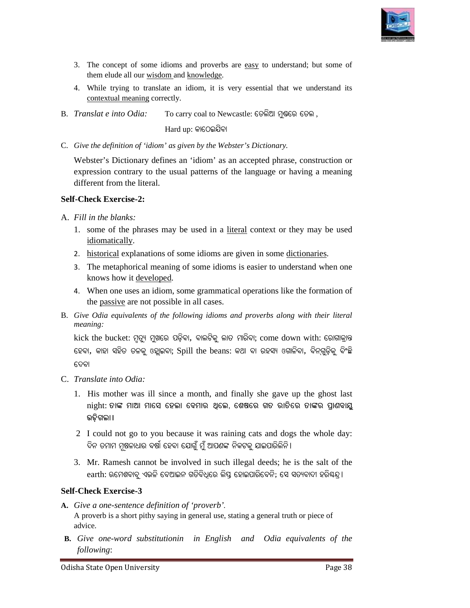

- 3. The concept of some idioms and proverbs are easy to understand; but some of them elude all our wisdom and knowledge.
- 4. While trying to translate an idiom, it is very essential that we understand its contextual meaning correctly.
- $B.$  *Translat e into Odia:* To carry coal to Newcastle: ତେଲିଆ ମୁଷରେ ତେଲ ,

Hard up: କାଠେଇଯିବ<mark>ା</mark>

C. *Give the definition of 'idiom' as given by the Webster's Dictionary.*

Webster's Dictionary defines an 'idiom' as an accepted phrase, construction or expression contrary to the usual patterns of the language or having a meaning different from the literal. Webster's Dictionary defines an 'idiom' as an accepted phrase, construction or<br>expression contrary to the usual patterns of the language or having a meaning<br>different from the literal.<br>Fill in the blanks:<br>1. some of the ph

#### **Self-Check Exercise-2:**

- A. *Fill in the blanks:* 
	- 1. some of the phrases may be used in a literal context or they may be used idiomatically.
	- 2. historical explanations of some idioms are given in some dictionaries.
	- 3. The metaphorical meaning of some idioms is easier to understand when one knows how it developed.
	- 4. When one uses an idiom, some grammatical operations like the formation of the passive are not possible in all cases. ming of some idioms is easier<br>
	<u>ed</u>.<br>
	m, some grammatical operatic<br>
	sible in all cases.
- B. Give Odia equivalents of the following idioms and proverbs along with their literal *meaning:*

kick the bucket: ମୃତ୍ୟୁ ମୁଖରେ ପଡ଼ିବା, ବାଲଟିକୁ ଲାତ ମାରିବା; come down with: ରୋଗାକ୍ରାନ୍ତ ହେବା, କାହା ସହିତ ତଳକୁ ଓହ୍ଲାଇବା; Spill the beans: କଥା ବା ରହସ୍ୟ ଓଗାଳିବା, ବିନ୍ଗୁଡ଼ିକୁ ବିଂଛି ଦେବା cept of some idioms and proverbs are easy to understand: but some of<br>deall our <u>wisdom and knowledge</u><br>point on the and one in diom. it is very essential that we understand its<br>plane in the due of solven by the Webster's Di bster's Dictionary defines an 'idiom' as an accepted phrase, construction or<br>ression contrary to the usual patterns of the language or having a meaning<br>reent from the literal.<br>
in the blanks:<br>
some of the phrases may be u

- C. *Translate into Odia:* 
	- 1. His mother was ill since a month, and finally she gave up the ghost last night: ତାଙ୍କ ମାଆ ମାସେ ହେଲା ବେମାର ଥିଲେ, ଶେଷରେ ଗତ ରାତିରେ ତାଙ୍କର ପ୍ରାଣବାୟୁ **ଉଡ଼ିଗଲା** ।
	- 2 I could not go to you because it was raining cats and dogs the whole day:<br>ଦିନ ତମାମ ମୂଷଳାଧାର ବର୍ଷା ହେବା ଯୋଗୁଁ ମୁଁ ଆପଶଙ୍କ ନିକଟକୁ ଯାଇପାରିଲିନି।<br>3. Mr. Ramesh cannot be involved in such illegal deeds; he is the salt of the ଦିନ ତମାମ ମୂଷଳାଧାର ବର୍ଷା ହେବା ଯୋଗୁଁ ମୁଁ ଆପଣଙ୍କ ନିକଟକୁ ଯାଇପାରିଲିନି।
	- 3. Mr. Ramesh cannot be involved in such illegal deeds; he is the salt of the  $\operatorname{earth:}$  ଋମେଶବାବୁ ଏଭଳି ବେଆଇନ ଗତିବିଧିରେ ଲିପ୍ତ ହୋଇପାରିବେନି; ସେ ସତ୍ୟବାଦୀ ହରିଷ୍କନ୍ଦ୍ର ।

#### **Self-Check Exercise-3**

- A. Give a one-sentence definition of 'proverb'. A proverb is a short pithy saying in general use, stating a general truth or piece of advice.
- **B.** Give one-word substitutionin in English and Odia equivalents of the *following*: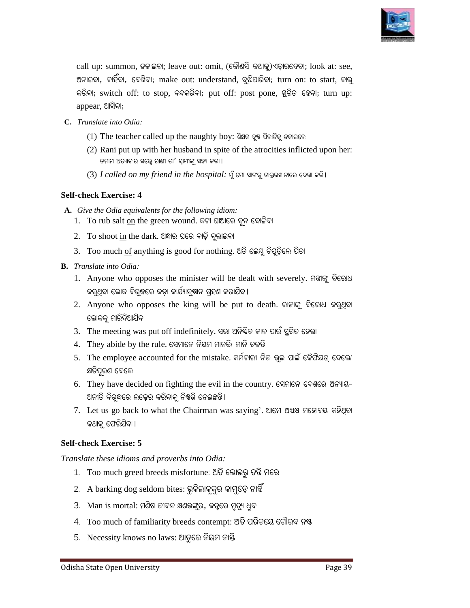

call up: summon, ଡକାଇବା; leave out: omit, (କୌଣସି କଥାକୁ)ଏଡ଼ାଇଦେବା; look at: see, ଅନାଇବା, ଚାହିଁବା, ଦେଖିବା; make out: understand, ବୁଝିପାରିବା; turn on: to start, ଚାଲୁ କରିବା; switch off: to stop, ବନ୍ଦକରିବା; put off: post pone, ସ୍ଥଗିତ ହେବା; turn up: appear, ଆସିବା; : see,<br>:, ଚାଲୁ<br>n up:

- **C.** *Translate into Odia:* 
	- (1) The teacher called up the naughty boy: ଶିକ୍ଷକ ଦୁଷ ପିଲାଟିକୁ ଡକାଇଲେ
	- (2) Rani put up with her husband in spite of the atrocities inflicted upon her: ତମାମ ଅତ୍ୟାଚାର ସତ୍ତ୍ୱେ ରାଣୀ ତା' ସ୍ୱାମୀଙ୍କୁ ସହ୍ୟ କଲା ।
	- ତମାମ ଅତ୍ୟାଚାର ସତ୍ତ୍ୱେ ରାଣୀ ତା' ସ୍ୱାମାଙ୍କୁ ସହ୍ୟ କଲା ।<br>(3) *I called on my friend in the hospital:* ମୁଁ ମୋ ସାଙ୍ଗକୁ ଡାକ୍ତରଖାନାରେ ଦେଖା କଲି ।

#### **Self-check Exercise: 4**

- A. Give the Odia equivalents for the following idiom:
	- 1. To rub salt on the green wound. କଟା ଘାଆରେ ଚୂନ ବୋଳିବା
	- 2. To shoot in the dark. ଅନ୍ଧାର ଘରେ ବାଡ଼ି ବୁଲାଇବା
	- 3. Too much <u>of</u> anything is good for nothing. ଅତି ଲେମ୍ଭୁ ଚିପୁଡ଼ିଲେ ପିତା
- **B.** *Translate into Odia:* 
	- 1. Anyone who opposes the minister will be dealt with severely. ମତ୍ତାଙ୍କୁ ବିରୋଧ କର୍ଥିବା ଲୋକ ବିର୍ଛରେ କଡ଼ା କାର୍ଯ୍ୟାନ୍ୟାନ ଗ୍ରହଣ କରାଯିବ ।
	- 2. Anyone who opposes the king will be put to death. ରାଜାଙ୍କୁ ବିରୋଧ କରୁଥିବା ଲୋକକ ମାରିଦିଆଯିବ
	- 3. The meeting was put off indefinitely. ସଭା ଅନିଷ୍ଟିତ କାଳ ପାଇଁ ସ୍ଥଗିତ ହେଲା
	- $4$ . They abide by the rule. ସେମାନେ ନିୟମ ମାନନ୍ତି/ ମାନି ଚଳନ୍ତି
	- 5. The employee accounted for the mistake. କର୍ମଚାରୀ ନିଜ ଭୁଲ ପାଇଁ କୈଫିୟତ୍ ଦେଲେ।<br>କ୍ଷତିପୂରଣ ଦେଲେ<br>6. They have decided on fighting the evil in the country. ସେମାନେ ଦେଶରେ ଅନ୍ୟାୟ-<br>ଅନୀତି ବିରୁଦ୍ଧରେ ଲଢ଼େଇ କରିବାକୁ ନିଷରି ନେଇଛନ୍ତି। କ୍ଷତିପୂରଣ ଦେଲେ
	- 6. They have decided on fighting the evil in the country. ସେମାନେ ଦେଶରେ ଅନ୍ୟାୟ-ଅନୀତି ବିର୍**ଦ୍ଧରେ ଲଢ଼େଇ କରିବାକୁ ନିଷ୍ପତ୍ତି 6ନ**ଇଛନ୍ତି ।
	- 7. Let us go back to what the Chairman was saying'. ଆମେ ଅଧ୍ୟକ୍ଷ ମହୋଦୟ କହିଥିବା କଥାକୁ ଫେରିଯିବା।

#### **Self-check Exercise: 5**

*Translate these idioms and proverbs into Odia: Translate these* 

- 1. Too much greed breeds misfortune: ଅତି ଲୋଭରୁ ତନ୍ତି ମରେ
- 2. A barking dog seldom bites: ଭୁକିଲାକୁକୁର କାମୁଡ଼େ ନାହିଁ
- $3.$  Man is mortal: ମଣିଷ ଜୀବନ କ୍ଷଣଭଙ୍ଗୁର, ଜନ୍ନରେ ମୃତ୍ୟୁ ଧ୍ରୁବ
- 4. Too much of familiarity breeds contempt: ଅତି ପରିଚୟେ ଗୌରବ ନଷ୍ଟ
- 5. Necessity knows no laws: ଆଡୁରେ ନିୟମ ନାର୍ଷି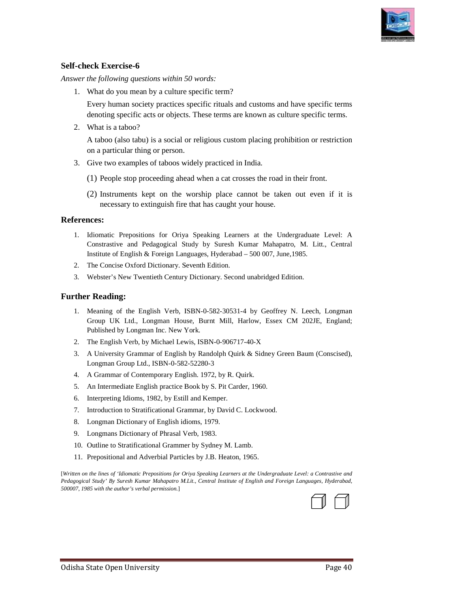

#### **Self-check Exercise-6**

*Answer the following questions within 50 words: Answer* 

1. What do you mean by a culture specific term?

Every human society practices specific rituals and customs and have specific terms Every human society practices specific rituals and customs and have specific term<br>denoting specific acts or objects. These terms are known as culture specific terms. ry human society practices specific rituals and customs and<br>oting specific acts or objects. These terms are known as cultu<br>at is a taboo?<br>boo (also tabu) is a social or religious custom placing prohi<br>particular thing or pe

2. What is a taboo?

A taboo (also tabu) is a social or religious custom placing prohibition or restriction on a particular thing or person. on a particular thing or person.

- 3. Give two examples of taboos widely practiced in India.
	- (1) People stop proceeding ahead when a cat crosses the road in their front.
	- (2) Instruments kept on the worship place cannot be taken out even if it is necessary to extinguish fire that has caught your house.

#### **References:**

- 1. Idiomatic Prepositions for Oriya Speaking Learners at the Undergraduate Level: A Constrastive and Pedagogical Study by Suresh Kumar Mahapatro, M. Litt., Central Institute of English & Foreign Languages, Hyderabad - 500 007, June, 1985.
- 2. The Concise Oxford Dictionary. Seventh Edition.
- 3. Webster's New Twentieth Century Dictionary. Second unabridged Edition.

#### **Further Reading:**

- 1. Meaning of the English Verb, ISBN-0-582-30531-4 by Geoffrey N. Leech, Longman Group UK Ltd., Longman House, Burnt Mill, Harlow, Essex CM 202JE, England; Published by Longman Inc. New York. Group UK Ltd., Longman House, Burnt Mill, Harlow,<br>Published by Longman Inc. New York.<br>2. The English Verb, by Michael Lewis, ISBN-0-906717-40-X mstrastive and Pedagogical Study by Suresh Kumar Mahapatro, M. I<br>stitute of English & Foreign Languages, Hyderabad – 500 007, June, 1985.<br>e Concise Oxford Dictionary. Seventh Edition.<br>ebster's New Twentieth Century Diction
- 
- 3. A University Grammar of English by Randolph Quirk & Sidney Green Baum (Conscised), Longman Group Ltd., ISBN-0-582-52280-3 Longman Group Ltd., ISBN-0-582-52280-3
- 4. A Grammar of Contemporary English. 1972, by R. Quirk.
- 5. An Intermediate English practice Book by S. Pit Carder, 1960.
- 6. Interpreting Idioms, 1982, by Estill and Kemper.
- 7. Introduction to Stratificational Grammar, by David C. Lockwood.
- 8. Longman Dictionary of English idioms, 1979.
- 9. Longmans Dictionary of Phrasal Verb, 1983.
- 10. Longman Dictionary of English idioms, 1979.<br>10. Longmans Dictionary of Phrasal Verb, 1983.<br>10. Outline to Stratificational Grammer by Sydney M. Lamb.
- 11. Prepositional and Adverbial Particles by J.B. Heaton, 1965. Heaton,

[*Written on the lines of 'Idiomatic Prepositions for Oriya Speaking Learners at the Undergraduate Level: a Contrastiv the Contrastive and*  [Written on the lines of 'Idiomatic Prepositions for Oriya Speaking Learners at the Undergraduate Level: a Contrastive and<br>Pedagogical Study' By Suresh Kumar Mahapatro M.Lit., Central Institute of English and Foreign Langu *500007, 1985 with the author's verbal permission.*]

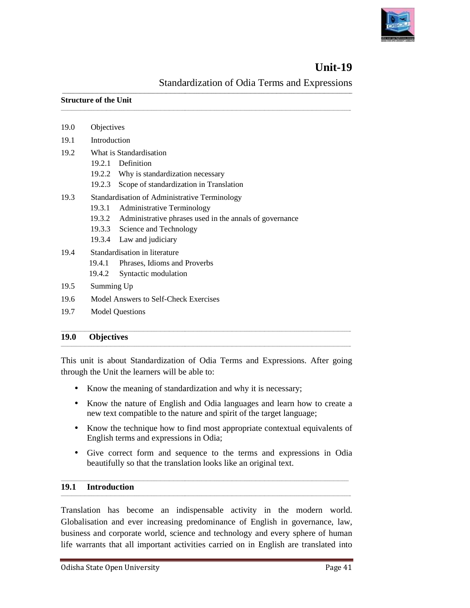

## **Unit-19 9**

**\_\_\_\_\_\_\_\_\_**

Standardization of Odia Terms and Expressions

| <b>Structure of the Unit</b> |  |  |
|------------------------------|--|--|
|------------------------------|--|--|

| <b>19.0</b> | <b>Objectives</b>   |                                                         |
|-------------|---------------------|---------------------------------------------------------|
|             |                     |                                                         |
| 19.7        |                     | <b>Model Questions</b>                                  |
| 19.6        |                     | Model Answers to Self-Check Exercises                   |
| 19.5        | Summing Up          |                                                         |
|             | 19.4.2              | Syntactic modulation                                    |
|             | 19.4.1              | Phrases, Idioms and Proverbs                            |
| 19.4        |                     | Standardisation in literature                           |
|             | 19.3.4              | Law and judiciary                                       |
|             | 19.3.3              | Science and Technology                                  |
|             | 19.3.2              | Administrative phrases used in the annals of governance |
|             | 19.3.1              | <b>Administrative Terminology</b>                       |
| 19.3        |                     | Standardisation of Administrative Terminology           |
|             | 19.2.3              | Scope of standardization in Translation                 |
|             |                     | 19.2.2 Why is standardization necessary                 |
|             |                     | 19.2.1 Definition                                       |
| 19.2        |                     | What is Standardisation                                 |
| 19.1        | <b>Introduction</b> |                                                         |
| 19.0        | Objectives          |                                                         |

**\_\_\_\_\_\_\_\_\_\_\_\_\_\_\_\_\_\_\_\_\_\_\_\_\_\_\_\_\_\_\_\_\_\_\_\_\_\_\_\_\_\_\_\_\_\_\_\_\_\_\_\_\_\_\_\_\_\_\_\_\_\_\_\_\_\_\_\_\_\_\_\_\_\_\_\_\_\_\_\_\_\_\_\_\_\_\_\_\_\_\_\_\_\_\_\_\_\_\_\_\_\_\_\_\_\_\_\_\_\_\_\_\_\_\_\_\_\_\_\_\_\_\_\_\_**

**\_\_\_\_\_\_\_\_\_\_\_\_\_\_\_\_\_\_\_\_\_\_\_\_\_\_\_\_\_\_\_\_\_\_\_\_\_\_\_\_\_\_\_\_\_\_\_\_\_\_\_\_\_\_\_\_\_\_\_\_\_\_\_\_\_\_\_\_\_\_\_\_\_\_\_\_\_\_\_\_\_\_\_\_\_\_\_\_\_\_\_\_\_\_\_\_\_\_\_\_\_\_\_\_\_\_\_\_\_\_\_\_\_\_\_\_\_\_\_\_\_\_\_\_\_\_\_\_\_\_\_\_\_\_**

#### **19.0 Objectives**

This unit is about Standardization of Odia Terms and Expressions Expressions. After going through the Unit the learners will be able to:

through the Unit the learners will be able to:<br>
• Know the meaning of standardization and why it is necessary;

- Know the nature of English and Odia languages and learn how to create a Know the nature of English and Odia languages and learn how to<br>new text compatible to the nature and spirit of the target language; is about Standardization of Odia Terms and Expressions.<br>
he Unit the learners will be able to:<br>
how the meaning of standardization and why it is necessary;<br>
how the nature of English and Odia languages and learn how<br>
w tex
- Know the technique how to find most appropriate contextual equivalents of Know the technique how to find most a English terms and expressions in Odia;
- Give correct form and sequence to the terms and expressions in Odia Give correct form and sequence to the terms and expresent beautifully so that the translation looks like an original text.

#### **19.1 Introduction**  \_\_\_\_\_\_\_\_\_\_\_\_\_\_\_\_\_\_\_\_\_\_\_\_\_\_\_\_\_\_\_\_\_\_\_\_\_\_\_\_\_\_\_\_\_\_\_\_\_\_\_\_\_\_\_\_\_\_\_\_\_\_\_\_\_\_\_\_\_\_\_\_\_\_\_\_\_\_\_\_\_\_\_\_\_\_\_\_\_\_\_\_\_\_\_\_\_\_\_\_\_\_\_\_\_\_\_\_\_\_\_\_\_\_\_\_\_\_\_\_\_\_\_\_\_ \_\_\_\_\_\_\_\_\_\_\_\_\_\_\_\_\_\_\_\_\_\_\_\_\_\_\_\_\_\_\_\_\_\_\_\_\_\_\_\_\_\_\_\_\_\_\_\_\_\_\_\_\_\_\_\_\_\_\_\_\_\_\_\_\_\_\_\_\_\_\_\_\_\_\_\_\_\_\_\_\_\_\_\_\_\_\_\_\_\_\_\_\_\_\_\_\_\_\_\_\_\_\_\_\_\_\_\_\_\_\_\_\_\_\_\_\_\_\_\_\_\_\_\_\_\_\_\_\_\_\_\_\_\_

Translation has become an indispensable activity in the modern world. Globalisation and ever increasing predominance of English in governance, law, business and corporate world, science and technology and every sphere of human life warrants that all important activities carried on in English are translated into Translation has become an indispensable activity in the modern world.<br>
Globalisation and ever increasing predominance of English in governance, law,<br>
business and corporate world, science and technology and every sphere of

\_\_\_\_\_\_\_\_\_\_\_\_\_\_\_\_\_\_\_\_\_\_\_\_\_\_\_\_\_\_\_\_\_\_\_\_\_\_\_\_\_\_\_\_\_\_\_\_\_\_\_\_\_\_\_\_\_\_\_\_\_\_\_\_\_\_\_\_\_\_\_\_\_\_\_\_\_\_\_\_\_\_\_\_\_\_\_\_\_\_\_\_\_\_\_\_\_\_\_\_\_\_\_\_\_\_\_\_\_\_\_\_\_\_\_\_\_\_\_\_\_\_\_\_\_

\_\_\_\_\_\_\_\_\_\_\_\_\_\_\_\_\_\_\_\_\_\_\_\_\_\_\_\_\_\_\_\_\_\_\_\_\_\_\_\_\_\_\_\_\_\_\_\_\_\_\_\_\_\_\_\_\_\_\_\_\_\_\_\_\_\_\_\_\_\_\_\_\_\_\_\_\_\_\_\_\_\_\_\_\_\_\_\_\_\_\_\_\_\_\_\_\_\_\_\_\_\_\_\_\_\_\_\_\_\_\_\_\_\_\_\_\_\_\_\_\_\_\_\_\_\_\_\_\_\_\_\_\_

 $\overline{\phantom{a}}$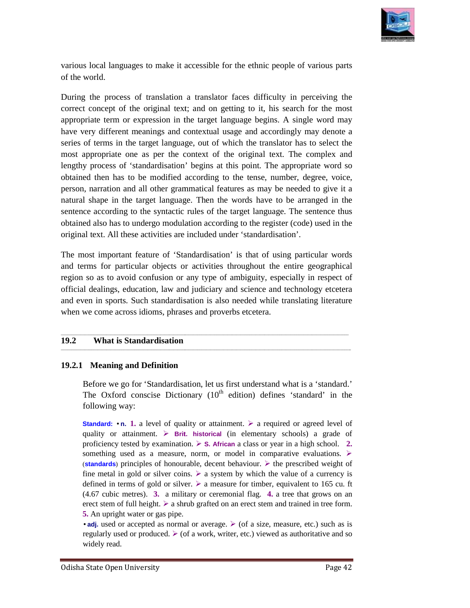

various local languages to make it accessible for the ethnic people of various parts of the world.

During the process of translation a translator faces difficulty in perceiving the During the process of translation a translator faces difficulty in perceiving the correct concept of the original text; and on getting to it, his search for the most appropriate term or expression in the target language begins. A single word may have very different meanings and contextual usage and accordingly may denote a appropriate term or expression in the target language begins. A single word may have very different meanings and contextual usage and accordingly may denote a series of terms in the target language, out of which the transl most appropriate one as per the context of the original text. The complex and lengthy process of 'standardisation' begins at this point. The appropriate word so obtained then has to be modified according to the tense, number, degree, voice, person, narration and all other grammatical features as may be needed to give it a person, narration and all other grammatical features natural shape in the target language. Then the words have to be arranged in the sentence according to the syntactic rules of the target language. The sentence thus obtained also has to undergo modulation according to the register (code) used in the original text. All these activities are included under 'standardisation'. During the process of translation a translator faces difficulty in perceiving the correct concept of the original text; and on getting to it, his search for the most appropriate term or expression in the target language he

The most important feature of 'Standardisation' is that of using particular words original text. All these activities are included under 'standardisation'.<br>The most important feature of 'Standardisation' is that of using particular words<br>and terms for particular objects or activities throughout the enti region so as to avoid confusion or any type of ambiguity, especially in respect of official dealings, education, law and judiciary and science and technology etcetera and even in sports. Such standardisation is also needed official dealings, education, law and judiciary and science and technology etcetera and even in sports. Such standardisation is also needed while translating literatur when we come across idioms, phrases and proverbs etcetera. when

\_\_\_\_\_\_\_\_\_\_\_\_\_\_\_\_\_\_\_\_\_\_\_\_\_\_\_\_\_\_\_\_\_\_\_\_\_\_\_\_\_\_\_\_\_\_\_\_\_\_\_\_\_\_\_\_\_\_\_\_\_\_\_\_\_\_\_\_\_\_\_\_\_\_\_\_\_\_\_\_\_\_\_\_\_\_\_\_\_\_\_\_\_\_\_\_\_\_\_\_\_\_\_\_\_\_\_\_\_\_\_\_\_\_\_\_\_\_\_\_\_\_\_\_\_

\_\_\_\_\_\_\_\_\_\_\_\_\_\_\_\_\_\_\_\_\_\_\_\_\_\_\_\_\_\_\_\_\_\_\_\_\_\_\_\_\_\_\_\_\_\_\_\_\_\_\_\_\_\_\_\_\_\_\_\_\_\_\_\_\_\_\_\_\_\_\_\_\_\_\_\_\_\_\_\_\_\_\_\_\_\_\_\_\_\_\_\_\_\_\_\_\_\_\_\_\_\_\_\_\_\_\_\_\_\_\_\_\_\_\_\_\_\_\_\_\_\_\_\_\_\_\_\_\_\_\_\_\_ \_\_\_\_\_\_\_\_\_\_\_\_\_\_\_\_\_\_\_\_\_\_\_\_\_\_\_\_\_\_\_\_\_\_\_\_\_\_\_\_\_\_\_\_\_\_\_\_\_\_\_\_\_\_\_\_\_\_\_\_\_\_\_\_\_\_\_\_\_\_\_\_\_\_\_\_\_\_\_\_\_\_\_\_\_\_\_\_\_\_\_\_\_\_\_\_\_\_\_\_\_\_\_\_\_\_\_\_\_\_\_\_\_\_\_\_\_\_\_\_\_\_\_\_\_\_\_\_\_\_\_\_\_\_

\_\_\_\_\_\_\_\_\_\_\_\_\_\_\_\_\_\_\_\_\_\_\_\_\_\_\_\_\_\_\_\_\_\_\_\_\_\_\_\_\_\_\_\_\_\_\_\_\_\_\_\_\_\_\_\_\_\_\_\_\_\_\_\_\_\_\_\_\_\_\_\_\_\_\_\_\_\_\_\_\_\_\_\_\_\_\_\_\_\_\_\_\_\_\_\_\_\_\_\_\_\_\_\_\_\_\_\_\_\_\_\_\_\_\_\_\_\_\_\_\_\_\_\_\_

#### **19.2 What is Standardisation**

#### **19.2.1 Meaning and Definition**

Before we go for 'Standardisation, let us first understand what is a 'standard.' Before we go for 'Standardisation, let us first understand what is a 'standard.'<br>The Oxford conscise Dictionary (10<sup>th</sup> edition) defines 'standard' in the following way:

**Standard:**  $\cdot$  **n.** 1. a level of quality or attainment.  $\triangleright$  a required or agreed level of quality or attainment. **Firit.** historical (in elementary schools) a grade of proficiency tested by examination. **S. African** a class or year in a high school. **2.** something used as a measure, norm, or model in comparative evaluations.  $\triangleright$ (standards) principles of honourable, decent behaviour.  $\triangleright$  the prescribed weight of fine metal in gold or silver coins.  $\triangleright$  a system by which the value of a currency is defined in terms of gold or silver.  $\triangleright$  a measure for timber, equivalent to 165 cu. ft (4.67 cubic metres). **3.** a military or ceremonial flag. **4.** a tree that grows on an erect stem of full height.  $\triangleright$  a shrub grafted on an erect stem and trained in tree form. **5.** An upright water or gas pipe. attainment.  $\triangleright$  a required or agreed le<br>
ical (in elementary schools) a gra<br>
African a class or year in a high schoor<br>
or model in comparative evaluatic<br>
ccent behaviour.  $\triangleright$  the prescribed wei<br>
system by which the

• adj. used or accepted as normal or average.  $\triangleright$  (of a size, measure, etc.) such as is regularly used or produced.  $\triangleright$  (of a work, writer, etc.) viewed as authoritative and so widely read.

 $\overline{\phantom{a}}$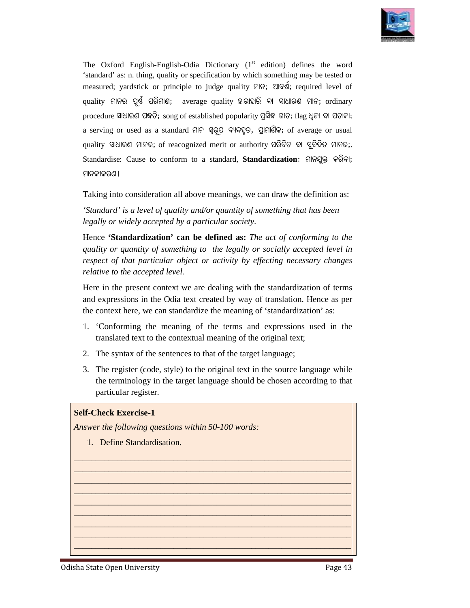

The Oxford English-English-Odia Dictionary  $(1<sup>st</sup>$  edition) defines the word 'standard' as: n. thing, quality or specification by which something may be tested or measured; yardstick or principle to judge quality ମାନ; ଆଦର୍ଶ, required level of  $\,$ quality ମାନର ପୂର୍ଷ ପରିମାଣ;  $\,$  average quality ହାରାହାରି ବା ସାଧାରଣ ମାନ; ordinary procedure ସାଧାରଣ ପଦ୍ଧତି; song of established popularity ପ୍ରସିଦ୍ଧ ଗୀତ; flag ଧ୍ୱଜା ବା ପତାକା; a serving or used as a standard ମାନ ସ୍ୱରୂପ ବ୍ୟବହୃତ, ପ୍ରାମାଣିକ; of average or usual  $\,$ quality ସାଧାରଣ ମାନର; of rea $\,$ ognized merit or authority ପରିଚିତ ବା ସୁବିଦିତ ମାନର; $\,$ Standardise: Cause to conform to a standard, **Standardization**: ମାନଯୁକ୍ତ କରିବା; ମାନକୀକରଣ **।** English-Odia Dictionary (1<sup>st</sup> edition) defines the<br>quality or specification by which something may be tes<br>r principle to judge quality ମାନ; ଆଦର୍ଶ; required le<br>ହମାଣ; average quality ହାରାହାରି ବା ସାଧାରଣ ମାନ; or<br>; song of es

Taking into consideration all above meanings, we can draw the definition as:

'Standard' is a level of quality and/or quantity of something that has been legally or widely accepted by a particular society.

Hence 'Standardization' can be defined as: The act of conforming to the *quality or quantity of something to the legally or socially accepted level in respect of that particular object or activity by effecting necessary changes or socially of effecting the necessary relative to the accepted level.*

Here in the present context we are dealing with the standardization of terms and expressions in the Odia text created by way of translation. Hence as per the context here, we can standardize the meaning of 'standardization' as: the standardiza expressions in the Odia text created by way of translation. I context here, we can standardize the meaning of 'standardiza' Conforming the meaning of the terms and expressions translated text to the context

- 1. 'Conforming the meaning of the terms and expressions used in the
- 2. The syntax of the sentences to that of the target language;
- 3. The register (code, style) to the original text in the source language while The syntax of the sentences to that of the target language;<br>The register (code, style) to the original text in the source language while<br>the terminology in the target language should be chosen according to that particular register. Here in the present context we are dealing with the standardization of terms and expressions in the Odia text created by way of translation. Hence as perferencent here, we can standardize the meaning of 'standardization' a

\_\_\_\_\_\_\_\_\_\_\_\_\_\_\_\_\_\_\_\_\_\_\_\_\_\_\_\_\_\_\_\_\_\_\_\_\_\_\_\_\_\_\_\_\_\_\_\_\_\_\_\_\_\_\_\_\_\_\_\_\_\_\_\_ \_\_\_\_\_\_\_\_\_\_\_\_\_\_\_\_\_\_\_\_\_\_\_\_\_\_\_\_\_\_\_\_\_\_\_\_\_\_\_\_\_\_\_\_\_\_\_\_\_\_\_\_\_\_\_\_\_\_\_\_\_\_\_\_ \_\_\_\_\_\_\_\_\_\_\_\_\_\_\_\_\_\_\_\_\_\_\_\_\_\_\_\_\_\_\_\_\_\_\_\_\_\_\_\_\_\_\_\_\_\_\_\_\_\_\_\_\_\_\_\_\_\_\_\_\_\_\_\_ \_\_\_\_\_\_\_\_\_\_\_\_\_\_\_\_\_\_\_\_\_\_\_\_\_\_\_\_\_\_\_\_\_\_\_\_\_\_\_\_\_\_\_\_\_\_\_\_\_\_\_\_\_\_\_\_\_\_\_\_\_\_\_\_ \_\_\_\_\_\_\_\_\_\_\_\_\_\_\_\_\_\_\_\_\_\_\_\_\_\_\_\_\_\_\_\_\_\_\_\_\_\_\_\_\_\_\_\_\_\_\_\_\_\_\_\_\_\_\_\_\_\_\_\_\_\_\_\_ \_\_\_\_\_\_\_\_\_\_\_\_\_\_\_\_\_\_\_\_\_\_\_\_\_\_\_\_\_\_\_\_\_\_\_\_\_\_\_\_\_\_\_\_\_\_\_\_\_\_\_\_\_\_\_\_\_\_\_\_\_\_\_\_ \_\_\_\_\_\_\_\_\_\_\_\_\_\_\_\_\_\_\_\_\_\_\_\_\_\_\_\_\_\_\_\_\_\_\_\_\_\_\_\_\_\_\_\_\_\_\_\_\_\_\_\_\_\_\_\_\_\_\_\_\_\_\_\_ \_\_\_\_\_\_\_\_\_\_\_\_\_\_\_\_\_\_\_\_\_\_\_\_\_\_\_\_\_\_\_\_\_\_\_\_\_\_\_\_\_\_\_\_\_\_\_\_\_\_\_\_\_\_\_\_\_\_\_\_\_\_\_\_ \_\_\_\_\_\_\_\_\_\_\_\_\_\_\_\_\_\_\_\_\_\_\_\_\_\_\_\_\_\_\_\_\_\_\_\_\_\_\_\_\_\_\_\_\_\_\_\_\_\_\_\_\_\_\_\_\_\_\_\_\_\_\_

\_\_\_\_\_\_\_\_\_\_\_\_\_\_\_\_\_\_\_\_\_\_\_\_\_\_\_\_\_\_\_\_\_\_\_\_\_\_\_\_\_\_\_\_\_\_\_\_\_\_\_\_\_\_\_

#### **Self-Check Exercise-1**

Answer the following questions within 50-100 words:

1. Define Standardisation.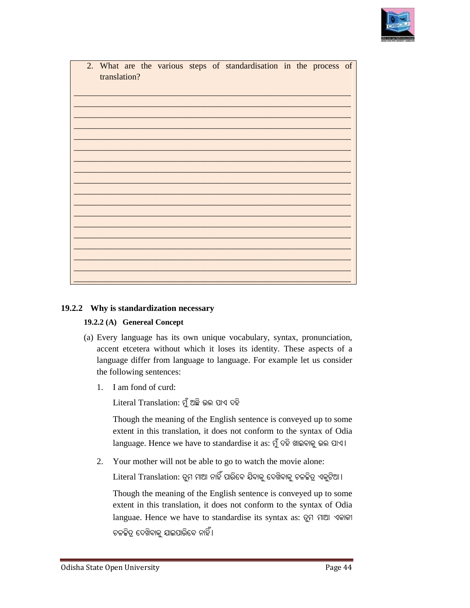

| 2. | What are the various steps of standardisation in the process of<br>translation?                                                                     |
|----|-----------------------------------------------------------------------------------------------------------------------------------------------------|
|    |                                                                                                                                                     |
|    |                                                                                                                                                     |
|    |                                                                                                                                                     |
|    |                                                                                                                                                     |
|    |                                                                                                                                                     |
|    |                                                                                                                                                     |
|    |                                                                                                                                                     |
|    |                                                                                                                                                     |
|    |                                                                                                                                                     |
|    |                                                                                                                                                     |
|    |                                                                                                                                                     |
|    |                                                                                                                                                     |
|    |                                                                                                                                                     |
|    |                                                                                                                                                     |
|    | .2.2 Why is standardization necessary                                                                                                               |
|    | 19.2.2 (A) Genereal Concept                                                                                                                         |
|    | (a) Every language has its own unique vocabulary, syntax, pronunciation,<br>accent etcetera without which it loses its identity. These aspects of a |
|    | language differ from language to language. For example let us consider                                                                              |
|    |                                                                                                                                                     |
|    | the following sentences:                                                                                                                            |
|    | 1. I am fond of curd:                                                                                                                               |
|    | Literal Translation: ମୁଁ ଅଛି ଭଲ ପାଏ ଦହି                                                                                                             |
|    | Though the meaning of the English sentence is conveyed up to some                                                                                   |
|    |                                                                                                                                                     |
|    | language. Hence we have to standardise it as: ମୁଁ ଦହି ଖାଇବାକୁ ଭଲ ପାଏ।                                                                               |
| 2. | extent in this translation, it does not conform to the syntax of Odia<br>Your mother will not be able to go to watch the movie alone:               |
|    | Literal Translation: ତୁମ ମାଆ ନାହିଁ ପାରିବେ ଯିବାକୁ ଦେଖିବାକୁ ଚଳଚ୍ଚିତ୍ର ଏକୃଟିଆ।                                                                         |
|    | Though the meaning of the English sentence is conveyed up to some<br>extent in this translation, it does not conform to the syntax of Odia          |
|    | languae. Hence we have to standardise its syntax as: ତୁମ ମାଆ ଏକାକୀ                                                                                  |

#### **19.2.2 Why is standardization necessary**

#### **19.2.2 (A) Genereal Concept**

- (a) Every language has its own unique vocabulary, syntax, pronunciation, accent etcetera without which it loses its identity. These aspects of a accent etcetera without which it loses its identity. These aspects of a<br>language differ from language to language. For example let us consider the following sentences: has its own unique vocabulary, syntax, pronum<br>without which it loses its identity. These asper<br>from language to language. For example let us a<br>ntences:<br>f curd:<br>slation: ମୁଁ ଅଛି ଭଲ ପାଏ ଦହି<br>meaning of the English sentence i
	- 1. I am fond of curd: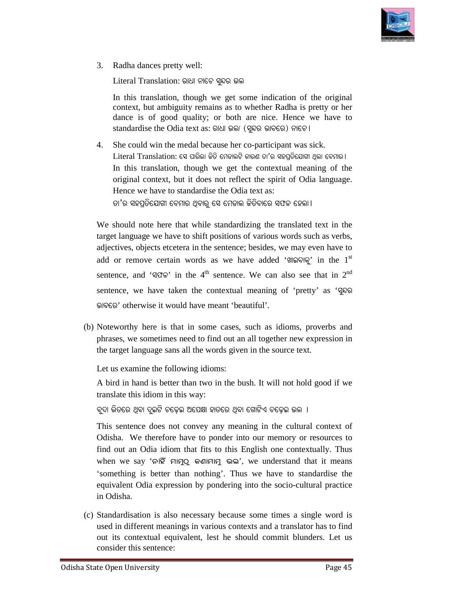

3. Radha dances pretty well:

Literal Translation: ରାଧା ନାଚେ ସ୍ୱନ୍ଦର ଭଲ

In this translation, though we get some indication of the original context, but ambiguity remains as to whether Radha is pretty or her dance is of good quality; or both are nice. Hence we have to  $standardise$  the  $O$ dia text a $s$ : ରାଧା ଭଲା (ସୁନ୍ଦର ଭାବରେ) ନାଚେ । retty well:<br>inslation: ରାଧା ନାଚେ ସୁନ୍ଦର ତ<br>inslation, though we get<br>ut ambiguity remains as t<br>of good quality; or bot

4. She could win the medal because her co-participant was sick.  $L$ iteral  $T$ rans $l$ ation: ସେ ପାରିଲା ଜିତି ମେଡାଲଟି କାରଣ ତା'ର ସହପ୍ରତିଯୋଗୀ ଥିଲା ବେମାର । In this translation, though we get the contextual meaning of the original context, but it does not reflect the spirit of Odia language.<br>Hence we have to standardise the Odia text as: original context, but it does not reflect the spirit of Odia language. Hence we have to standardise the Odia text as: ଡା'ର ସହପ୍ରତିଯୋଗୀ ବେମାର ଥିବାର୍ ସେ ମେଡାଲ ଜିତିବାରେ ସଫଳ ହେଲା ।

We should note here that while standardizing the translated text in the target language we have to shift positions of various words such as verbs, adjectives, objects etcetera in the sentence; besides, we may even have to add or remove certain words as we have added 'ଖାଇବାକୁ' in the 1<sup>st</sup> sentence, and 'QCT<sup>'</sup> in the 4<sup>th</sup> sentence. We can also see that in 2<sup>nd</sup> sentence, we have taken the contextual meaning of 'pretty' as 'qoo bûaùe' otherwise it would have meant 'beautiful'. re that while standardizing the translated text in the have to shift positions of various words such as verbs, etcetera in the sentence; besides, we may even have to In this translation, though we get some indication of the original or are some indicator of the original original original original original original original original original original original original original original

(b) Noteworthy here is that in some cases, such as idioms, proverbs and phrases, we sometimes need to find out an all together new expression in the target language sans all the words given in the source text. would have meant 'beautiful'.<br>
S that in some cases, such as idioms, proverbs and<br>
mes need to find out an all together new expression in<br>
sans all the words given in the source text.<br>
following idioms:<br>
etter than two in

Let us examine the following idioms:

A bird in hand is better than two in the bush. It will not hold good if we translate this idiom in this way:

ବୁଦା ଭିତରେ ଥିବା ଦୁଇଟି ଚଢ଼େଇ ଅପେକ୍ଷା ହାତରେ ଥିବା ଗୋଟିଏ ଚଢ଼େଇ ଭଲ <mark>।</mark>

This sentence does not convey any meaning in the cultural context of Odisha. We therefore have to ponder into our memory or resources to We find out an Odia idiom that fits to this English one contextually. Thus when we say 'ନାହିଁ ମାମୁଠୁ କଣାମାମୁ ଭଲ', we understand that it means 'something is better than nothing'. Thus we have to standardise the equivalent Odia expression by pondering into the socio-cultural practice in Odisha.

(c) Standardisation is also necessary because some times a single word is used in different meanings in various contexts and a translator has to find out its contextual equivalent, lest he should commit blunders. Let us consider this sentence: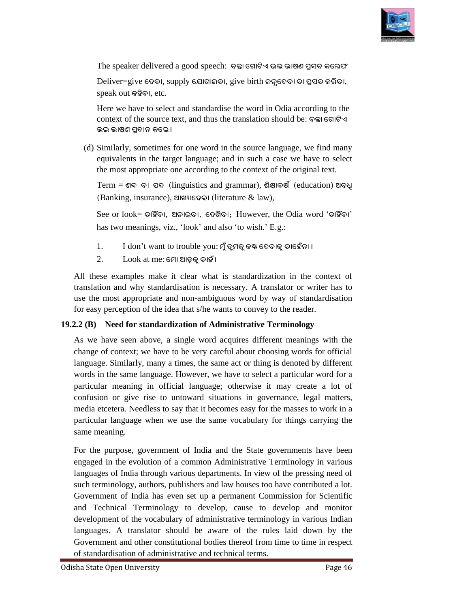

The speaker delivered a good speech: ବକ୍ତା ଗୋଟିଏ ଭଲ ଭାଷଣ ପ୍ରସବ କଲେଫ

 $D$ eliver=give ଦେବ।, supply ଯୋଗାଇବ।, give birth ଜନ୍ଗଦେବ। ବା ପ୍ରସବ କରିବ।, speak out **Kjòaû,** etc.

Here we have to select and standardise the word in Odia according to the context of the source text, and thus the translation should be: <sub>e</sub> s s s s an ଭଲ ଭାଷଣ ପଦାନ କଲେ ।

(d) Similarly, sometimes for one word in the source language, we find many equivalents in the target language; and in such a case we have to select equivalents in the target language; and in such a case we have to se<br>the most appropriate one according to the context of the original text.

Term = **g± aû \_\ (**linguistics and grammar), **gòlûahð (**education) **@a]ô (Banking, insurance), ଆଖ୍ୟାଦେବା (literature & law),** 

See or look= **Pûjóaû, @^ûAaû, ù ù\Lòaû;** However, the Odia word '**Pûjóaû**' has two meanings, viz., 'look' and also 'to wish.' E.g.:

- 1. I don't want to trouble you: ମୁଁ ତୁମକୁ କଷ୍ଟ ଦେବାକୁ ଚାହେଁନା ।
- $2.$  Look at me: ମୋ ଆଡ଼କୁ ଚାହାଁ ।

All these examples make it clear what is standardization in the context of translation and why standardisation is necessary. A translator or writer has to use the most appropriate and non-ambiguous word by way of standardisation for easy perception of the idea that s/he wants to convey to the reader.

#### **19.2.2 (B) Need for standardization of Administrative Terminology**

As we have seen above, a single word acquires different meanings with the change of context; we have to be very careful about choosing words for official language. Similarly, many a times, the same act or thing is denoted by different words in the same language. However, we have to select a particular word for a particular meaning in official language; otherwise it may create a lot of confusion or give rise to untoward situations in governance, legal matters, media etcetera. Needless to say that it becomes easy for the masses to work in a particular language when we use the same vocabulary for things carrying the same meaning. ave seen above, a single word acquires different meanings with the f context; we have to be very careful about choosing words for official Similarly, many a times, the same act or thing is denoted by different the same lan Needless to say that it becomes easy for the masses to work in a stragge when we use the same vocabulary for things carrying the see, government of India and the State governments have been

For the purpose, government of India and the State governments have been engaged in the evolution of a common Administrative Terminology in various languages of India through various departments. In view of the pressing need of such terminology, authors, publishers and law houses too have contributed a lot. Government of India has even set up a permanent Commission for Scientific and Technical Terminology to develop, cause to develop and monitor development of the vocabulary of administrative terminology in various Indian languages. A translator should be aware of the rules laid down by the Government and other constitutional bodies thereof from time to time in respect of standardisation of administrative and technical terms. guages of India through various departments. In view of the pressing need of<br>th terminology, authors, publishers and law houses too have contributed a lot.<br>vernment of India has even set up a permanent Commission for Scien Free we have to select and standardises the word in Odia according to the<br>context of the source text, and thus the translation should be:  $\Im$ esiesti $\Im$ esiesting-<br>of  $\Im$  Similarly, sometimes for one word in the source l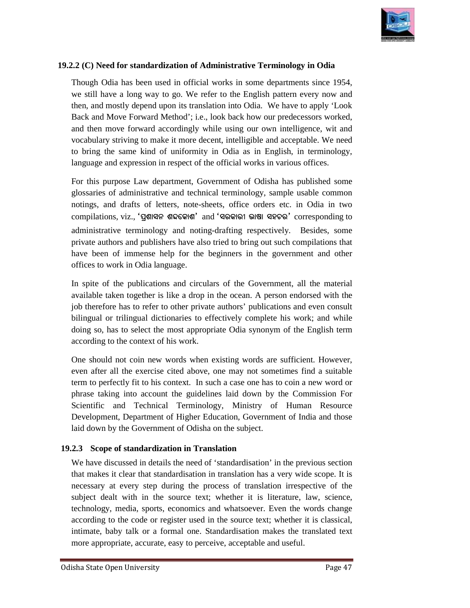

#### 19.2.2 (C) Need for standardization of Administrative Terminology in Odia

Though Odia has been used in official works in some departments since 1954, we still have a long way to go. We refer to the English pattern every now and then, and mostly depend upon its translation into Odia. We have to apply 'Look Back and Move Forward Method'; i.e., look back how our predecessors worked, and then move forward accordingly while using our own intelligence, wit and vocabulary striving to make it more decent, intelligible and acceptable. We need to bring the same kind of uniformity in Odia as in English, in terminology, language and expression in respect of the official works in various offices. been used in official works in some departments since 1954, ong way to go. We refer to the English pattern every now and depend upon its translation into Odia. We have to apply 'Look Forward Method'; i.e., look back how ou

language and expression in respect of the official works in various offices.<br>For this purpose Law department, Government of Odisha has published some glossaries of administrative and technical terminology, sample usable common notings, and drafts of letters, note-sheets, office orders etc. in Odia in two compilations, viz., **'\_âgûi^ g±ùKûg'** and **'ieKûeú bûhû ijPe'** corresponding to administrative terminology and noting-drafting respectively. Besides, some private authors and publishers have also tried to bring out such compilations that have been of immense help for the beginners in the government and other offices to work in Odia language. private authors and publishers have also t<br>have been of immense help for the be<br>offices to work in Odia language.<br>In spite of the publications and circular<br>available taken together is like a drop in Though Odia has been used in official works in some departments since 1954,<br>We still have a long way to go. We refer to the English pattern every now und<br>then, and mostly depend upon its translation into Odia. We have to

In spite of the publications and circulars of the Government, all the material available taken together is like a drop in the ocean. A person endorsed with the job therefore has to refer to other private authors' publications and even consult bilingual or trilingual dictionaries to effectively complete his work; and while doing so, has to select the most appropriate Odia synonym of the English term according to the context of his work.

according to the context of his work.<br>One should not coin new words when existing words are sufficient. However, even after all the exercise cited above, one may not sometimes find a suitable term to perfectly fit to his context. In such a case one has to coin a new word or phrase taking into account the guidelines laid down by the Com Scientific and Technical Terminology, Ministry of Human Resource Development, Department of Higher Education, Government of India and those laid down by the Government of Odisha on the subject. even after all the exercise cited above, one may not sometimes find a suitable<br>term to perfectly fit to his context. In such a case one has to coin a new word or<br>phrase taking into account the guidelines laid down by the C Scientific and Technical Terminology, Ministry of I<br>Development, Department of Higher Education, Government<br>laid down by the Government of Odisha on the subject.

#### **19.2.3 Scope of standardization in in Translation**

We have discussed in details the need of 'standardisation' in the previous section that makes it clear that standardisation in translation has a very wide scope. It is necessary at every step during the process of translation irrespective of the subject dealt with in the source text; whether it is literature, law, science, technology, media, sports, economics and whatsoever. Even the words change according to the code or register used in the source text; whether it is classical, We have discussed in details the need of 'standardisation' in the previous section<br>that makes it clear that standardisation in translation has a very wide scope. It is<br>necessary at every step during the process of translat more appropriate, accurate, easy to perceive, acceptable and useful.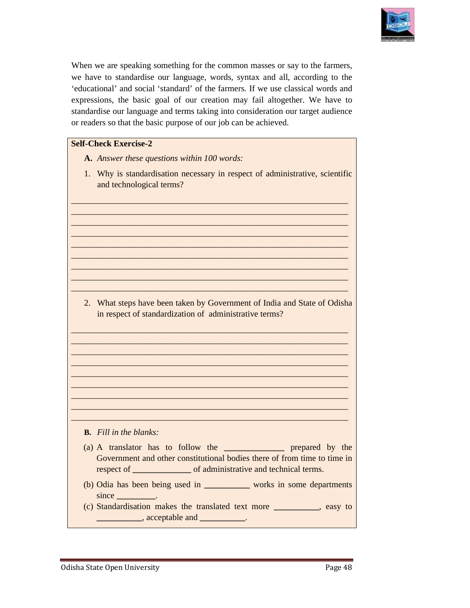

When we are speaking something for the common masses or say to the farmers, When we are speaking something for the common masses or say to the farmers, we have to standardise our language, words, syntax and all, according to the 'educational' and social 'standard' of the farmers. If we use classical words and expressions, the basic goal of our creation may fail altogether. We have to standardise our language and terms taking into consideration our target audience or readers so that the basic purpose of our job can be achieved. al' and social 'standard' of the farmers. If we use cl.<br>s, the basic goal of our creation may fail altoget<br>e our language and terms taking into consideration of<br>so that the basic purpose of our job can be achieved. When we are speaking something for the common masses or say to the farmer<br>such that we were showed that the conting to the changing to the conting to the conting to the continual and social 'standard' of the farmers. If w

#### **Self-Check Exercise-2**

- **A.** *Answer these questions within 100 words:*
- 1. Why is standardisation necessary in respect of administrative, scientific and technological terms?

\_\_\_\_\_\_\_\_\_\_\_\_\_\_\_\_\_\_\_\_\_\_\_\_\_\_\_\_\_\_\_\_\_\_\_\_\_\_\_\_\_\_\_\_\_\_\_\_\_\_\_\_\_\_\_\_\_\_\_\_\_\_\_\_ \_\_\_\_\_\_\_\_\_\_\_\_\_\_\_\_\_\_\_\_\_\_\_\_\_\_\_\_\_\_\_\_\_\_\_\_\_\_\_\_\_\_\_\_\_\_\_\_\_\_\_\_\_\_\_\_\_\_\_\_\_\_\_\_ \_\_\_\_\_\_\_\_\_\_\_\_\_\_\_\_\_\_\_\_\_\_\_\_\_\_\_\_\_\_\_\_\_\_\_\_\_\_\_\_\_\_\_\_\_\_\_\_\_\_\_\_\_\_\_\_\_\_\_\_\_\_\_\_ \_\_\_\_\_\_\_\_\_\_\_\_\_\_\_\_\_\_\_\_\_\_\_\_\_\_\_\_\_\_\_\_\_\_\_\_\_\_\_\_\_\_\_\_\_\_\_\_\_\_\_\_\_\_\_\_\_\_\_\_\_\_\_\_ \_\_\_\_\_\_\_\_\_\_\_\_\_\_\_\_\_\_\_\_\_\_\_\_\_\_\_\_\_\_\_\_\_\_\_\_\_\_\_\_\_\_\_\_\_\_\_\_\_\_\_\_\_\_\_\_\_\_\_\_\_\_\_\_ \_\_\_\_\_\_\_\_\_\_\_\_\_\_\_\_\_\_\_\_\_\_\_\_\_\_\_\_\_\_\_\_\_\_\_\_\_\_\_\_\_\_\_\_\_\_\_\_\_\_\_\_\_\_\_\_\_\_\_\_\_\_\_\_ \_\_\_\_\_\_\_\_\_\_\_\_\_\_\_\_\_\_\_\_\_\_\_\_\_\_\_\_\_\_\_\_\_\_\_\_\_\_\_\_\_\_\_\_\_\_\_\_\_\_\_\_\_\_\_\_\_\_\_\_\_\_\_\_ \_\_\_\_\_\_\_\_\_\_\_\_\_\_\_\_\_\_\_\_\_\_\_\_\_\_\_\_\_\_\_\_\_\_\_\_\_\_\_\_\_\_\_\_\_\_\_\_\_\_\_\_\_\_\_\_\_\_\_\_\_\_\_\_ \_\_\_\_\_\_\_\_\_\_\_\_\_\_\_\_\_\_\_\_\_\_\_\_\_\_\_\_\_\_\_\_\_\_\_\_\_\_\_\_\_\_\_\_\_\_\_\_\_\_\_\_\_\_\_\_\_\_\_\_\_\_\_

2. What steps have been taken by Government of India and State of Odisha in respect of standardization of administrative terms? at steps have been taken by Government of India and State of Odish<br>espect of standardization of administrative terms?

\_\_\_\_\_\_\_\_\_\_\_\_\_\_\_\_\_\_\_\_\_\_\_\_\_\_\_\_\_\_\_\_\_\_\_\_\_\_\_\_\_\_\_\_\_\_\_\_\_\_\_\_\_\_\_

\_\_\_\_\_\_\_\_\_\_\_\_\_\_\_\_\_\_\_\_\_\_\_\_\_\_\_\_\_\_\_\_\_\_\_\_\_\_\_\_\_\_\_\_\_\_\_\_\_\_\_\_\_\_\_\_\_\_\_\_\_\_\_\_ \_\_\_\_\_\_\_\_\_\_\_\_\_\_\_\_\_\_\_\_\_\_\_\_\_\_\_\_\_\_\_\_\_\_\_\_\_\_\_\_\_\_\_\_\_\_\_\_\_\_\_\_\_\_\_\_\_\_\_\_\_\_\_\_ \_\_\_\_\_\_\_\_\_\_\_\_\_\_\_\_\_\_\_\_\_\_\_\_\_\_\_\_\_\_\_\_\_\_\_\_\_\_\_\_\_\_\_\_\_\_\_\_\_\_\_\_\_\_\_\_\_\_\_\_\_\_\_\_ \_\_\_\_\_\_\_\_\_\_\_\_\_\_\_\_\_\_\_\_\_\_\_\_\_\_\_\_\_\_\_\_\_\_\_\_\_\_\_\_\_\_\_\_\_\_\_\_\_\_\_\_\_\_\_\_\_\_\_\_\_\_\_\_ \_\_\_\_\_\_\_\_\_\_\_\_\_\_\_\_\_\_\_\_\_\_\_\_\_\_\_\_\_\_\_\_\_\_\_\_\_\_\_\_\_\_\_\_\_\_\_\_\_\_\_\_\_\_\_\_\_\_\_\_\_\_\_\_ \_\_\_\_\_\_\_\_\_\_\_\_\_\_\_\_\_\_\_\_\_\_\_\_\_\_\_\_\_\_\_\_\_\_\_\_\_\_\_\_\_\_\_\_\_\_\_\_\_\_\_\_\_\_\_\_\_\_\_\_\_\_\_\_ \_\_\_\_\_\_\_\_\_\_\_\_\_\_\_\_\_\_\_\_\_\_\_\_\_\_\_\_\_\_\_\_\_\_\_\_\_\_\_\_\_\_\_\_\_\_\_\_\_\_\_\_\_\_\_\_\_\_\_\_\_\_\_\_ \_\_\_\_\_\_\_\_\_\_\_\_\_\_\_\_\_\_\_\_\_\_\_\_\_\_\_\_\_\_\_\_\_\_\_\_\_\_\_\_\_\_\_\_\_\_\_\_\_\_\_\_\_\_\_\_\_\_\_\_\_\_\_\_ \_\_\_\_\_\_\_\_\_\_\_\_\_\_\_\_\_\_\_\_\_\_\_\_\_\_\_\_\_\_\_\_\_\_\_\_\_\_\_\_\_\_\_\_\_\_\_\_\_\_\_\_\_\_\_\_\_\_\_\_\_\_\_

- **B.** *Fill in the blanks:*
- (a) A translator has to follow the \_\_\_\_\_\_\_\_\_\_\_\_\_\_\_\_\_\_\_\_\_\_\_\_\_\_\_\_ prepared by the Government and other constitutional bodies there of from time to time in respect of \_\_\_\_\_\_\_\_\_\_\_\_\_\_\_\_\_\_\_\_\_\_\_\_\_\_ \_\_\_\_\_\_\_\_\_\_\_ of administrative and technical terms.
- (b) Odia has been being used in \_\_\_\_\_\_\_\_\_\_\_\_\_\_\_\_\_\_\_\_\_ works in some departments since \_\_\_\_\_\_\_\_\_\_\_\_\_\_\_\_\_\_.
- (c) Standardisation makes the translated text more \_\_\_\_\_\_\_\_\_\_\_\_\_\_\_\_\_\_\_\_\_, easy to  $\blacksquare$ , acceptable and  $\blacksquare$ .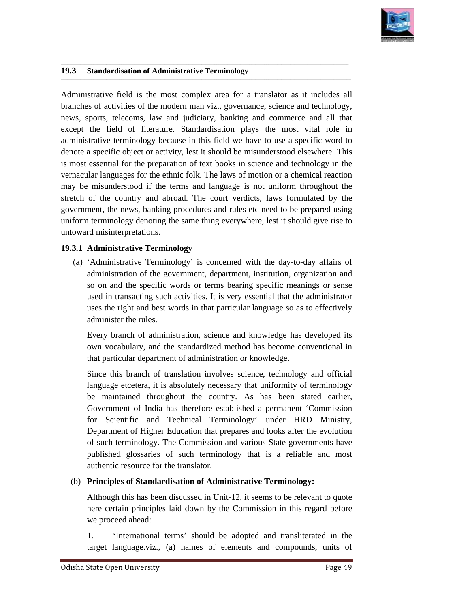

 $\overline{\phantom{a}}$ 

#### **19.3 Standardisation of Administrative Terminology**

Administrative field is the most complex area for a translator as it includes all branches of activities of the modern man viz., governance, science and technology, news, sports, telecoms, law and judiciary, banking and commerce and all that except the field of literature. Standardisation plays the most vital role in administrative terminology because in this field we have to use a specific word to denote a specific object or activity, lest it should be misunderstood elsewhere. This is most essential for the preparation of text books in science and technology in the vernacular languages for the ethnic folk. The laws of motion or a chemical reaction may be misunderstood if the terms and language is not uniform throughout the stretch of the country and abroad. The court verdicts, laws formulated by the government, the news, banking procedures and rules etc need to be prepared using uniform terminology denoting the same thing everywhere, lest it should give rise to untoward misinterpretations. (a) the same thing everywhere, lest it should give rise to uniform terminology denoting the same thing everywhere, lest it should give rise to untoward misinterpretations.<br> **19.3.1 Administrative Terminology**<br>
(a) 'Adminis field is the most complex area for a translator as it includes<br>ivities of the modern man viz., governance, science and technolo<br>elecoms, law and judiciary, banking and commerce and all t<br>ld of literature. Standardisation p Inslator as it includes all<br>
science and technology,<br>
tommerce and all that<br>
the most vital role in<br>
to use a specific word to<br>
derstood elsewhere. This<br>
no or a chemical reaction<br>
on or a chemical reaction<br>
uniform throug Administrative field is the most complex area for a translator as it includes<br>branches of activities of the modern man via:, governance, science and uchnost<br>enews, sports, telecoms, law and judiciary, bunking and commerce

\_\_\_\_\_\_\_\_\_\_\_\_\_\_\_\_\_\_\_\_\_\_\_\_\_\_\_\_\_\_\_\_\_\_\_\_\_\_\_\_\_\_\_\_\_\_\_\_\_\_\_\_\_\_\_\_\_\_\_\_\_\_\_\_\_\_\_\_\_\_\_\_\_\_\_\_\_\_\_\_\_\_\_\_\_\_\_\_\_\_\_\_\_\_\_\_\_\_\_\_\_\_\_\_\_\_\_\_\_\_\_\_\_\_\_\_\_\_\_\_\_\_\_\_\_

\_\_\_\_\_\_\_\_\_\_\_\_\_\_\_\_\_\_\_\_\_\_\_\_\_\_\_\_\_\_\_\_\_\_\_\_\_\_\_\_\_\_\_\_\_\_\_\_\_\_\_\_\_\_\_\_\_\_\_\_\_\_\_\_\_\_\_\_\_\_\_\_\_\_\_\_\_\_\_\_\_\_\_\_\_\_\_\_\_\_\_\_\_\_\_\_\_\_\_\_\_\_\_\_\_\_\_\_\_\_\_\_\_\_\_\_\_\_\_\_\_\_\_\_\_\_\_\_\_\_\_\_\_ \_\_\_\_\_\_\_\_\_\_\_\_\_\_\_\_\_\_\_\_\_\_\_\_\_\_\_\_\_\_\_\_\_\_\_\_\_\_\_\_\_\_\_\_\_\_\_\_\_\_\_\_\_\_\_\_\_\_\_\_\_\_\_\_\_\_\_\_\_\_\_\_\_\_\_\_\_\_\_\_\_\_\_\_\_\_\_\_\_\_\_\_\_\_\_\_\_\_\_\_\_\_\_\_\_\_\_\_\_\_\_\_\_\_\_\_\_\_\_\_\_\_\_\_\_\_\_\_\_\_\_\_\_\_

\_\_\_\_\_\_\_\_\_\_\_\_\_\_\_\_\_\_\_\_\_\_\_\_\_\_\_\_\_\_\_\_\_\_\_\_\_\_\_\_\_\_\_\_\_\_\_\_\_\_\_\_\_\_\_\_\_\_\_\_\_\_\_\_\_\_\_\_\_\_\_\_\_\_\_\_\_\_\_\_\_\_\_\_\_\_\_\_\_\_\_\_\_\_\_\_\_\_\_\_\_\_\_\_\_\_\_\_\_\_\_\_\_\_\_\_\_\_\_\_\_\_\_\_\_

#### **19.3.1 Administrative Terminology**

administration of the government, department, institution, organization and so on and the specific words or terms bearing specific meanings or sense used in transacting such activities. It is very essential that the administrator uses the right and best words in that particular language so as to effectively administer the rules. bearing specific words or terms bearing specific meanings or sense<br>cting such activities. It is very essential that the administrator<br>and best words in that particular language so as to effectively<br>rules.<br>of administration

Every branch of administration, science and knowledge has developed its own vocabulary, and the standardized method has become conventional in that particular department of administration or knowledge.

Since this branch of translation involves science, technology and official language etcetera, it is absolutely necessary that uniformity of terminology be maintained throughout the country. As has been stated earlier, Government of India has therefore established a permanent 'Commission for Scientific and Technical Terminology' under HRD Ministry, Department of Higher Education that prepares and looks after the evolution of such terminology. The Commission and various State governments have published glossaries of such terminology that is a reliable and most authentic resource for the translator. and Technical Terminology' under<br>igher Education that prepares and looks<br>gy. The Commission and various State<br>ries of such terminology that is a 1<br>e for the translator.

#### (b) **Principles of Standardisation of Administrative Terminology: of of**

Although this has been discussed in Unit-12, it seems to be relevant to quote here certain principles laid down by the Commission in this regard before we proceed ahead:

1. 'International terms' should be adopted and transliterated in the target language.viz., (a) names of elements and compounds, units of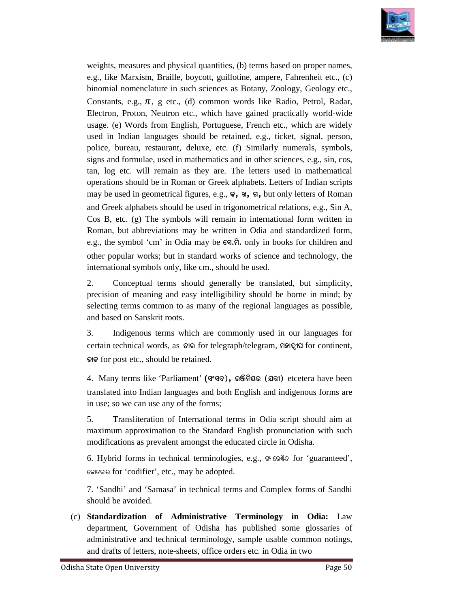

weights, measures and physical quantities, (b) terms based on proper names, e.g., like Marxism, Braille, boycott, guillotine, ampere, Fahrenheit etc., (c) binomial nomenclature in such sciences as Botany, Zoology, Geology etc., Constants, e.g.,  $\pi$ , g etc., (d) common words like Radio, Petrol, Radar, Electron, Proton, Neutron etc., which have gained practically world world-wide usage. (e) Words from English, Portuguese, French etc., which are widely used in Indian languages should be retained, e.g., ticket, signal, person, usage. (e) Words from English, Portuguese, French etc., which are widely used in Indian languages should be retained, e.g., ticket, signal, person, police, bureau, restaurant, deluxe, etc. (f) Similarly numerals, symbols, signs and formulae, used in mathematics and in other sciences, e.g., sin, cos, tan, log etc. will remain as they are. The letters used in mathematical operations should be in Roman or Greek alphabets. Letters of may be used in geometrical figures, e.g.,  $\mathbf{F}$ ,  $\mathbf{s}$ ,  $\mathbf{s}$ , but only letters of Roman and Greek alphabets should be used in trigonometrical relations, e.g., Sin A, Cos B, etc. (g) The symbols will remain in international form written in Roman, but abbreviations may be written in Odia and standardized form, and Greek alphabets should be used in trigonometrical relations, e.g., Sin A, Cos B, etc. (g) The symbols will remain in international form written in Roman, but abbreviations may be written in Odia and standardized form, other popular works; but in standard works of science and technology, the other popular works; but in standard works of scien<br>international symbols only, like cm., should be used. and formulae, used in mathematics and in other sciences, e.g., sin, cos, og etc. will remain as they are. The letters used in mathematical tions should be in Roman or Greek alphabets. Letters of Indian scripts ysical quantities, (b) terms hased on proper names,<br>e, boycott, guilloine, ampere, Fahrenheit etc., (c)<br>such sciences as Botuny, Zoology, Geology etc.,<br>c, (d) common words like Radio, Petrol, Radar,<br>etc., which have gained weights, measures and physical quantities, (b) terms based on proper names, e.g., like Marxism, Braille, boycott, guillotine, ampere, Fahrenheit etc., (c) binomial nomenclature in such sciences as Botany, Zoology, Geology

2. Conceptual terms should generally be translated, but simplicity, precision of meaning and easy intelligibility should be borne in mind; by selecting terms common to as many of the regional languages as possible, and based on Sanskrit roots.

3. Indigenous terms which are commonly used in our languages for certain technical words, as  $\Theta$ <sup>o</sup> for telegraph/telegram, **polity for continent**, **WûK** for post etc., should be retained.

4. Many terms like 'Parliament' 4. Many like **(iõi\), A¬ò^òde (~ªú)** etcetera have been translated into Indian languages and both English and indigenous forms are in use; so we can use any of the forms; etcetera into Indian languages English nunciation for

in use; so we can use any of the forms;<br>5. Transliteration of International terms in Odia script should aim at maximum approximation to the Standard English pronunciation with such modifications as prevalent amongst the educated circle in Odisha.

6. Hybrid forms in technical terminologies, e.g., SHIGO for 'guaranteed', କୋଡକାର for 'codifier', etc., may be adopted.

7. 'Sandhi' and 'Samasa' in technical terms and Complex forms of Sandhi should be avoided.

(c) **Standardization of Administrative Terminology in Odia:**  Law department, Government of Odisha has published some glossaries of administrative and technical terminology, sample usable common notings, and drafts of letters, note-sheets, office orders etc. in Odia in two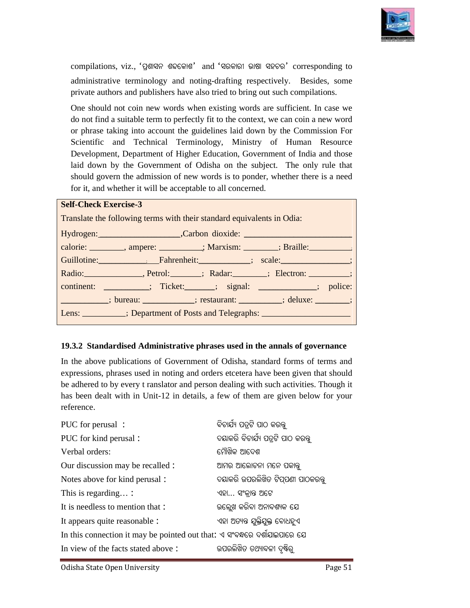

compilations, viz., 'ପ୍ରଶାସନ ଶବ୍ଦକୋଶ' and 'ସରକାରୀ ଭାଷା ସହଚର' corresponding to administrative terminology and noting-drafting respectively. Besides, some private authors and publishers have also tried to bring out such compilations.

One should not coin new words when existing words are sufficient. In case we do not find a suitable term to perfectly fit to the context, we can coin a new word or phrase taking into account the guidelines laid down by the Commission For Scientific and Technical Terminology, Ministry of Human Resource Development, Department of Higher Education, Government of India and those laid down by the Government of Odisha on the subject. The only rule that should govern the admission of new words is to ponder, whether there is a need for it, and whether it will be acceptable to all concerned. e should not coin new words when existing words are sufficient. In case we<br>not find a suitable term to perfectly fit to the context, we can coin a new word<br>phrase taking into account the guidelines laid down by the Commiss compilations, viz., 'Genera' and 'Genera' and 'General existing vorresponding<br>administrative terminology and noting-drafting respectively. Besides, sor<br>private authors and publishers have also tried to bring out such compi

#### **Self-Check Exercise-3**

| Translate the following terms with their standard equivalents in Odia:                                                                                                                                                         |  |  |
|--------------------------------------------------------------------------------------------------------------------------------------------------------------------------------------------------------------------------------|--|--|
|                                                                                                                                                                                                                                |  |  |
| calorie: ________, ampere: __________; Marxism: _______; Braille: ________.                                                                                                                                                    |  |  |
|                                                                                                                                                                                                                                |  |  |
| Radio: Radio: Retrol: Radar: Blectron: Blectron: Blectron: Blectron: Blectron: Blectron: Blectron: Blectron: Blectron: Blectron: Blectron: Blectron: Blectron: Blectron: Blectron: Blectron: Blectron: Blectron: Blectron: Ble |  |  |
| continent: __________; Ticket: ______; signal: ____________; police:                                                                                                                                                           |  |  |
| [1000]; bureau: _____________; restaurant: _________; deluxe: _______;                                                                                                                                                         |  |  |
| Lens: __________; Department of Posts and Telegraphs: __________________________                                                                                                                                               |  |  |

#### **19.3.2 Standardised Administrative Administrative phrases used in the annals of governance**

In the above publications of Government of Odisha, standard forms of terms and expressions, phrases used in noting and orders etcetera have been given that should In the above publications of Government of Odisha, standard forms of terms and expressions, phrases used in noting and orders etcetera have been given that should be adhered to by every t ranslator and person dealing with has been dealt with in Unit-12 in details, a few of them are given below for your reference. In the above publications of Government of Odisha, standard forms of expressions, phrases used in noting and orders etcetera have been given the adhered to by every t ranslator and person dealing with such activities. has

| PUC for perusal:                                                          | ବିଚାର୍ଯ୍ୟ ପତ୍ରଟି ପାଠ କରକ୍ତ        |
|---------------------------------------------------------------------------|-----------------------------------|
| PUC for kind perusal:                                                     | ଦୟାକରି ବିଚାର୍ଯ୍ୟ ପତ୍ରଟି ପାଠ କରକ୍ତ |
| Verbal orders:                                                            | ମୌଖିକ ଆଦେଶ                        |
| Our discussion may be recalled :                                          | ଆମର ଆଲୋଚନା ମନେ ପକାନ୍ତୁ            |
| Notes above for kind perusal:                                             | ଦୟାକରି ଉପରଲିଖିତ ଟିପ୍ପଣୀ ପାଠକରନ୍ତୁ |
| This is regarding :                                                       | ଏହା ସଂକ୍ରାନ୍ତ ଅଟେ                 |
| It is needless to mention that :                                          | ଉଲ୍ଲେଖ କରିବା ଅନାବଶ୍ୟକ ଯେ          |
| It appears quite reasonable :                                             | ଏହା ଅତ୍ୟନ୍ତ ଯୁକ୍ତିଯୁକ୍ତ ବୋଧହୁଏ    |
| In this connection it may be pointed out that: ଏ ସଂବକ୍ଷରେ ଦର୍ଶାଯାଇପାରେ ଯେ |                                   |
| In view of the facts stated above:                                        | ଉପରଲିଖିତ ତଥ୍ୟାବଳୀ ଦୃଷ୍ଟିର୍        |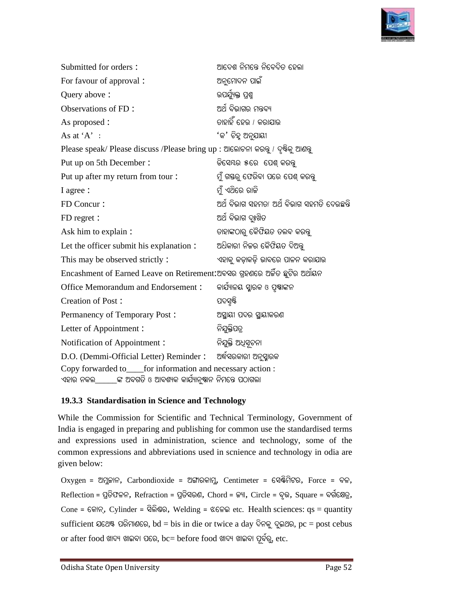

| Submitted for orders:                                                                                                        | ଆଦେଶ ନିମନ୍ତେ ନିବେଦିତ ହେଲା                  |
|------------------------------------------------------------------------------------------------------------------------------|--------------------------------------------|
| For favour of approval :                                                                                                     | ଅନୁମୋଦନ ପାଇଁ                               |
| Query above:                                                                                                                 | ଉପର୍ଯ୍ୟକ୍ତ ପ୍ରଶ୍ମ                          |
| Observations of FD:                                                                                                          | ଅର୍ଥ ବିଭାଗର ମନ୍ତବ୍ୟ                        |
| As proposed :                                                                                                                | ତାହାହିଁ ହେଉ / କରାଯାଉ                       |
| As at 'A' :                                                                                                                  | 'କ' ଚିହ୍ର ଅନୁଯାୟୀ                          |
| Please speak/ Please discuss /Please bring up : ଆଲୋଚନା କରନ୍ତୁ / ଦୃଷିକୁ ଆଣବୁ                                                  |                                            |
| Put up on 5th December:                                                                                                      | ଡିସେୟର ୫ରେ  ପେଶ୍ କରନ୍ତୁ                    |
| Put up after my return from tour:                                                                                            | ମୁଁ ଗସ୍ତରୁ ଫେରିବା ପରେ ପେଶ୍ କରକ୍ତ           |
| I agree:                                                                                                                     | ମୁଁ ଏଥିରେ ରାଜି                             |
| FD Concur:                                                                                                                   | ଅର୍ଥ ବିଭାଗ ସହମତା ଅର୍ଥ ବିଭାଗ ସହମତି ଦେଉଛନ୍ତି |
| FD regret :                                                                                                                  | ଅର୍ଥ ବିଭାଗ ଦୃଃଖିତ                          |
| Ask him to explain :                                                                                                         | ଡାହାଙ୍କଠାରୁ କୈଫିୟତ ତଲବ କରନ୍ତୁ              |
| Let the officer submit his explanation :                                                                                     | ଅଧିକାରୀ ନିଜର କୈଫିୟତ ଦିଅନ୍ତୁ                |
| This may be observed strictly:                                                                                               | ଏହାକୁ କଡ଼ାକଡ଼ି ଭାବରେ ପାଳନ କରାଯାଉ           |
| Encashment of Earned Leave on Retirement:ଅବସର ଗ୍ରହଣରେ ଅର୍କିତ ଛୁଟିର ଅର୍ଥାୟନ                                                   |                                            |
| Office Memorandum and Endorsement:                                                                                           | କାର୍ଯ୍ୟାଳୟ ସ୍କାରକ ଓ ପୃଷ୍ଠାଙ୍କନ             |
| Creation of Post:                                                                                                            | ପଦସୃଷ୍ଟି                                   |
| Permanency of Temporary Post:                                                                                                | ଅସ୍ଥାୟୀ ପଦର ସ୍ଥାୟୀକରଣ                      |
| Letter of Appointment:                                                                                                       | ନିଯୁକ୍ତିପତ୍ର                               |
| Notification of Appointment:                                                                                                 | ନିଯୁକ୍ତି ଅଧିସୂଚନା                          |
| D.O. (Demmi-Official Letter) Reminder:                                                                                       | ଅର୍ଦ୍ଧିସରକାରୀ ଅନୁସ୍କାରକ                    |
| Copy forwarded to____for information and necessary action :<br>୍ଙ୍କ ଅବଗତି ଓ ଆବଶ୍ୟକ କାର୍ଯ୍ୟାନ୍ୟୁସନ ନିମନ୍ତେ ପଠାଗଲା<br>ଏହାର ନକଲ |                                            |

#### 19.3.3 Standardisation in Science and Technology

While the Commission for Scientific and Technical Terminology, Government of India is engaged in preparing and publishing for common use the standardised terms and expressions used in administration, science and technology, some of the and expressions used in administration, science and technology, some of the common expressions and abbreviations used in scnience and technology in odia are given below: e the Commission for Scientific and Technical Terminology, Government<br>is engaged in preparing and publishing for common use the standardised ter<br>expressions used in administration, science and technology, some of<br>non expr

 $Oxy$ gen = ଅମୁକାନ,  $Carbondioxide$  = ଅଙ୍ଗାରକାମୁ,  $Centimeter$  = ସେଷ୍ଟିମିଟର, Force = ବଳ,  ${\rm Reflection}$  = ପ୍ରତିଫଳନ,  ${\rm Refraction}$  = ପ୍ରତିସରଣ,  ${\rm Chord}$  = ଜ୍ୟା,  ${\rm Circle}$  = ବୃଭ,  ${\rm Square}$  = ବର୍ଗକ୍ଷେତ୍ର,  $Cone =$  କୋନ୍, Cylinder = ସିଲିଷର, Welding = ଝଳେଇ etc. Health sciences:  $qs =$  quantity sufficient ଯଥେଷ୍ଟ ପରିମାଣରେ,  $bd = bis$  in die or twice a day ଦିନକୁ ଦୁଇଥର,  $pc = post$  cebus  $\alpha$ r after food ଖାଦ୍ୟ ଖାଇବା ପରେ,  $bc=$   $before$  food ଖାଦ୍ୟ ଖାଇବା ପୂର୍ବରୁ, etc.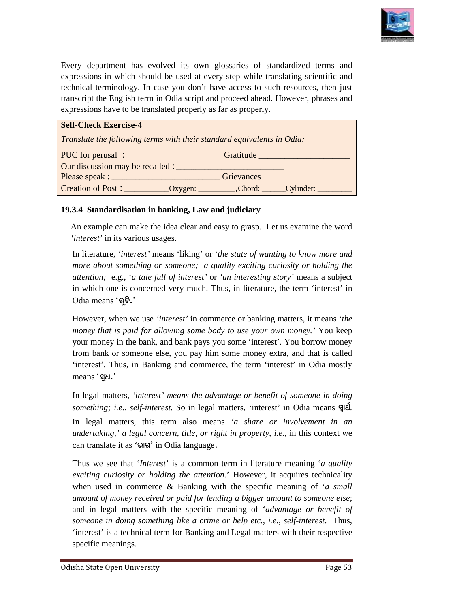

Every department has evolved its own glossaries of standardized terms and Every department has evolved its own glossaries of standardized terms and expressions in which should be used at every step while translating scientific and technical terminology. In case you don't have access to such resources, then just transcript the English term in Odia script and proceed ahead. However, phrases and transcript the English term in Odia script and proceed ahead<br>expressions have to be translated properly as far as properly.

| expressions in which should be used at every step while translating scientific and<br>technical terminology. In case you don't have access to such resources, then just<br>transcript the English term in Odia script and proceed ahead. However, phrases and<br>expressions have to be translated properly as far as properly. |  |  |
|---------------------------------------------------------------------------------------------------------------------------------------------------------------------------------------------------------------------------------------------------------------------------------------------------------------------------------|--|--|
| <b>Self-Check Exercise-4</b>                                                                                                                                                                                                                                                                                                    |  |  |
| Translate the following terms with their standard equivalents in Odia:                                                                                                                                                                                                                                                          |  |  |
|                                                                                                                                                                                                                                                                                                                                 |  |  |
| Our discussion may be recalled :                                                                                                                                                                                                                                                                                                |  |  |
|                                                                                                                                                                                                                                                                                                                                 |  |  |
|                                                                                                                                                                                                                                                                                                                                 |  |  |
| 19.3.4 Standardisation in banking, Law and judiciary                                                                                                                                                                                                                                                                            |  |  |
| An example can make the idea clear and easy to grasp. Let us examine the word                                                                                                                                                                                                                                                   |  |  |

#### 19.3.4 Standardisation in banking, Law and judiciary

An example can make the idea clear and easy to grasp. Let us examine the word *'interest'* in its various usages.

In literature, *'interest'* means 'liking' or ' *the state of wanting to know more and more about something or someone; a quality exciting curiosity or holding the attention; e.g., 'a tale full of interest' or 'an interesting story' means a subject attention;* e.g., '*a tale full of interest'*  in which one is concerned very much. Thus, in literature, the term 'interest' in Odia means **'eêPò.'** in which one is concerned very much. Thus, in literature, the term 'interest' in Odia means '**Q
<sup>S</sup>.'**<br>However, when we use 'interest' in commerce or banking matters, it means 'the

*money that is paid for allowing some body to use your own money.'* You keep your money in the bank, and bank pays you some 'interest'. You borrow money from bank or someone else, you pay him some money extra, and that is called 'interest'. Thus, in Banking and commerce, the term 'interest' in Odia mostly means 'gel.' money in the bank, and bank pays you some 'interest'. You borrow money<br>bank or someone else, you pay him some money extra, and that is called<br>rest'. Thus, in Banking and commerce, the term 'interest' in Odia mostly<br>s'quele is concerned very much. Thus, in literature, the term 'interest' in  $\mathbb{R}^{\mathbb{S}}$ .<br>
In we use *'interest'* in commerce or banking matters, it means *'the* paid for allowing some body to use your own money.' You keep it t

In legal matters, *'interest' means the advantage or benefit of someone in doing something; i.e., self-interest.* So in legal matters, 'interest' in Odia means **qili**. In legal matters, this term also means 'a share or involvement in an *undertaking,' a legal concern, title, or right in property, i.e., in this context we* can translate it as 'onletical in Odia language.

Thus we see that '*Interest*' is a common term in literature meaning ' *a quality exciting curiosity or holding the attention* .' However, it acquires technicality when used in commerce & Banking with the specific meaning of 'a small *amount of money received or paid fo for lending a bigger amount to someone else* and in legal matters with the specific meaning of 'advantage or benefit of someone in doing something like a crime or help etc., i.e., self-interest. Thus, 'interest' is a technical term for Banking and Legal matters with their respective specific meanings. this context we<br>ning '*a quality*<br>res technicality<br>ng of '*a small*<br>p someone else;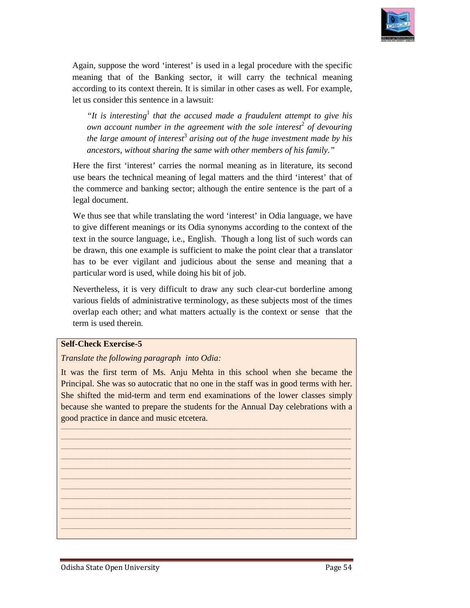

Again, suppose the word 'interest' is used in a legal procedure with the specific meaning that of the Banking sector, it will carry the technical meaning according to its context therein. It is similar in other cases as well. For example, let us consider this sentence in a lawsuit: let us Again, suppose the word 'interest' is used in a legal procedure with the specific meaning that of the Banking sector, it will carry the technical meaning according to its context therein. It is similar in other cases as we

"It is interesting<sup>1</sup> that the accused made a fraudulent attempt to give his *outher in interesting* that the accused made a fraudulent attempt to give his own account number in the agreement with the sole interest<sup>2</sup> of devouring the large amount of interest<sup>3</sup> arising out of the huge investment made by his *ancestors, without sharing the same with other members of his family." the accused made a fraudulent attempt to*<br>*i* the agreement with the sole interest<sup>2</sup> of dentiest<sup>3</sup> arising out of the huge investment madent

Here the first 'interest' carries the normal meaning as in literature, its second Here the first 'interest' carries the normal meaning as in literature, its second use bears the technical meaning of legal matters and the third 'interest' that of the commerce and banking sector; although the entire sentence is the part of a legal document.

We thus see that while translating the word 'interest' in Odia language, we have We thus see that while translating the word 'interest' in Odia language, we have<br>to give different meanings or its Odia synonyms according to the context of the text in the source language, i.e., English. Though a long list of such words can be drawn, this one example is sufficient to make the point clear that a translator text in the source language, i.e., English. Though a long list of such words can<br>be drawn, this one example is sufficient to make the point clear that a translator<br>has to be ever vigilant and judicious about the sense and particular word is used, while doing his bit of job. the carries at interest' carries the normal meaning as in literature, its second<br>bears the technical meaning of legal matters and the third 'interest' that of<br>commerce and banking sector; although the entire sentence is th

particular word is used, while doing his bit of job.<br>Nevertheless, it is very difficult to draw any such clear-cut borderline among various fields of administrative terminology, as these subjects most of the times various fields of administrative terminology, as these subjects most of the times<br>overlap each other; and what matters actually is the context or sense that the term is used therein.

#### **Self-Check Exercise-5**

#### *Translate the following paragraph into Odia:*

It was the first term of Ms. Anju Mehta in this school when she became the It was the first term of Ms. Anju Mehta in this school when she became the Principal. She was so autocratic that no one in the staff was in good terms with her. She shifted the mid-term and term end examinations of the lower classes simply because she wanted to prepare the students for the Annual Day celebrations with a She shifted the mid-term and term end examelers<br>because she wanted to prepare the students<br>good practice in dance and music etcetera.

\_\_\_\_\_\_\_\_\_\_\_\_\_\_\_\_\_\_\_\_\_\_\_\_\_\_\_\_\_\_\_\_\_\_\_\_\_\_\_\_\_\_\_\_\_\_\_\_\_\_\_\_\_\_\_\_\_\_\_\_\_\_\_\_\_\_\_\_\_\_\_\_\_\_\_\_\_\_\_\_\_\_\_\_\_\_\_\_\_\_\_\_\_\_\_\_\_\_\_\_\_\_\_\_\_\_\_\_\_\_\_\_\_\_\_\_\_\_\_\_\_\_\_\_\_\_\_\_\_\_\_\_\_\_ \_\_\_\_\_\_\_\_\_\_\_\_\_\_\_\_\_\_\_\_\_\_\_\_\_\_\_\_\_\_\_\_\_\_\_\_\_\_\_\_\_\_\_\_\_\_\_\_\_\_\_\_\_\_\_\_\_\_\_\_\_\_\_\_\_\_\_\_\_\_\_\_\_\_\_\_\_\_\_\_\_\_\_\_\_\_\_\_\_\_\_\_\_\_\_\_\_\_\_\_\_\_\_\_\_\_\_\_\_\_\_\_\_\_\_\_\_\_\_\_\_\_\_\_\_ \_\_\_\_\_\_\_\_\_\_\_\_\_\_\_\_\_\_\_\_\_\_\_\_\_\_\_\_\_\_\_\_\_\_\_\_\_\_\_\_\_\_\_\_\_\_\_\_\_\_\_\_\_\_\_\_\_\_\_\_\_\_\_\_\_\_\_\_\_\_\_\_\_\_\_\_\_\_\_\_\_\_\_\_\_\_\_\_\_\_\_\_\_\_\_\_\_\_\_\_\_\_\_\_\_\_\_\_\_\_\_\_\_\_\_\_\_\_\_\_\_\_\_\_\_\_\_ \_\_\_\_\_\_\_\_\_\_\_\_\_\_\_\_\_\_\_\_\_\_\_\_\_\_\_\_\_\_\_\_\_\_\_\_\_\_\_\_\_\_\_\_\_\_\_\_\_\_\_\_\_\_\_\_\_\_\_\_\_\_\_\_\_\_\_\_\_\_\_\_\_\_\_\_\_\_\_\_\_\_\_\_\_\_\_\_\_\_\_\_\_\_\_\_\_\_\_\_\_\_\_\_\_\_\_\_\_\_\_\_\_\_\_\_\_\_\_\_\_\_\_\_ \_\_\_\_\_\_\_\_\_\_\_\_\_\_\_\_\_\_\_\_\_\_\_\_\_\_\_\_\_\_\_\_\_\_\_\_\_\_\_\_\_\_\_\_\_\_\_\_\_\_\_\_\_\_\_\_\_\_\_\_\_\_\_\_\_\_\_\_\_\_\_\_\_\_\_\_\_\_\_\_\_\_\_\_\_\_\_\_\_\_\_\_\_\_\_\_\_\_\_\_\_\_\_\_\_\_\_\_\_\_\_\_\_\_\_\_\_\_\_\_\_\_\_\_\_

\_\_\_\_\_\_\_\_\_\_\_\_\_\_\_\_\_\_\_\_\_\_\_\_\_\_\_\_\_\_\_\_\_\_\_\_\_\_\_\_\_\_\_\_\_\_\_\_\_\_\_\_\_\_\_\_\_\_\_\_\_\_\_\_\_\_\_\_\_\_\_\_\_\_\_\_\_\_\_\_\_\_\_\_\_\_\_\_\_\_\_\_\_\_\_\_\_\_\_\_\_\_\_\_\_\_\_\_\_\_\_\_\_\_\_\_\_\_\_\_\_\_\_\_\_\_\_\_\_\_\_\_\_\_\_\_\_\_\_\_\_\_\_\_\_\_\_\_\_\_\_\_\_\_\_\_\_\_\_\_\_\_\_\_\_\_\_\_\_\_\_\_\_\_\_\_\_\_\_\_\_\_\_\_\_\_\_\_\_\_\_\_\_\_\_\_\_\_\_\_\_\_\_\_\_\_\_\_\_\_\_\_\_\_\_\_\_\_\_\_\_\_\_\_\_\_\_\_\_\_\_\_\_\_\_\_\_\_\_\_\_\_\_\_\_\_\_\_\_\_\_\_\_\_ \_\_\_\_\_\_\_\_\_\_\_\_\_\_\_\_\_\_\_\_\_\_\_\_\_\_\_\_\_\_\_\_\_\_\_\_\_\_\_\_\_\_\_\_\_\_\_\_\_\_\_\_\_\_\_\_\_\_\_\_\_\_\_\_\_\_\_\_\_\_\_\_\_\_\_\_\_\_\_\_\_\_\_\_\_\_\_\_\_\_\_\_\_\_\_\_\_\_\_\_\_\_\_\_\_\_\_\_\_\_\_\_\_\_\_\_\_\_\_\_\_\_\_\_\_\_\_\_\_\_\_\_  $\mathcal{L}_\mathcal{L} = \{ \mathcal{L}_\mathcal{L} = \{ \mathcal{L}_\mathcal{L} = \{ \mathcal{L}_\mathcal{L} = \{ \mathcal{L}_\mathcal{L} = \{ \mathcal{L}_\mathcal{L} = \{ \mathcal{L}_\mathcal{L} = \{ \mathcal{L}_\mathcal{L} = \{ \mathcal{L}_\mathcal{L} = \{ \mathcal{L}_\mathcal{L} = \{ \mathcal{L}_\mathcal{L} = \{ \mathcal{L}_\mathcal{L} = \{ \mathcal{L}_\mathcal{L} = \{ \mathcal{L}_\mathcal{L} = \{ \mathcal{L}_\mathcal{$  $\mathcal{L}_\mathcal{L} = \{ \mathcal{L}_\mathcal{L} = \{ \mathcal{L}_\mathcal{L} = \{ \mathcal{L}_\mathcal{L} = \{ \mathcal{L}_\mathcal{L} = \{ \mathcal{L}_\mathcal{L} = \{ \mathcal{L}_\mathcal{L} = \{ \mathcal{L}_\mathcal{L} = \{ \mathcal{L}_\mathcal{L} = \{ \mathcal{L}_\mathcal{L} = \{ \mathcal{L}_\mathcal{L} = \{ \mathcal{L}_\mathcal{L} = \{ \mathcal{L}_\mathcal{L} = \{ \mathcal{L}_\mathcal{L} = \{ \mathcal{L}_\mathcal{$ \_\_\_\_\_\_\_\_\_\_\_\_\_\_\_\_\_\_\_\_\_\_\_\_\_\_\_\_\_\_\_\_\_\_\_\_\_\_\_\_\_\_\_\_\_\_\_\_\_\_\_\_\_\_\_\_\_\_\_\_\_\_\_\_\_\_\_\_\_\_\_\_\_\_\_\_\_\_\_\_\_\_\_\_\_\_\_\_\_\_\_\_\_\_\_\_\_\_\_\_\_\_\_\_\_\_\_\_\_\_\_\_\_\_\_\_\_\_\_\_\_\_\_\_\_\_\_\_\_\_\_\_\_\_  $\mathcal{L}_\mathcal{L} = \{ \mathcal{L}_\mathcal{L} = \{ \mathcal{L}_\mathcal{L} = \{ \mathcal{L}_\mathcal{L} = \{ \mathcal{L}_\mathcal{L} = \{ \mathcal{L}_\mathcal{L} = \{ \mathcal{L}_\mathcal{L} = \{ \mathcal{L}_\mathcal{L} = \{ \mathcal{L}_\mathcal{L} = \{ \mathcal{L}_\mathcal{L} = \{ \mathcal{L}_\mathcal{L} = \{ \mathcal{L}_\mathcal{L} = \{ \mathcal{L}_\mathcal{L} = \{ \mathcal{L}_\mathcal{L} = \{ \mathcal{L}_\mathcal{$ \_\_\_\_\_\_\_\_\_\_\_\_\_\_\_\_\_\_\_\_\_\_\_\_\_\_\_\_\_\_\_\_\_\_\_\_\_\_\_\_\_\_\_\_\_\_\_\_\_\_\_\_\_\_\_\_\_\_\_\_\_\_\_\_\_\_\_\_\_\_\_\_\_\_\_\_\_\_\_\_\_\_\_\_\_\_\_\_\_\_\_\_\_\_\_\_\_\_\_\_\_\_\_\_\_\_\_\_\_\_\_\_\_\_\_\_\_\_\_\_\_\_\_\_\_\_\_\_\_\_\_\_\_\_ \_\_\_\_\_\_\_\_\_\_\_\_\_\_\_\_\_\_\_\_\_\_\_\_\_\_\_\_\_\_\_\_\_\_\_\_\_\_\_\_\_\_\_\_\_\_\_\_\_\_\_\_\_\_\_\_\_\_\_\_\_\_\_\_\_\_\_\_\_\_\_\_\_\_\_\_\_\_\_\_\_\_\_\_\_\_\_\_\_\_\_\_\_\_\_\_\_\_\_\_\_\_\_\_\_\_\_\_\_\_\_\_\_\_\_\_\_\_\_\_\_\_\_\_\_\_\_\_\_\_\_\_\_\_ \_\_\_\_\_\_\_\_\_\_\_\_\_\_\_\_\_\_\_\_\_\_\_\_\_\_\_\_\_\_\_\_\_\_\_\_\_\_\_\_\_\_\_\_\_\_\_\_\_\_\_\_\_\_\_\_\_\_\_\_\_\_\_\_\_\_\_\_\_\_\_\_\_\_\_\_\_\_\_\_\_\_\_\_\_\_\_\_\_\_\_\_\_\_\_\_\_\_\_\_\_\_\_\_\_\_\_\_\_\_\_\_\_\_\_\_\_\_\_\_\_\_\_\_\_\_\_\_\_\_\_\_\_\_ \_\_\_\_\_\_\_\_\_\_\_\_\_\_\_\_\_\_\_\_\_\_\_\_\_\_\_\_\_\_\_\_\_\_\_\_\_\_\_\_\_\_\_\_\_\_\_\_\_\_\_\_\_\_\_\_\_\_\_\_\_\_\_\_\_\_\_\_\_\_\_\_\_\_\_\_\_\_\_\_\_\_\_\_\_\_\_\_\_\_\_\_\_\_\_\_\_\_\_\_\_\_\_\_\_\_\_\_\_\_\_\_\_\_\_\_\_\_\_\_\_\_\_\_\_\_\_\_\_\_\_\_\_\_

\_\_\_\_\_\_\_\_\_\_\_\_\_\_\_\_\_\_\_\_\_\_\_\_\_\_\_\_\_\_\_\_\_\_\_\_\_\_\_\_\_\_\_\_\_\_\_\_\_\_\_\_\_\_\_\_\_\_\_\_\_\_\_\_\_\_\_\_\_\_\_\_\_\_\_\_\_\_\_\_\_\_\_\_\_\_\_\_\_\_\_\_\_\_\_\_\_\_\_\_\_\_\_\_\_\_\_\_\_\_\_\_

\_\_\_\_\_\_\_\_\_\_\_\_\_\_\_\_\_\_\_\_\_\_\_\_\_\_\_\_\_\_\_\_\_\_\_\_\_\_\_\_\_\_\_\_\_\_\_\_\_\_\_\_\_\_\_\_\_\_\_\_\_\_\_\_\_\_\_\_\_\_\_\_\_\_\_\_\_\_\_\_\_\_\_\_\_\_\_\_\_\_\_\_\_\_\_\_\_\_\_\_

\_\_\_\_\_\_\_\_\_\_\_\_\_\_\_\_\_\_\_\_\_\_\_\_\_\_\_\_\_\_\_\_\_\_\_\_\_\_\_\_\_\_\_\_\_\_\_\_\_\_\_\_\_\_\_\_\_\_\_\_\_\_\_\_\_\_\_\_\_\_\_\_\_\_\_\_\_\_\_\_\_\_\_\_\_\_\_\_

\_\_\_\_\_\_\_\_\_\_\_\_\_\_\_\_\_\_\_\_\_\_\_\_\_\_\_\_\_\_\_\_\_\_\_\_\_\_\_\_\_\_\_\_\_\_\_\_\_\_\_\_\_\_\_\_\_\_\_\_\_\_\_\_\_\_\_\_\_\_\_\_\_\_\_\_\_\_\_\_\_\_\_\_\_\_\_\_\_\_\_\_\_\_\_\_\_\_\_\_\_\_\_\_\_\_\_\_\_\_\_\_\_\_\_\_\_\_\_\_\_\_\_\_\_

\_\_\_\_\_\_\_\_\_\_\_\_\_\_\_\_\_\_\_\_\_\_\_\_\_\_\_\_\_\_\_\_\_\_\_\_\_\_\_\_\_\_\_\_\_\_\_\_\_\_\_\_\_\_\_\_\_\_\_\_\_\_\_\_\_\_\_\_\_\_\_\_\_\_\_\_\_\_\_\_\_\_\_\_\_\_\_\_\_\_\_\_\_\_\_\_\_\_\_\_\_\_\_\_\_\_\_\_\_\_\_\_\_\_\_\_\_\_\_\_\_\_\_\_\_

\_\_\_\_\_\_\_\_\_\_\_\_\_\_\_\_\_\_\_\_\_\_\_\_\_\_\_\_\_\_\_\_\_\_\_\_\_\_\_\_\_\_\_\_\_\_\_\_\_\_\_\_\_\_\_\_\_\_\_\_\_\_\_\_\_\_\_\_\_\_\_\_\_\_\_\_\_\_\_\_\_\_\_\_\_\_\_\_\_\_\_\_\_\_\_\_\_\_\_\_\_\_\_\_\_\_\_\_\_\_\_\_\_\_\_\_\_\_\_\_\_\_\_\_\_

\_\_\_\_\_\_\_\_\_\_\_\_\_\_\_\_\_\_\_\_\_\_\_\_\_\_\_\_\_\_\_\_\_\_\_\_\_\_\_\_\_\_\_\_\_\_\_\_\_\_\_\_\_\_\_\_\_\_\_\_\_\_\_\_\_\_\_\_\_\_\_\_\_\_\_\_\_\_\_\_\_\_\_\_\_\_\_\_\_\_\_\_\_\_\_\_\_\_\_\_\_\_\_\_\_\_\_\_\_\_\_\_\_\_\_\_\_\_\_\_\_\_\_\_\_\_\_\_\_\_\_\_\_\_\_\_\_\_\_\_\_\_\_\_\_\_\_\_\_\_\_\_\_\_\_\_\_\_\_\_\_\_\_\_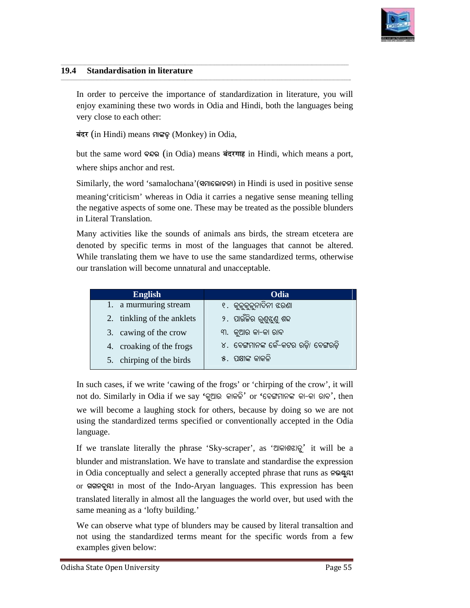

 $\overline{\phantom{a}}$ 

#### **19.4 Standardisation in literature**

In order to perceive the importance of standardization in literature, you will In order to perceive the importance of standardization in literature, you will enjoy examining these two words in Odia and Hindi, both the languages being very close to each other:

\_\_\_\_\_\_\_\_\_\_\_\_\_\_\_\_\_\_\_\_\_\_\_\_\_\_\_\_\_\_\_\_\_\_\_\_\_\_\_\_\_\_\_\_\_\_\_\_\_\_\_\_\_\_\_\_\_\_\_\_\_\_\_\_\_\_\_\_\_\_\_\_\_\_\_\_\_\_\_\_\_\_\_\_\_\_\_\_\_\_\_\_\_\_\_\_\_\_\_\_\_\_\_\_\_\_\_\_\_\_\_\_\_\_\_\_\_\_\_\_\_\_\_\_\_

\_\_\_\_\_\_\_\_\_\_\_\_\_\_\_\_\_\_\_\_\_\_\_\_\_\_\_\_\_\_\_\_\_\_\_\_\_\_\_\_\_\_\_\_\_\_\_\_\_\_\_\_\_\_\_\_\_\_\_\_\_\_\_\_\_\_\_\_\_\_\_\_\_\_\_\_\_\_\_\_\_\_\_\_\_\_\_\_\_\_\_\_\_\_\_\_\_\_\_\_\_\_\_\_\_\_\_\_\_\_\_\_\_\_\_\_\_\_\_\_\_\_\_\_\_\_\_\_\_\_\_\_\_ \_\_\_\_\_\_\_\_\_\_\_\_\_\_\_\_\_\_\_\_\_\_\_\_\_\_\_\_\_\_\_\_\_\_\_\_\_\_\_\_\_\_\_\_\_\_\_\_\_\_\_\_\_\_\_\_\_\_\_\_\_\_\_\_\_\_\_\_\_\_\_\_\_\_\_\_\_\_\_\_\_\_\_\_\_\_\_\_\_\_\_\_\_\_\_\_\_\_\_\_\_\_\_\_\_\_\_\_\_\_\_\_\_\_\_\_\_\_\_\_\_\_\_\_\_\_\_\_\_\_\_\_\_\_

\_\_\_\_\_\_\_\_\_\_\_\_\_\_\_\_\_\_\_\_\_\_\_\_\_\_\_\_\_\_\_\_\_\_\_\_\_\_\_\_\_\_\_\_\_\_\_\_\_\_\_\_\_\_\_\_\_\_\_\_\_\_\_\_\_\_\_\_\_\_\_\_\_\_\_\_\_\_\_\_\_\_\_\_\_\_\_\_\_\_\_\_\_\_\_\_\_\_\_\_\_\_\_\_\_\_\_\_\_\_\_\_\_\_\_\_\_\_\_\_\_\_\_\_\_

**yeboj** (in Hindi) means **cûuWÿ** (Monkey) in Odia,

| ry close to each other:                               | oy examining these two words in Odia and Hindi, both the languages being                                                                                                                                                                                                                                                      |
|-------------------------------------------------------|-------------------------------------------------------------------------------------------------------------------------------------------------------------------------------------------------------------------------------------------------------------------------------------------------------------------------------|
| t (in Hindi) means ମାଙ୍କଡ଼ (Monkey) in Odia,          |                                                                                                                                                                                                                                                                                                                               |
|                                                       | t the same word २२२ (in Odia) means बंदरगाह in Hindi, which means a port,                                                                                                                                                                                                                                                     |
| ere ships anchor and rest.                            |                                                                                                                                                                                                                                                                                                                               |
|                                                       | nilarly, the word 'samalochana'(ସମାଲୋଚନା) in Hindi is used in positive sense                                                                                                                                                                                                                                                  |
| Literal Translation.                                  | aning 'criticism' whereas in Odia it carries a negative sense meaning telling<br>enegative aspects of some one. These may be treated as the possible blunders                                                                                                                                                                 |
| r translation will become unnatural and unacceptable. | any activities like the sounds of animals ans birds, the stream etcetera are<br>noted by specific terms in most of the languages that cannot be altered.<br>hile translating them we have to use the same standardized terms, otherwise                                                                                       |
|                                                       |                                                                                                                                                                                                                                                                                                                               |
| <b>English</b>                                        | Odia                                                                                                                                                                                                                                                                                                                          |
| a murmuring stream<br>1.                              | ୧.  କୁଳୁକୁଳୁନାଦିନୀ ଝରଣା                                                                                                                                                                                                                                                                                                       |
| tinkling of the anklets<br>2.                         | ୨. ପାଉଁଜିର ରୁଣୁଝୁଣୁ ଶବ୍ଦ                                                                                                                                                                                                                                                                                                      |
| 3.<br>cawing of the crow                              | ୩. କୁଆର କା-କା ରାବ                                                                                                                                                                                                                                                                                                             |
| croaking of the frogs<br>4.                           | ୪.  ବେଙ୍ଗମାନଙ୍କ କେଁ–କଟର ରଡ଼ି/ ବେଙ୍ଗରଡ଼ି                                                                                                                                                                                                                                                                                       |
| chirping of the birds<br>5.                           | ୫. ପକ୍ଷୀଙ୍କ କାକଳି                                                                                                                                                                                                                                                                                                             |
| guage.                                                | such cases, if we write 'cawing of the frogs' or 'chirping of the crow', it will<br>t do. Similarly in Odia if we say 'କୁଆର  କାକଳି' or 'ବେଙ୍ଗମାନଙ୍କ କା-କା ରାବ', then<br>will become a laughing stock for others, because by doing so we are not<br>ng the standardized terms specified or conventionally accepted in the Odia |
|                                                       | we translate literally the phrase 'Sky-scraper', as 'ଆକାଶଝାଡ଼ୁ' it will be a                                                                                                                                                                                                                                                  |

If we translate literally the phrase 'Sky-scraper', as 'ଆକାଶଝାଡୁ' it will be a blunder and mistranslation. We have to translate and standardise the expression blunder and mistranslation. We have to translate and standardise the expression<br>in Odia conceptually and select a generally accepted phrase that runs as **ନଭଷ୍ଟ**୍ୟ or SISR<sub>2</sub> and in most of the Indo-Aryan languages. This expression has been translated literally in almost all the languages the world over, but used with the same meaning as a 'lofty building.'

same meaning as a 'lofty building.'<br>We can observe what type of blunders may be caused by literal transaltion and not using the standardized terms meant for the specific words from a few examples given below: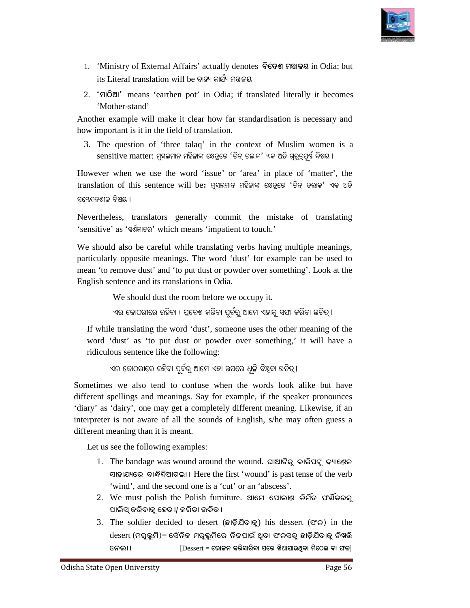

- 1. 'Ministry of External Affairs' actually denotes ବିଦେଶ ମତ୍ତାଳୟ in Odia; but its Literal translation will be ବାହ୍ୟ କାର୍ଯ୍ୟ ମତ୍ତାଳୟ
- 2. 'Floll' means 'earthen pot' in Odia; if translated literally it becomes 'Mother-stand'

Another example will make it clear how far standardisation is necessary and how important is it in the field of translation.

3. The question of 'three talaq' in the context of Muslim women is a sensitive matter: ମୁସଲମାନ ମହିଳାଙ୍କ କ୍ଷେତ୍ରରେ 'ତିନ୍ ତଲାକ' ଏକ ଅତି ଗୁରୁତ୍ୱପୂର୍ଷ ବିଷୟ ।

However when we use the word 'issue' or 'area' in place of 'matter', the translation of this sentence will be: ମୁସଲମାନ ମହିଳାଙ୍କ କ୍ଷେତ୍ରରେ 'ତିନ୍ ତଲାକ' ଏକ ଅତି ସୟେଦନଶୀଳ ବିଷୟ ।

Nevertheless, translators generally generally commit the mistake of translating 'sensitive' as 'ସ୍ପର୍ଶକାତର' which means 'impatient to touch.'

We should also be careful while translating verbs having multiple meanings, particularly opposite meanings. The word 'dust' for example can be used to mean 'to remove dust' and 'to put dust or powder over something'. Look at the English sentence and its translations in Odia We should also be careful while translating verb<br>particularly opposite meanings. The word 'dust'<br>mean 'to remove dust' and 'to put dust or powder<br>English sentence and its translations in Odia. translators generally commit the mistake of translating<br>ive' as 'addenoc' which means 'impatient to touch.'<br>
ould also be careful while translating verbs having multiple meanings,<br>
larly opposite meanings. The word 'dust'

We should dust the room before we occupy it.

ଏଇ କୋଠରୀରେ ରହିବା / ପ୍ରବେଶ କରିବା ପୂର୍ବରୁ ଆମେ ଏହାକୁ ସଫା କରିବା ଉଚିତ୍।

If while translating the word 'dust', someone uses the other meaning of the word 'dust' as 'to put dust or powder over something,' it will have a ridiculous sentence like the following:

ଏଇ କୋଠରୀରେ ରହିବା ପୂର୍ବରୁ ଆମେ ଏହା ଉପରେ ଧୂଳି ବିଞ୍ଚବା ଉଚିତ୍ ।

Sometimes we also tend to confuse when the words look alike but have different spellings and meanings. Say for example, if the speaker pronounces 'diary' as 'dairy', one may get a completely different meaning. Likewise, if an interpreter is not aware of all the sounds of English, s/he may often guess a different meaning than it is meant. fferent spellings and meanings. Say for<br>iary' as 'dairy', one may get a completel<br>terpreter is not aware of all the sounds<br>fferent meaning than it is meant.<br>Let us see the following examples:

Let us see the following examples:

- 1. The bandage was wound around the wound. ଘାଆଟିକୁ ଚାରିପଟୁ ବ୍ୟାଣ୍ଡେଜ ସାହାଯ୍ୟରେ ବାନ୍ଧିଦିଆଗଲା । Here the first 'wound' is past tense of the verb 'wind', and the second one is a 'cut' or an 'abscess'.
- $2.$  We must polish the Polish furniture. ଆମେ ପୋଲାଞ ନିର୍ମିତ ଫର୍ଣିଚରକୁ ପାଲିସ୍ କରିବାକୁ ହେବ **।/ କରିବା ଉଚିତ ।**
- 3. The soldier decided to desert (**QûWÿò~òaûKê**) his dessert (**`k)** in the in  $\rm{desert}$  (ମରୁଭୂମି)= ସୈନିକ ମରୁଭୂମିରେ ନିଜପାଇଁ ଥିବା ଫଳସବ୍ ଛାଡ଼ିଯିବାକୁ ନିଷ୍ପରି **ù^fûö** [Dessert = **ùbûR^ Keòiûeòaû \_ùe Lò@û~ûC[ôaû còùVA aû `k**]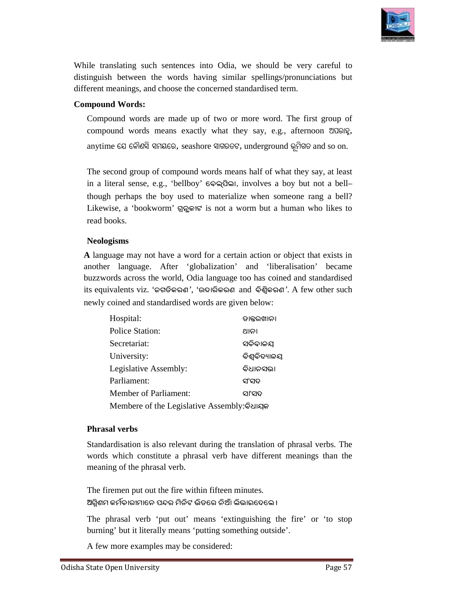

While translating such sentences into Odia, we should be very careful to distinguish between the words having similar spellings/pronunciations but different meanings, and choose the concerned standardised term.<br>**Compound W** distinguish between the words having similar spellings/pronunciations but different meanings, and choose the concerned standardised term.

#### **Compound Words:**

Compound words are made up of two or more word. The first group of the compound Words:<br>
a movement meanings, and choose the concerned standardised term.<br>
From Words:<br>
a made up of two or more word. The first group of<br>
compound words means exactly what they say, e.g., afternoon ଅପରାହ୍ନ,  $a$ nytime ଯେ କୌଣସି ସମୟରେ, seashore ସାଗରତଟ, underground ଭୂମିଗତ  $a$ nd so on.

The second group of compound words means half of what they say, at least in a literal sense, e.g., 'bellboy' ବେଲ୍ପିଲା, involves a boy but not a bell– though perhaps the boy used to materialize when someone rang a bell? Likewise, a 'bookworm' ଗ୍ର<sub>ି</sub>କାଟ is not a worm but a human who likes to read books. ddia, we should be very careful to<br>similar spellings/pronunciations but<br>ed standardised term.<br>o or more word. The first group of<br>at they say, e.g., afternoon 7060lg,<br>soco, underground  $\frac{60}{200}$  and so on.<br>means half of

#### **Neologisms**

| The second group of compound words means half of what they say, at least                                                                                                                                                                                                           |               |
|------------------------------------------------------------------------------------------------------------------------------------------------------------------------------------------------------------------------------------------------------------------------------------|---------------|
| in a literal sense, e.g., 'bellboy' ବେଲ୍ପିଲା, involves a boy but not a bell-                                                                                                                                                                                                       |               |
| though perhaps the boy used to materialize when someone rang a bell?                                                                                                                                                                                                               |               |
| Likewise, a 'bookworm' ଗ୍ରନ୍ଭକାଟ is not a worm but a human who likes to                                                                                                                                                                                                            |               |
| read books.                                                                                                                                                                                                                                                                        |               |
| <b>Neologisms</b>                                                                                                                                                                                                                                                                  |               |
| I anguage may not have a word for a certain action or object that exists in                                                                                                                                                                                                        |               |
| nother language. After 'globalization' and 'liberalisation' became<br>uzzwords across the world, Odia language too has coined and standardised<br>ts equivalents viz. 'ଜଗତିକରଣ', 'ଉଦାରିକରଣ and ବିଶ୍ୱିକରଣ'. A few other such<br>ewly coined and standardised words are given below: |               |
| Hospital:                                                                                                                                                                                                                                                                          | ଡାକ୍ତରଖାନା    |
| <b>Police Station:</b>                                                                                                                                                                                                                                                             | ଥାନା          |
| Secretariat:                                                                                                                                                                                                                                                                       | ସଚିବାଳୟ       |
| University:                                                                                                                                                                                                                                                                        | ବିଶ୍ୱବିଦ୍ୟାଳୟ |
| Legislative Assembly:                                                                                                                                                                                                                                                              | ବିଧାନସଭା      |
| Parliament:                                                                                                                                                                                                                                                                        | ସଂସଦ          |
| <b>Member of Parliament:</b>                                                                                                                                                                                                                                                       | ସୀସଦ          |
| Membere of the Legislative Assembly: Sulager                                                                                                                                                                                                                                       |               |
| <b>Phrasal verbs</b>                                                                                                                                                                                                                                                               |               |
| Standardisation is also relevant during the translation of phrasal verbs. The<br>words which constitute a phrasal verb have different meanings than the                                                                                                                            |               |

#### **Phrasal verbs**

Standardisation is also relevant during the translation of phrasal verbs. The words which constitute a phrasal verb have different meanings than the meaning of the phrasal verb.

The firemen put out the fire within fifteen minutes. ଅଗ୍ନିଶମ କର୍ମିତାରୀମାନେ ପନ୍ଦର ମିନିଟ ଭିତରେ ନିଆଁ ଲିଭାଇଦେଲେ ।

The phrasal verb 'put out' means 'extinguishing the fire' or 'to stop burning' but it literally means 'putting something outside'.

A few more examples may be considered: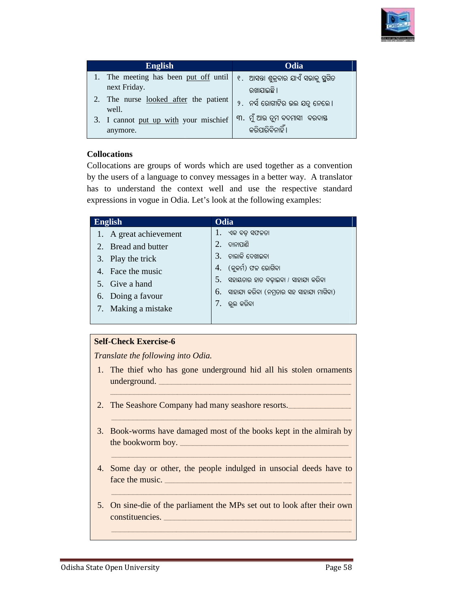

| <b>English</b>                                                                  | Odia                                               |
|---------------------------------------------------------------------------------|----------------------------------------------------|
| 1. The meeting has been put off until $\ell$ . ଆସନ୍ତା ଶୁକ୍ରବାର ଯାଏଁ ସଭାକୁ ସୁଗିତ |                                                    |
| next Friday.                                                                    | ରଖାଯାଇଛି ।                                         |
| 2. The nurse looked after the patient<br>well.                                  | ୨.  ନର୍ସ ରୋଗୀଟିର ଭଲ ଯତ୍ର ନେଲେ ।                    |
| 3. I cannot put up with your mischief<br>anymore.                               | ୩. ମୁଁ ଆଉ ତ୍ରମ ବଦମାସୀ  ବରଦାସ୍ତ<br>କରିପାରିବିନାହିଁ । |

#### **Collocations**

| Odia<br><b>English</b>                                                                                                                                                                                                                                                                                                                                                               |
|--------------------------------------------------------------------------------------------------------------------------------------------------------------------------------------------------------------------------------------------------------------------------------------------------------------------------------------------------------------------------------------|
|                                                                                                                                                                                                                                                                                                                                                                                      |
| 1. The meeting has been put off until<br>୧ . ଆସନ୍ତା ଶୁକ୍ରବାର ଯାଏଁ ସଭାକୁ ସ୍ଥୁଗିତ<br>next Friday.<br>ରଖାଯାଇଛି ।                                                                                                                                                                                                                                                                        |
| The nurse looked after the patient<br>2.<br>୨.  ନର୍ସ ରୋଗୀଟିର ଭଲ ଯତୁ ନେଲେ ।<br>well.                                                                                                                                                                                                                                                                                                  |
| ୩. ମୁଁ ଆଉ ତୁମ ବଦମାସୀ  ବରଦାସ୍ତ<br>3. I cannot put up with your mischief<br>କରିପାରିବିନାହିଁ ।<br>anymore.                                                                                                                                                                                                                                                                               |
| <b>Collocations</b><br>Collocations are groups of words which are used together as a convention<br>by the users of a language to convey messages in a better way. A translator<br>has to understand the context well and use the respective standard<br>expressions in vogue in Odia. Let's look at the following examples:                                                          |
| English<br>Odia                                                                                                                                                                                                                                                                                                                                                                      |
| 1.<br>ଏକ ବଡ଼ ସଫଳତା<br>A great achievement<br>1.<br>2.<br>ଦାନାପାଣି<br>Bread and butter<br>2.<br>ଚାଲାକି ଦେଖାଇବା<br>3.<br>Play the trick<br>3.<br>(କୁକର୍ମ) ଫଳ ଭୋଗିବା<br>4.<br>Face the music<br>4.<br>ସହାୟତାର ହାତ ବଢ଼ାଇବା / ସାହାଯ୍ୟ କରିବା<br>5.<br>Give a hand<br>5.<br>6. ସାହାଯ୍ୟ କରିବା (ନମ୍ରତାର ସହ ସାହାଯ୍ୟ ମାଗିବା)<br>Doing a favour<br>6.<br>7.  ଭୁଲ କରିବା<br>Making a mistake<br>7. |
| <b>Self-Check Exercise-6</b>                                                                                                                                                                                                                                                                                                                                                         |
| Translate the following into Odia.                                                                                                                                                                                                                                                                                                                                                   |
| The thief who has gone underground hid all his stolen ornaments<br>1.<br>underground.                                                                                                                                                                                                                                                                                                |
| The Seashore Company had many seashore resorts.<br>2.                                                                                                                                                                                                                                                                                                                                |
| Book-worms have damaged most of the books kept in the almirah by<br>3.                                                                                                                                                                                                                                                                                                               |
| Some day or other, the people indulged in unsocial deeds have to<br>4.<br>face the music.                                                                                                                                                                                                                                                                                            |
| On sine-die of the parliament the MPs set out to look after their own<br>5.<br>constituencies.                                                                                                                                                                                                                                                                                       |

#### **Self-Check Exercise-6**

- 2. The Seashore Company had many seashore resorts.
- 3. Book-worms have damaged most of the books kept in the almirah by the bookworm boy. \_\_\_\_\_\_\_\_\_\_\_\_\_\_\_\_\_\_\_\_\_\_\_\_\_\_\_\_\_\_\_\_\_\_\_\_\_\_\_\_\_\_\_\_\_\_\_\_\_\_\_\_\_\_\_\_\_\_\_\_\_\_\_\_\_\_\_\_\_\_\_\_\_\_\_\_\_\_ \_\_\_\_\_\_\_\_\_\_\_\_\_\_\_\_\_\_\_\_\_\_\_\_\_\_\_\_\_\_\_\_\_\_\_\_\_\_\_\_\_\_\_\_\_\_\_\_\_\_\_\_\_\_\_\_\_\_\_\_\_\_\_\_\_\_\_\_\_\_\_\_\_\_\_\_\_\_ —<br><br><br><br><br><br><br><br><br><br><br><br><br><br><br><br>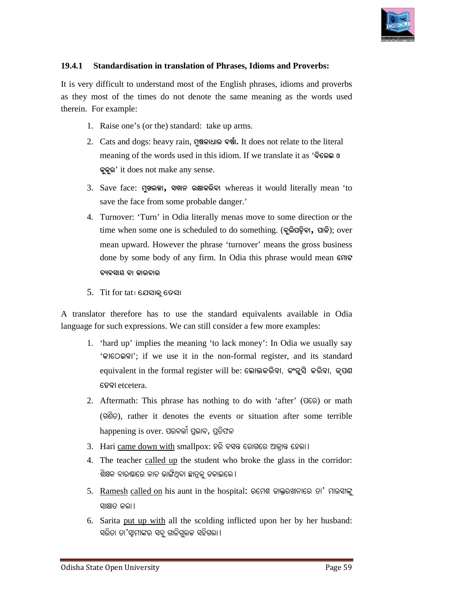

#### 19.4.1 Standardisation in translation of Phrases, Idioms and Proverbs:

It is very difficult to understand most of the English phrases, idioms and proverbs as they most of the times do not denote the same meaning as the words used therein. For example: to understand most of the English phrases, idioms and<br>he times do not denote the same meaning as the wo<br>ple:<br>ne's (or the) standard: take up arms.

- 1. Raise one's (or the) standard:
- 2. Cats and dogs: heavy rain, ମୂଷଳାଧାର ବର୍ଷା. It does not relate to the literal meaning of the words used in this idiom. If we translate it as 'ବିଲେଇ ଓ **KêKêe**' it does not make any sense.
- $3.$  Save face: ମୁଖଲଜ୍ଜା, ସମ୍ମାନ ରକ୍ଷାକରିବା whereas it would literally mean 'to save the face from some probable danger.'
- 4. Turnover: 'Turn' in Odia literally menas move to some direction or the Turnover: 'Turn' in Odia literally menas move to some direction or the time when some one is scheduled to do something. (ବୁଲିପଢ଼ିବା, ପାଳି); over mean upward. However the phrase 'turnover' means the gross business mean upward. However the phrase 'turnover' means the gross business<br>done by some body of any firm. In Odia this phrase would mean  $\epsilon$ ମାଟ **aýaiûd aû Kûeaûe** rases, Idioms and Proverbs:<br>
nglish phrases, idioms and proverbs<br>
same meaning as the words used<br>
parms.<br>
om. If we translate it as 'Scan on<br>
whereas it would literally mean 'to<br>
nger.'<br>
consistency to some direction or th It is very difficult to understand most of the English phraces, idions and proverbs<br>
its very officient to the times do not denote the same meaning as the words used<br>
therein. For example:<br>
1. Raise one's (or the) standar
	- $5.$  Tit for tat: ଯେସାକ୍ ତେସା

A translator therefore has to use the standard equivalents available in Odia language for such expressions. We can still consider a few more examples:

- 1. 'hard up' implies the meaning 'to lack money': In Odia we usually say In the standard equivalents available in Odia<br>
or such expressions. We can still consider a few more examples:<br>
"
in and up" implies the meaning 'to lack money': In Odia we usually say<br>
"
GIGO QQQ", if we use it in the non equivalent in the formal register will be: ଲୋଭକରିବା, କଂଜୁସି କରିବା, କୃପଶ **ùjaû** etcetera.
- 2. Aftermath: This phrase has nothing to do with 'after' (CGO) or math (GRO), rather it denotes the events or situation after some terrible  $h$ appening is over. ପରବର୍ତ୍ତୀ ପ୍ରଭାବ, ପ୍ରତିଫଳ
- 3. Hari <u>came down with</u> smallpox: ହରି ବସନ୍ତ ରୋଗରେ ଆକ୍ରାନ୍ତ ହେଲା ।
- 4. The teacher called up the student who broke the glass in the corridor: ଶିକ୍ଷକ ବାରଣ୍ଡରେ କାଚ ଭାଙ୍ଗିଥିବା ଛାତ୍ରକୁ ଡକାଇଲେ ।
- 5. Ramesh called on his aunt in the hospital: ରମେଶ ଡାକ୍ତରଖାନାରେ ତା' ମାଉସାଙ୍କୁ ସାକ୍ଷାତ କଲା ।
- 6. Sarita put up with all the scolding inflicted upon her by her husband: ସରିତା ତା'ସ୍ୱାମୀଙ୍କର ସବୁ ଗାଳିଗୁଲଜ ସହିଗଲା ।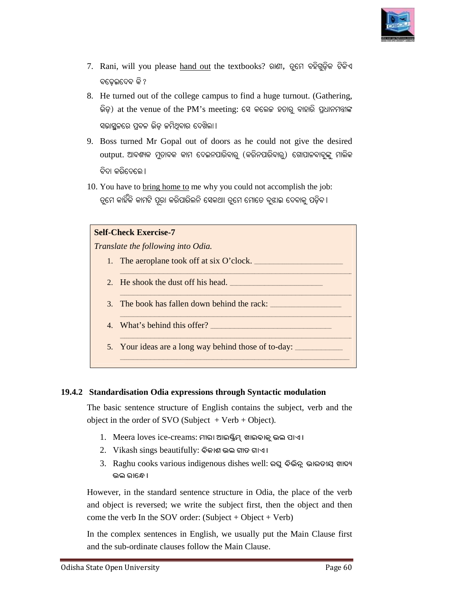

- 7. Rani, will you please hand out the textbooks? ରାଣୀ, ତୁମେ ବହିଗୁଡ଼ିକ ଟିକିଏ ବଢେଇଦେବ କି ?
- 8. He turned out of the college campus to find a huge turnout. (Gathering, ଭିଡ଼) at the venue of the PM's meeting: ସେ କଲେଜ ହତାରୁ ବାହାରି ପ୍ରଧାନମତ୍ତୀଙ୍କ ସଭାସ୍ଥଳରେ ପ୍ରବଳ ଭିଡ଼ <mark>ଜମିଥିବାର ଦେଖିଲା</mark> । rned out of the college campus to find a huge turnout. (Gathering,<br>t the venue of the PM's meeting: ସେ କଲେଜ ହତାରୁ ବାହାରି ପ୍ରଧାନମନ୍ତୀଙ୍କ<br>ରେ ପ୍ରବଳ ଭିଡ଼ ଜମିଥିବାର ଦେଖିଲା।<br>turned Mr Gopal out of doors as he could not give the
- 9. Boss turned Mr Gopal out of doors as he could not give the desired  $\mathrm{output.}$  ଆବଶ୍ୟକ ମୁତାବକ କାମ ଦେଇନପାରିବାରୁ (କରିନପାରିବାରୁ) ଗୋପାଳବାବୁଙ୍କୁ ମାଲିକ ବିଦା କରିଦେଲେ ।
- 10. You have to bring home to me why you could not accomplish the job: ତୁମେ କାହିଁକି କାମଟି ପୂରା କରିପାରିଲନି ସେକଥାା ତୁମେ ମୋତେ ବୁଝାଇ ଦେବାକୁ ପଡ଼ିବ ।



#### **19.4.2 Standardisation Odia expressions through Syntactic modulation**

The basic sentence structure of English contains the subject, verb and the object in the order of SVO (Subject  $+$  Verb  $+$  Object).

- 1. Meera loves ice-creams: ମୀରା ଆଇଷ୍ଟ୍ରିମ୍ ଖାଇବାକୁ ଭଲ ପାଏ ।
- $2$ . Vikash sings beautifully: ବିକାଶ ଭଲ ଗୀତ ଗାଏ ।
- $3.$  Raghu cooks various indigenous dishes well: ରଘୁ ବିଭିନ୍ନ ଭାରତୀୟ ଖାଦ୍ୟ ଭଲ ରାଜ୍<u>ଣ</u>େ ।

However, in the standard sentence structure in Odia, the place of the verb and object is reversed; we write the subject first, then the object and then come the verb In the SOV order: (Subject + Object + Verb) sentence structure in Odia, the place<br>
i write the subject first, then the obje<br>
order: (Subject + Object + Verb)<br>
in English, we usually put the Main

In the complex sentences in English, we usually put the Main Clause first and the sub-ordinate clauses follow the Main Clause.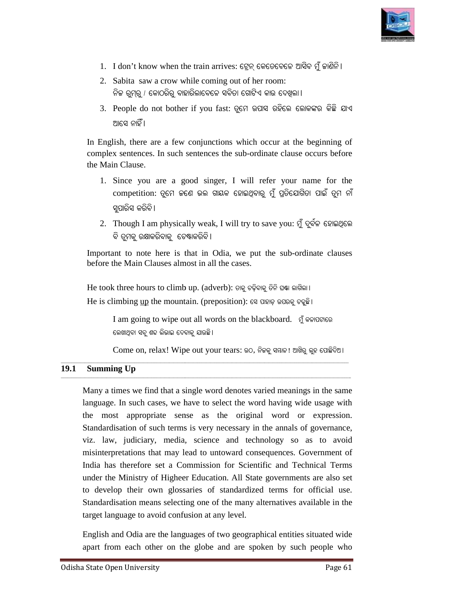

- 1. I don't know when the train arrives: ଟ୍ରେନ୍ କେତେବେଳେ ଆସିବ ମୁଁ ଜାଣିନି।
- 2. Sabita saw a crow while coming out of her room: ନିଜ ରୁମ୍ରୁ / କୋଠରିରୁ ବାହାରିଲାବେଳେ ସବିତା ଗୋଟିଏ କାଉ ଦେଖିଲା ।
- 3. People do not bother if you fast: ତୁମେ ଉପାସ ରହିଲେ ଲୋକଙ୍କର କିଛି ଯାଏ ଆସେ ନାହିଁ ।

In English, there are a few conjunctions which occur at the beginning of complex sentences. In such sentences the sub-ordinate clause occurs before complex sentences. In such sentences the sub-ordinate clause occurs before the Main Clause.

- 1. Since you are a good singer, I will refer your name for the competition: ତୂମେ ଜଣେ ଭଲ ଗାୟକ ହୋଇଥିବାରୁ ମୁଁ ପ୍ରତିଯୋଗିତା ପାଇଁ ତୁମ ନାଁ ସପାରିସ କରିବି।
- $2.$  Though I am physically weak, I will try to save you: ମୁଁ ଦୁର୍ବଳ ହୋଇଥିଲେ ବି ତୁମକୁ ର<mark>କ୍ଷାକରିବାକୁ ଚେଷ୍ଟାକରିବି ।</mark>

Important to note here is that in Odia, we put the sub-ordinate clauses before the Main Clauses almost in all the cases.

 $\operatorname{He}$  took three hours to climb up. (adverb): ଡାକୁ ଚଢ଼ିବାକୁ ତିନି ଘଷା ଲାଗିଲା।  $\operatorname{He}$  is climbing  $\operatorname{up}$  the mountain. (preposition): ସେ ପାହାଡ଼ ଉପରକୁ ଚତୁଛି ।

\_\_\_\_\_\_\_\_\_\_\_\_\_\_\_\_\_\_\_\_\_\_\_\_\_\_\_\_\_\_\_\_\_\_\_\_\_\_\_\_\_\_\_\_\_\_\_\_\_\_\_\_\_\_\_\_\_\_\_\_\_\_\_\_\_\_\_\_\_\_\_\_\_\_\_\_\_\_\_\_\_\_\_\_\_\_\_\_\_\_\_\_\_\_\_\_\_\_\_\_\_\_\_\_\_\_\_\_\_\_\_\_\_\_\_\_\_\_\_\_\_\_\_\_\_\_\_\_\_\_\_\_\_

I am going to wipe out all words on the blackboard. ଗୁଁ କଳାପଟାରେ ଲେଖାଥିବା ସବୁ ଶବ୍ଦ ଲିଭାଇ ଦେବାକୁ ଯାଉଛି।

ଲେଖାଥ୍ବା ସବୁ ଶଢ ଲିଭାଇ ଦେବାକୁ ଯାଉଛି।<br>Come on, relax! Wipe out your tears: ଉଠ, ନିଜକୁ ସୟାଳ! ଆଖିରୁ ଲୁହ ପୋଛିଦିଅ।

#### **19.1 Summing Up**  \_\_\_\_\_\_\_\_\_\_\_\_\_\_\_\_\_\_\_\_\_\_\_\_\_\_\_\_\_\_\_\_\_\_\_\_\_\_\_\_\_\_\_\_\_\_\_\_\_\_\_\_\_\_\_\_\_\_\_\_\_\_\_\_\_\_\_\_\_\_\_\_\_\_\_\_\_\_\_\_\_\_\_\_\_\_\_\_\_\_\_\_\_\_\_\_\_\_\_\_\_\_\_\_\_\_\_\_\_\_\_\_\_\_\_\_\_\_\_\_\_\_\_\_\_ \_\_\_\_\_\_\_\_\_\_\_\_\_\_\_\_\_\_\_\_\_\_\_\_\_\_\_\_\_\_\_\_\_\_\_\_\_\_\_\_\_\_\_\_\_\_\_\_\_\_\_\_\_\_\_\_\_\_\_\_\_\_\_\_\_\_\_\_\_\_\_\_\_\_\_\_\_\_\_\_\_\_\_\_\_\_\_\_\_\_\_\_\_\_\_\_\_\_\_\_\_\_\_\_\_\_\_\_\_\_\_\_\_\_\_\_\_\_\_\_\_\_\_\_\_\_\_\_\_\_\_\_\_\_

\_\_\_\_\_\_\_\_\_\_\_\_\_\_\_\_\_\_\_\_\_\_\_\_\_\_\_\_\_\_\_\_\_\_\_\_\_\_\_\_\_\_\_\_\_\_\_\_\_\_\_\_\_\_\_\_\_\_\_\_\_\_\_\_\_\_\_\_\_\_\_\_\_\_\_\_\_\_\_

Many a times we find that a single word denotes varied meanings in the same language. In such cases, we have to select the word having wide usage with the most appropriate sense as the original word or expression. the most appropriate sense as the original word or expression.<br>Standardisation of such terms is very necessary in the annals of governance, viz. law, judiciary, media, science and technology so as to avoid misinterpretations that may lead to untoward consequences. Government of India has therefore set a Commission for Scientific and Technical Terms under the Ministry of Higheer Education. All State governments are also set to develop their own glossaries of standardized terms for official use. Standardisation means selecting one of the many alternatives available in the target language to avoid confusion at an at may lead to untoward c<br>set a Commission for Sci<br>f Higheer Education. All S<br>wn glossaries of standard<br>ns selecting one of the man<br>oid confusion at any level. Now when the train arrives:  $\epsilon$ gg cosocosoco zios  $\frac{1}{2}$  os  $\frac{1}{2}$  os  $\frac{1}{2}$  os  $\frac{1}{2}$  os  $\frac{1}{2}$  os  $\frac{1}{2}$  os  $\frac{1}{2}$  os  $\frac{1}{2}$  os  $\frac{1}{2}$  or  $\frac{1}{2}$  or  $\frac{1}{2}$  or  $\frac{1}{2}$  or  $\frac{1}{2}$  or Standardisation of such terms is very necessary in the annals of gove<br>viz. law, judiciary, media, science and technology so as to<br>misinterpretations that may lead to untoward consequences. Govern<br>India has therefore set a

English and Odia are the languages of two geographical entities situated wide apart from each other on the globe and are spoken by such people who

 $\overline{\phantom{a}}$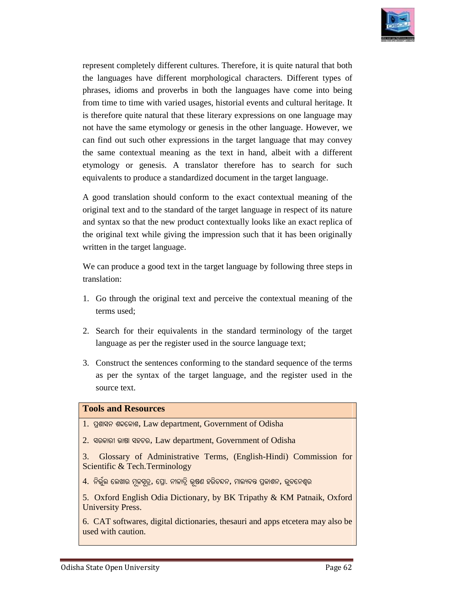

represent completely different cultures. Therefore, it is quite natural that both the languages have different morphological characters. Different types of phrases, idioms and proverbs in both the languages have come into being from time to time with varied usages, historial events and cultural heritage. It is therefore quite natural that these literary expressions on one language may not have the same etymology or genesis in the other language. However, we can find out such other expressions in the target language that may convey the same contextual meaning as the text in hand, albeit with a different etymology or genesis. A translator therefore has to search for such equivalents to produce a standardized document in the target language. and proverbs in both the languages have come into being<br>with varied usages, historial events and cultural heritage. It<br>natural that these literary expressions on one language may e same contextual meaning as the text in hand, albeit with a different<br>ymology or genesis. A translator therefore has to search for such<br>quivalents to produce a standardized document in the target language.<br>good translatio letely different cultures. Therefore, it is quite natural that both<br>have different morphological characters. Different types of<br>s and proverts in both the languages have come into being<br>ne with varied touges, historial eve present completely different cultures. Therefore, it is quite natural that both<br>
c languages have different morphological chancetes. Different morphological chancetes. Different types of<br>
come ime to time with varied usage

A good translation should conform to the exact contextual meaning of the original text and to the standard of the target language in respect of its nature and syntax so that the new product contextually looks like an exact replica of the original text while giving the impression such that it has been originally written in the target language.

We can produce a good text in the target language by following three steps in translation:

- terms used;
- 1. Go through the original text and perceive the contextual meaning of the terms used;<br>2. Search for their equivalents in the standard terminology of the target language as per the register used in the source language text 2. Search for their equivalents in the standard terminology of the target language as per the register used in the source language text;
- 3. Construct the sentences conforming to the standard sequence of the terms as per the syntax of the target language, and the register used in the source text.<br>
pls and Resources<br>ପୁଶାସନ ଶବ୍ଦକୋଶ, Law department, Government of Odisha source text.

#### **Tools and Resources**

- 1. ପ୍ରଶାସନ ଶବ୍ଦକୋଶ, Law department, Government of Odisha
- 2. ସରକାରୀ ଭାଷା ସହଚର, Law department, Government of Odisha
- 3. Glossary of Administrative Terms, (English (English-Hindi) Commission for Scientific & Tech.Terminology
- $4$ . ନିର୍ଭୁଲ ଲେଖାର ମୂଳସୂତ୍ର, ପ୍ରୋ. ନୀଳାଦ୍ରି ଭୂଷଣ ହରିଚନ୍ଦନ, ମାଲ୍ୟବନ୍ତ ପ୍ରକାଶନ, ଭୁବନେଶ୍ୱର
- 5. Oxford English Odia Dictionary, by BK Tripathy & KM Patnaik, Oxford University Press.

6. CAT softwares, digital dictionaries, thesauri and apps etcetera may also be used with caution.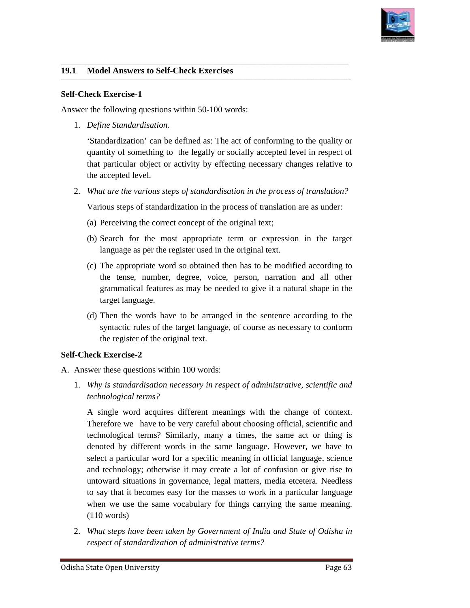

 $\overline{\phantom{a}}$ 

#### 19.1 Model Answers to Self-Check Exercises

#### **Self-Check Exercise-1**

Answer the following questions within 50-100 words:

1. *Define Standardisation.*

'Standardization' can be defined as: The act of conforming to the quality or quantity of something to the legally or socially accepted level in respect of that particular object or activity by effecting necessary changes relative to the accepted level.

2. What are the various steps of standardisation in the process of translation?

\_\_\_\_\_\_\_\_\_\_\_\_\_\_\_\_\_\_\_\_\_\_\_\_\_\_\_\_\_\_\_\_\_\_\_\_\_\_\_\_\_\_\_\_\_\_\_\_\_\_\_\_\_\_\_\_\_\_\_\_\_\_\_\_\_\_\_\_\_\_\_\_\_\_\_\_\_\_\_\_\_\_\_\_\_\_\_\_\_\_\_\_\_\_\_\_\_\_\_\_\_\_\_\_\_\_\_\_\_\_\_\_\_\_\_\_\_\_\_\_\_\_\_\_\_

\_\_\_\_\_\_\_\_\_\_\_\_\_\_\_\_\_\_\_\_\_\_\_\_\_\_\_\_\_\_\_\_\_\_\_\_\_\_\_\_\_\_\_\_\_\_\_\_\_\_\_\_\_\_\_\_\_\_\_\_\_\_\_\_\_\_\_\_\_\_\_\_\_\_\_\_\_\_\_\_\_\_\_\_\_\_\_\_\_\_\_\_\_\_\_\_\_\_\_\_\_\_\_\_\_\_\_\_\_\_\_\_\_\_\_\_\_\_\_\_\_\_\_\_\_\_\_\_\_\_\_\_\_ \_\_\_\_\_\_\_\_\_\_\_\_\_\_\_\_\_\_\_\_\_\_\_\_\_\_\_\_\_\_\_\_\_\_\_\_\_\_\_\_\_\_\_\_\_\_\_\_\_\_\_\_\_\_\_\_\_\_\_\_\_\_\_\_\_\_\_\_\_\_\_\_\_\_\_\_\_\_\_\_\_\_\_\_\_\_\_\_\_\_\_\_\_\_\_\_\_\_\_\_\_\_\_\_\_\_\_\_\_\_\_\_\_\_\_\_\_\_\_\_\_\_\_\_\_\_\_\_\_\_\_\_\_\_

\_\_\_\_\_\_\_\_\_\_\_\_\_\_\_\_\_\_\_\_\_\_\_\_\_\_\_\_\_\_\_\_\_\_\_\_\_\_\_\_\_\_\_\_\_\_\_\_\_\_\_\_\_\_\_\_\_\_\_\_\_\_\_\_\_\_\_\_\_\_\_\_\_\_\_\_\_\_\_\_\_\_\_\_\_\_\_\_\_\_\_\_\_\_\_\_\_\_\_\_\_\_\_\_\_\_\_\_\_\_\_\_\_\_\_\_\_\_\_\_\_\_\_\_\_

Various steps of standardization in the process of translation are as under:

- (a) Perceiving the correct concept of the original text;
- (b) Search for the most appropriate term or expression in the target language as per the register used in the original text.
- (c) The appropriate word so obtained then has to be modified according to the tense, number, degree, voice, person, narration and all other grammatical features as may be needed to give it a natural sha target language. Search for the most appropriate term or expression in the target<br>language as per the register used in the original text.<br>The appropriate word so obtained then has to be modified according to<br>the tense, number, degree, voic mdardization' can be defined as: The act of conforming to the quality<br>ntity of something to the legally or socially accepted level in respect<br>particular object or activity by effecting necessary changes relative<br>accepted l
- (d) Then the words have to be arranged in the sentence according to the syntactic rules of the target language, of course as necessary to conform the register of the original text.

#### **Self-Check Exercise-2**

- A. Answer these questions within 100 words:
- 1. *Why is standardisation necessary in respect of administrative, scientific and is standardisation technological terms?*  register of the original text.<br>
recise-2<br>
se questions within 100 words:<br>
standardisation necessary in respect of administrative, scientific and<br>
ogical terms?<br>
le word acquires different meanings with the change of contex

A single word acquires different meanings with the change of context. Therefore we have to be very careful about choosing official, scientific and technological terms? Similarly, many a times, the same act or thing is denoted by different words in the same language. However, we have to denoted by different words in the same language. However, we have to select a particular word for a specific meaning in official language, science and technology; otherwise it may create a lot of confusion or give rise to untoward situations in governance, legal matters, media etcetera. Needless to say that it becomes easy for the masses to work in a particular language when we use the same vocabulary for things carrying the same meaning. (110 words) and technology; otherwise it may create a lot of confusion or give rise to untoward situations in governance, legal matters, media etcetera. Needless to say that it becomes easy for the masses to work in a particular langu **Example 12**<br> **Example 12 Solution** Solution Solution Solution Solution Solution Solution Solution Solution Solution Solution Characteristic Characteristic Characteristic Characteristic Characteristic Characteristic Syst A single word acquires different meanings with the change of context.<br>Therefore we have to be very careful about choosing official, scientific and<br>technological terms? Similarly, many a times, the same act or thing is<br>deno

2. What steps have been taken by Government of India and State of Odisha in *respect of standardization of administrative terms?*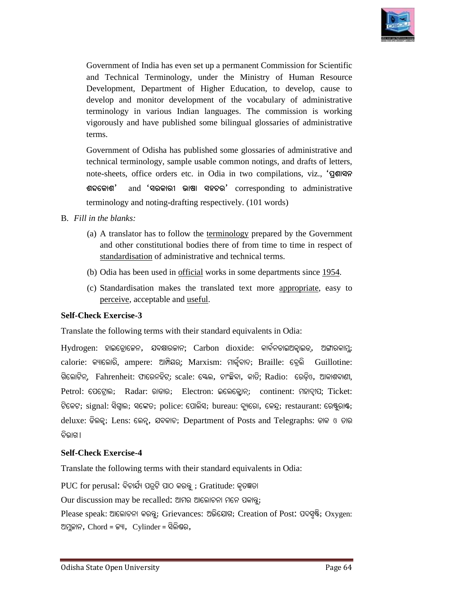

Government of India has even set up a permanent Commission for Scientific and Technical Terminology Terminology, under the Ministry of Human Resource Development, Department of Higher Education, to develop, cause to develop and monitor development of the vocabulary of administrative terminology in various Indian languages. The commission is working vigorously and have published some bilingual glossaries of administrative terms.

Government of Odisha has published some glossaries of administrative and technical terminology, sample usable common notings, and drafts of letters, note-sheets, office orders etc. in Odia in two compilations, viz., '**qailar** ଶବ୍ଦକୋଶ' and 'ସରକାରୀ ଭାଷା ସହଚର' corresponding to administrative terminology and noting-drafting respectively. (101 words) Development, Department of Higher Education, to develop, cause to<br>develop admonitor development of the vocabulary of administrative<br>vieraniology in various Indian languages. The commission is working<br>vigorously and have pu

- B*. Fill in the blanks:*
	- (a) A translator has to follow the terminology prepared by the Government and other constitutional bodies there of from time to time in respect of standardisation of administrative and technical terms. and other constitutional bodies there of from time to time in respect<br>
	<u>standardisation</u> of administrative and technical terms.<br>
	(b) Odia has been used in <u>official</u> works in some departments since 1954.
	-
	- (c) Standardisation makes the translated text more appropriate, easy to perceive, acceptable and useful.

#### **Self-Check Exercise-3**

Translate the following terms with their standard equivalents in Odia: Translate following

 ${\rm Hydrogen:}$  ହାଇଡ୍ରୋକେନ, ଯବକ୍ଷାରଜାନ;  ${\rm Carbon}$   ${\rm dioxide:}$  କାର୍ବନଡାଇଅକ୍ୱାଇଡ୍, ଅଙ୍ଗାରକାମୁ; calorie: କ୍ୟାଲୋରି, ampere: ଆମ୍ପିୟର୍; Marxism: ମାର୍କ୍ୱିବାଦ; Braille: ବ୍ରେଲି Guillotine: ଗିଲୋଟିନ୍, Fahrenheit: ଫାରେନହିଟ୍; scale: ଷ୍ଳେଲ, ଚାଂଛିବା, କାଡି; Radio: ରେଡ଼ିଓ, ଆକାଶବାଣୀ Petrol: ପେଟ୍ରୋଲ; Radar: ରାଡାର; Electron: ଇଲେକ୍ଟ୍ରୋନ୍; continent: ମହାଦ୍ୱାପ; Ticket: ଟିକେଟ; signal: ସିଗ୍ନାଲ; ସଙ୍କେତ; police: ପୋଲିସ; bureau: ବ୍ୟୁରୋ, କେନ୍ଦ୍ର; restaurant: ରେଷ୍ଟୁରାଷ୍ଟ; deluxe: ଡିଲକ୍ୱ; Lens: ଲେନ୍ସ୍, ଯବକାଚ; Department of Posts and Telegraphs: ଡାକ ଓ ତାର ଚିଲାଗ ।

#### **Self-Check Exercise-4**

Translate the following terms with their standard equivalents in Odia:

 ${\rm PUC}$  for perusal: ବିଚାର୍ଯ୍ୟ ପତ୍ରଟି ପାଠ କରକୁ ; Gratitude: କୃତଜ୍ଞତା

Our discussion may be recalled: ଆମର ଆଲୋଚନା ମନେ ପକାନ୍ତୁ;

Please speak: ଆଲୋଚନା କରକୁ; Grievances: ଅଭିଯୋଗ; Creation of Post: ପଦସ୍ୱଷି; Oxygen: ଅମୁଜାନ,  $Chord = \mathbb{G}^{\mathsf{N}}$ ,  $Cylinder = \mathfrak{S} \widehat{\mathsf{N}}$ ଣ୍ଡର,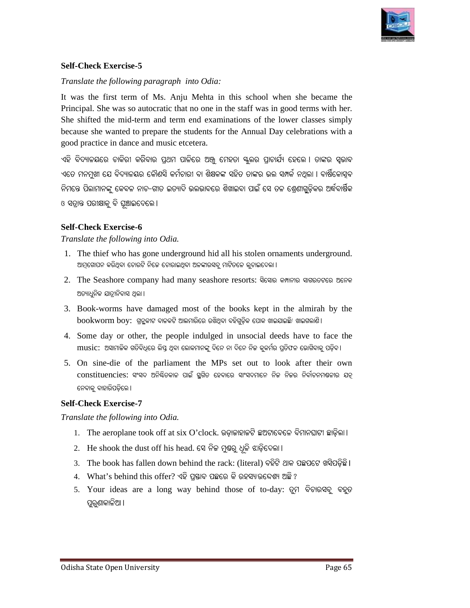

#### **Self-Check Exercise-5**

#### *Translate the following paragraph into Odia:*

It was the first term of Ms. Anju Mehta in this school when she became the Principal. She was so autocratic that no one in the staff was in good terms with her. She shifted the mid-term and term end examinations of the low Principal. She was so autocratic that no one in the staff was in good terms with her. She shifted the mid-term and term end examinations of the lower classes simply because she wanted to prepare the students for the Annual Day celebrations with a good practice in dance and music etcetera.

ଏହି ବିଦ୍ୟାଳୟରେ ଚାକିରୀ କରିବାର ପ୍ରଥମ ପାଳିରେ ଅଞ୍ଚୁ ମେହତା ସ୍କୁଲର ପ୍ରାଚାର୍ଯ୍ୟ ହେଲେ । ତାଙ୍କର ସ୍ୱଭାବ<br>ଏତେ ମନମୁଖୀ ଯେ ବିଦ୍ୟାଳୟର କୌଣସି କର୍ମଚାରୀ ବା ଶିକ୍ଷକଙ୍କ ସହିତ ତାଙ୍କର ଭଲ ସମ୍ପର୍କ ନଥିଲା । ବାର୍ଷିକୋସ୍ତବ<br>ନିମନ୍ତେ ପିଲାମାନଙ୍କୁ କେବଳ ନାଚ–ଗ ଏତେ ମନ୍ମଖୀ ଯେ ବିଦ୍ୟାଳୟର କୌଣସି କର୍ମଚାରୀ ବା ଶିକ୍ଷକଙ୍କ ସହିତ ତାଙ୍କର ଭଲ ସମ୍ପର୍କ ନଥଲା । ବାର୍ଷିକୋସବ ଏତେ ମନମୁଖୀ ଯେ ବିଦ୍ୟାଳୟର କୌଣସି କର୍ମଚାରୀ ବା ଶିକ୍ଷକଙ୍କ ସହିତ ତାଙ୍କର ଭଲ ସମ୍ପର୍କ ନଥିଲା । ବାର୍ଷିକୋସ୍ବ<br>ନିମନ୍ତେ ପିଲାମାନଙ୍କୁ କେବଳ ନାଚ–ଗୀତ ଇତ୍ୟାଦି ଭଲଭାବରେ ଶିଖାଇବା ପାଇଁ ସେ ତଳ ଶ୍ରେଣୀଗୁଡ଼ିକର ଅର୍ଦ୍ଧବାର୍ଷିକ ଓ ସତାନ୍ତ ପରୀକ୍ଷାକ୍ର ବି ଘଞ୍ଚାଇଦେଲେ ।

#### **Self-Check Exercise-6**

*Translate the following into Odia.* 

- 1. The thief who has gone underground hid all his stolen ornaments underground. ଆମ୍ଗୋପନ କରିଥିବା ଚୋରଟି ନିଜେ ଚୋରାଇଥିବା ଅଳଙ୍କାରସବୁ ମାଟିତଳେ ଲୁଚାଇଦେଲା।
- 2. The Seashore company had many seashore resorts: ସିସୋର କମ୍ପାନୀର ସାଗରତଟରେ ଅନେକ ଅତ୍ୟାଧୁନିକ ଯାତ୍ରୀନିବାସ ଥିଲା ।
- 3. Book-worms have damaged most of the books kept in the almirah by the  $\mathrm{bookworm}$   $\mathrm{boy}$ : ଗ୍ରନ୍ଭକୀଟ ବାଳକଟି ଆଲମାରିରେ ରଖିଥିବା ବହିଗୁଡ଼ିକ ପୋକ ଖାଇଯାଇଛି/ ଖାଇଗଲାଣି।
- 4. Some day or other, the people indulged in unsocial deeds have to face the Some  ${\rm music:}$  ଅସାମାଜିକ ଗତିବିଧିରେ ଲିପ୍ତ ଥିବା ଲୋକମାନଙ୍କୁ ଦିନେ ନା ଦିନେ ନିଜ କୁକର୍ମର ପ୍ରତିଫଳ ଭୋଗିବାକୁ ପଡ଼ିବ । y or other, the people indulged i<br>ସାମାଜିକ ଗତିବିଧିରେ ଲିସ୍ତ ଥିବା ଲୋକମାନଙ୍କୁ ଦିନେ ମ<br>die of the parliament the MPs
- 5. On sine-die of the parliament the MPs set out to look after their own constituencies: ସଂସଦ ଅନିଷ୍ଟିତକାଳ ପାଇଁ ସ୍ଥଗିତ ହେବାରେ ସାଂସଦମାନେ ନିଜ ନିଜର ନିର୍ବାଚନମଷଳୀର ଯତ୍ନ ନେବାକୁ ବାହାରିପଡିଲେ ।

#### **Self-Check Exercise-7**

*Translate the following into Odia.* 

- 1. The aeroplane took off at six O'clock. ଉଡ଼ାକାହାକଟି ଛଅଟାବେଳେ ବିମାନଘାଟୀ ଛାଡ଼ିଲା ।
- 2. He shook the dust off his head. ସେ ନିଜ ମୁ<mark>ଣ୍</mark>ଭରୁ ଧୂଳି ଝାଡ଼ିଦେଲା।
- 3. The book has fallen down behind the rack: (literal) ବହିଟି ଥାକ ପଛପଟେ ଖସିପଡ଼ିଛି ।
- 4. What's behind this offer? ଏହି ପ୍ରଷାବ ପଛରେ କି ରହସ୍ୟ/ଉଦ୍ଦେଶ୍ୟ ଅଛି ?
- 5. Your ideas are a long way behind those of to-day: ତୁମ ବିଚାରସବୁ ବହୁତ ପୁରୁଣାକାଳିଆ ।